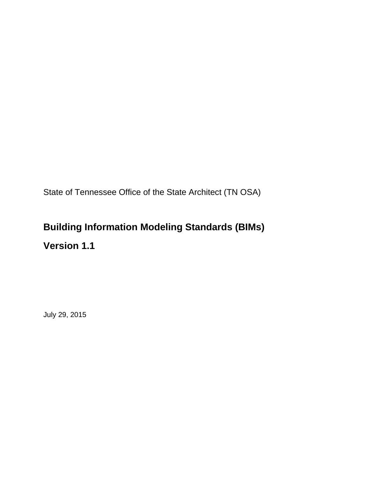State of Tennessee Office of the State Architect (TN OSA)

# **Building Information Modeling Standards (BIMs) Version 1.1**

July 29, 2015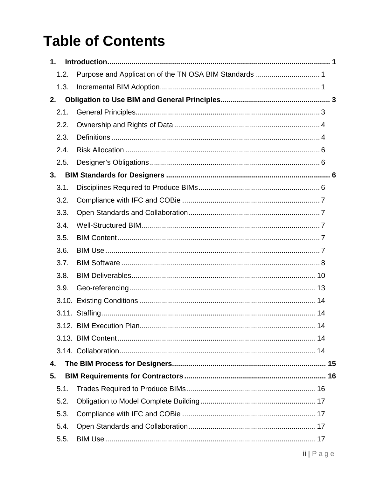# **Table of Contents**

| 1.   |                                 |  |
|------|---------------------------------|--|
| 1.2. |                                 |  |
| 1.3. |                                 |  |
| 2.   |                                 |  |
| 2.1. |                                 |  |
| 2.2. |                                 |  |
| 2.3. |                                 |  |
| 2.4. |                                 |  |
| 2.5. |                                 |  |
| 3.   |                                 |  |
| 3.1. |                                 |  |
| 3.2. |                                 |  |
| 3.3. |                                 |  |
| 3.4. |                                 |  |
| 3.5. |                                 |  |
| 3.6. |                                 |  |
| 3.7. |                                 |  |
| 3.8. |                                 |  |
| 3.9. |                                 |  |
|      |                                 |  |
|      |                                 |  |
|      | 3.12. BIM Execution Plan.<br>14 |  |
|      |                                 |  |
|      |                                 |  |
| 4.   |                                 |  |
| 5.   |                                 |  |
| 5.1. |                                 |  |
| 5.2. |                                 |  |
| 5.3. |                                 |  |
| 5.4. |                                 |  |
| 5.5. |                                 |  |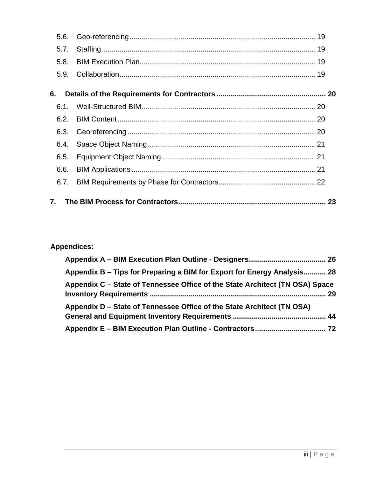| 5.6. |  |
|------|--|
| 5.7. |  |
| 5.8. |  |
| 5.9. |  |
| 6.   |  |
| 6.1. |  |
| 6.2. |  |
| 6.3. |  |
| 6.4. |  |
| 6.5. |  |
| 6.6. |  |
| 6.7. |  |
| 7.   |  |

# **Appendices:**

| Appendix B – Tips for Preparing a BIM for Export for Energy Analysis 28      |  |
|------------------------------------------------------------------------------|--|
| Appendix C – State of Tennessee Office of the State Architect (TN OSA) Space |  |
| Appendix D – State of Tennessee Office of the State Architect (TN OSA)       |  |
|                                                                              |  |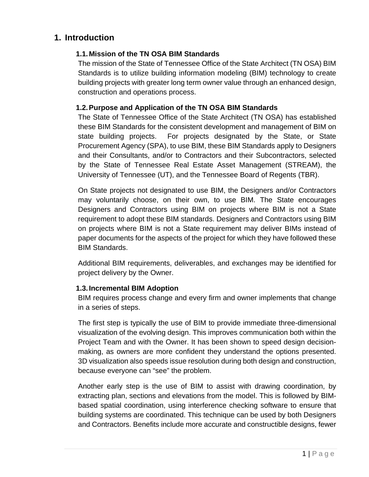# **1. Introduction**

#### **1.1. Mission of the TN OSA BIM Standards**

The mission of the State of Tennessee Office of the State Architect (TN OSA) BIM Standards is to utilize building information modeling (BIM) technology to create building projects with greater long term owner value through an enhanced design, construction and operations process.

#### **1.2. Purpose and Application of the TN OSA BIM Standards**

The State of Tennessee Office of the State Architect (TN OSA) has established these BIM Standards for the consistent development and management of BIM on state building projects. For projects designated by the State, or State Procurement Agency (SPA), to use BIM, these BIM Standards apply to Designers and their Consultants, and/or to Contractors and their Subcontractors, selected by the State of Tennessee Real Estate Asset Management (STREAM), the University of Tennessee (UT), and the Tennessee Board of Regents (TBR).

On State projects not designated to use BIM, the Designers and/or Contractors may voluntarily choose, on their own, to use BIM. The State encourages Designers and Contractors using BIM on projects where BIM is not a State requirement to adopt these BIM standards. Designers and Contractors using BIM on projects where BIM is not a State requirement may deliver BIMs instead of paper documents for the aspects of the project for which they have followed these BIM Standards.

Additional BIM requirements, deliverables, and exchanges may be identified for project delivery by the Owner.

#### **1.3. Incremental BIM Adoption**

BIM requires process change and every firm and owner implements that change in a series of steps.

The first step is typically the use of BIM to provide immediate three-dimensional visualization of the evolving design. This improves communication both within the Project Team and with the Owner. It has been shown to speed design decisionmaking, as owners are more confident they understand the options presented. 3D visualization also speeds issue resolution during both design and construction, because everyone can "see" the problem.

Another early step is the use of BIM to assist with drawing coordination, by extracting plan, sections and elevations from the model. This is followed by BIMbased spatial coordination, using interference checking software to ensure that building systems are coordinated. This technique can be used by both Designers and Contractors. Benefits include more accurate and constructible designs, fewer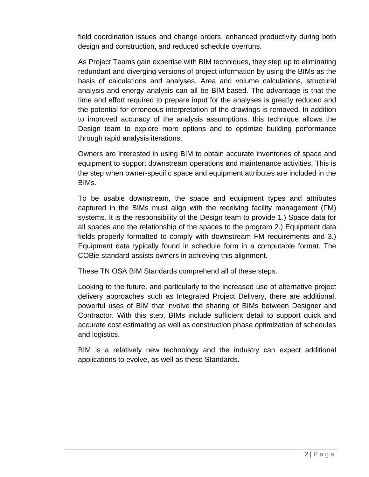field coordination issues and change orders, enhanced productivity during both design and construction, and reduced schedule overruns.

As Project Teams gain expertise with BIM techniques, they step up to eliminating redundant and diverging versions of project information by using the BIMs as the basis of calculations and analyses. Area and volume calculations, structural analysis and energy analysis can all be BIM-based. The advantage is that the time and effort required to prepare input for the analyses is greatly reduced and the potential for erroneous interpretation of the drawings is removed. In addition to improved accuracy of the analysis assumptions, this technique allows the Design team to explore more options and to optimize building performance through rapid analysis iterations.

Owners are interested in using BIM to obtain accurate inventories of space and equipment to support downstream operations and maintenance activities. This is the step when owner-specific space and equipment attributes are included in the BIMs.

To be usable downstream, the space and equipment types and attributes captured in the BIMs must align with the receiving facility management (FM) systems. It is the responsibility of the Design team to provide 1.) Space data for all spaces and the relationship of the spaces to the program 2.) Equipment data fields properly formatted to comply with downstream FM requirements and 3.) Equipment data typically found in schedule form in a computable format. The COBie standard assists owners in achieving this alignment.

These TN OSA BIM Standards comprehend all of these steps.

Looking to the future, and particularly to the increased use of alternative project delivery approaches such as Integrated Project Delivery, there are additional, powerful uses of BIM that involve the sharing of BIMs between Designer and Contractor. With this step, BIMs include sufficient detail to support quick and accurate cost estimating as well as construction phase optimization of schedules and logistics.

BIM is a relatively new technology and the industry can expect additional applications to evolve, as well as these Standards.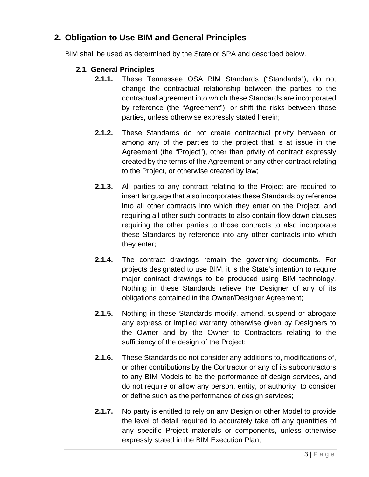# **2. Obligation to Use BIM and General Principles**

BIM shall be used as determined by the State or SPA and described below.

#### **2.1. General Principles**

- **2.1.1.** These Tennessee OSA BIM Standards ("Standards"), do not change the contractual relationship between the parties to the contractual agreement into which these Standards are incorporated by reference (the "Agreement"), or shift the risks between those parties, unless otherwise expressly stated herein;
- **2.1.2.** These Standards do not create contractual privity between or among any of the parties to the project that is at issue in the Agreement (the "Project"), other than privity of contract expressly created by the terms of the Agreement or any other contract relating to the Project, or otherwise created by law;
- **2.1.3.** All parties to any contract relating to the Project are required to insert language that also incorporates these Standards by reference into all other contracts into which they enter on the Project, and requiring all other such contracts to also contain flow down clauses requiring the other parties to those contracts to also incorporate these Standards by reference into any other contracts into which they enter;
- **2.1.4.** The contract drawings remain the governing documents. For projects designated to use BIM, it is the State's intention to require major contract drawings to be produced using BIM technology. Nothing in these Standards relieve the Designer of any of its obligations contained in the Owner/Designer Agreement;
- **2.1.5.** Nothing in these Standards modify, amend, suspend or abrogate any express or implied warranty otherwise given by Designers to the Owner and by the Owner to Contractors relating to the sufficiency of the design of the Project;
- **2.1.6.** These Standards do not consider any additions to, modifications of, or other contributions by the Contractor or any of its subcontractors to any BIM Models to be the performance of design services, and do not require or allow any person, entity, or authority to consider or define such as the performance of design services;
- **2.1.7.** No party is entitled to rely on any Design or other Model to provide the level of detail required to accurately take off any quantities of any specific Project materials or components, unless otherwise expressly stated in the BIM Execution Plan;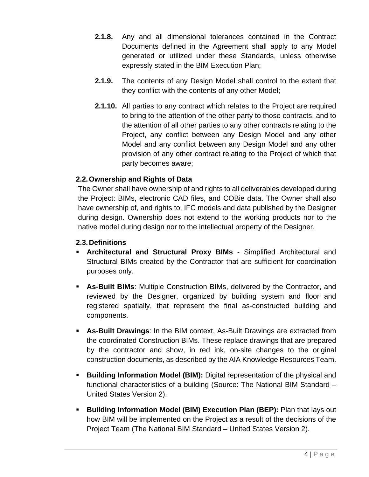- **2.1.8.** Any and all dimensional tolerances contained in the Contract Documents defined in the Agreement shall apply to any Model generated or utilized under these Standards, unless otherwise expressly stated in the BIM Execution Plan;
- **2.1.9.** The contents of any Design Model shall control to the extent that they conflict with the contents of any other Model;
- **2.1.10.** All parties to any contract which relates to the Project are required to bring to the attention of the other party to those contracts, and to the attention of all other parties to any other contracts relating to the Project, any conflict between any Design Model and any other Model and any conflict between any Design Model and any other provision of any other contract relating to the Project of which that party becomes aware;

#### **2.2. Ownership and Rights of Data**

The Owner shall have ownership of and rights to all deliverables developed during the Project: BIMs, electronic CAD files, and COBie data. The Owner shall also have ownership of, and rights to, IFC models and data published by the Designer during design. Ownership does not extend to the working products nor to the native model during design nor to the intellectual property of the Designer.

#### **2.3. Definitions**

- **Architectural and Structural Proxy BIMs**  Simplified Architectural and Structural BIMs created by the Contractor that are sufficient for coordination purposes only.
- **As-Built BIMs**: Multiple Construction BIMs, delivered by the Contractor, and reviewed by the Designer, organized by building system and floor and registered spatially, that represent the final as-constructed building and components.
- **As**-**Built Drawings**: In the BIM context, As-Built Drawings are extracted from the coordinated Construction BIMs. These replace drawings that are prepared by the contractor and show, in red ink, on-site changes to the original construction documents, as described by the AIA Knowledge Resources Team.
- **Building Information Model (BIM):** Digital representation of the physical and functional characteristics of a building (Source: The National BIM Standard – United States Version 2).
- **Building Information Model (BIM) Execution Plan (BEP):** Plan that lays out how BIM will be implemented on the Project as a result of the decisions of the Project Team (The National BIM Standard – United States Version 2).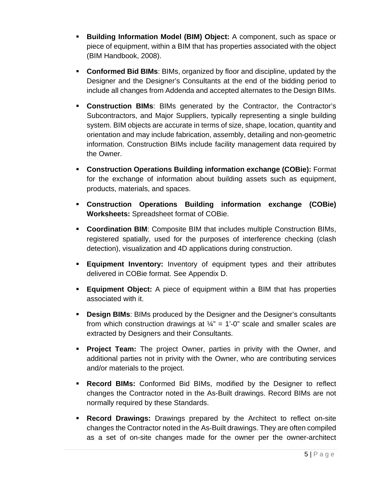- **Building Information Model (BIM) Object:** A component, such as space or piece of equipment, within a BIM that has properties associated with the object (BIM Handbook, 2008).
- **Conformed Bid BIMs**: BIMs, organized by floor and discipline, updated by the Designer and the Designer's Consultants at the end of the bidding period to include all changes from Addenda and accepted alternates to the Design BIMs.
- **Construction BIMs**: BIMs generated by the Contractor, the Contractor's Subcontractors, and Major Suppliers, typically representing a single building system. BIM objects are accurate in terms of size, shape, location, quantity and orientation and may include fabrication, assembly, detailing and non-geometric information. Construction BIMs include facility management data required by the Owner.
- **Construction Operations Building information exchange (COBie):** Format for the exchange of information about building assets such as equipment, products, materials, and spaces.
- **Construction Operations Building information exchange (COBie) Worksheets:** Spreadsheet format of COBie.
- **Coordination BIM**: Composite BIM that includes multiple Construction BIMs, registered spatially, used for the purposes of interference checking (clash detection), visualization and 4D applications during construction.
- **Equipment Inventory:** Inventory of equipment types and their attributes delivered in COBie format. See Appendix D.
- **Equipment Object:** A piece of equipment within a BIM that has properties associated with it.
- **Design BIMs:** BIMs produced by the Designer and the Designer's consultants from which construction drawings at  $\frac{1}{4}$ " = 1'-0" scale and smaller scales are extracted by Designers and their Consultants.
- **Project Team:** The project Owner, parties in privity with the Owner, and additional parties not in privity with the Owner, who are contributing services and/or materials to the project.
- **Record BIMs:** Conformed Bid BIMs, modified by the Designer to reflect changes the Contractor noted in the As-Built drawings. Record BIMs are not normally required by these Standards.
- **Record Drawings:** Drawings prepared by the Architect to reflect on-site changes the Contractor noted in the As-Built drawings. They are often compiled as a set of on-site changes made for the owner per the owner-architect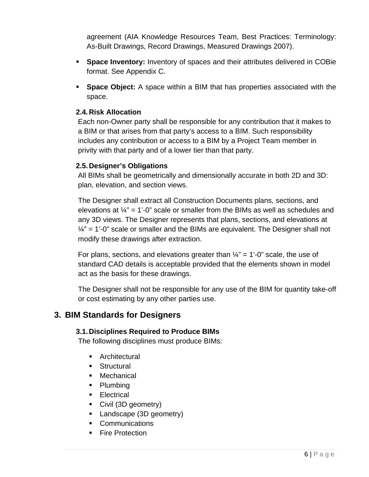agreement (AIA Knowledge Resources Team, Best Practices: Terminology: As-Built Drawings, Record Drawings, Measured Drawings 2007).

- **Space Inventory:** Inventory of spaces and their attributes delivered in COBie format. See Appendix C.
- **Space Object:** A space within a BIM that has properties associated with the space.

#### **2.4. Risk Allocation**

Each non-Owner party shall be responsible for any contribution that it makes to a BIM or that arises from that party's access to a BIM. Such responsibility includes any contribution or access to a BIM by a Project Team member in privity with that party and of a lower tier than that party.

#### **2.5. Designer's Obligations**

All BIMs shall be geometrically and dimensionally accurate in both 2D and 3D: plan, elevation, and section views.

The Designer shall extract all Construction Documents plans, sections, and elevations at  $\mathcal{U}^* = 1$ '-0" scale or smaller from the BIMs as well as schedules and any 3D views. The Designer represents that plans, sections, and elevations at  $1/4$ " = 1'-0" scale or smaller and the BIMs are equivalent. The Designer shall not modify these drawings after extraction.

For plans, sections, and elevations greater than  $\frac{1}{4}$ " = 1'-0" scale, the use of standard CAD details is acceptable provided that the elements shown in model act as the basis for these drawings.

The Designer shall not be responsible for any use of the BIM for quantity take-off or cost estimating by any other parties use.

# **3. BIM Standards for Designers**

#### **3.1. Disciplines Required to Produce BIMs**

The following disciplines must produce BIMs:

- **E** Architectural
- **Structural**
- **Mechanical**
- Plumbing
- **Electrical**
- Civil (3D geometry)
- **Landscape (3D geometry)**
- **Communications**
- **Fire Protection**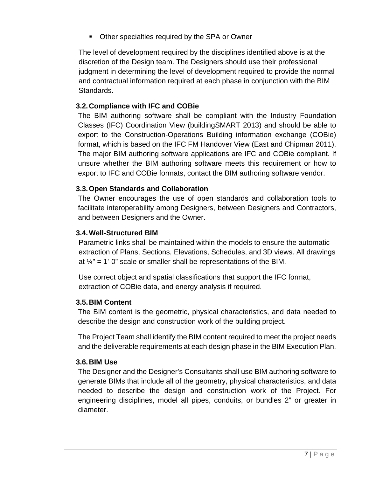Other specialties required by the SPA or Owner

The level of development required by the disciplines identified above is at the discretion of the Design team. The Designers should use their professional judgment in determining the level of development required to provide the normal and contractual information required at each phase in conjunction with the BIM Standards.

#### **3.2. Compliance with IFC and COBie**

The BIM authoring software shall be compliant with the Industry Foundation Classes (IFC) Coordination View (buildingSMART 2013) and should be able to export to the Construction-Operations Building information exchange (COBie) format, which is based on the IFC FM Handover View (East and Chipman 2011). The major BIM authoring software applications are IFC and COBie compliant. If unsure whether the BIM authoring software meets this requirement or how to export to IFC and COBie formats, contact the BIM authoring software vendor.

#### **3.3. Open Standards and Collaboration**

The Owner encourages the use of open standards and collaboration tools to facilitate interoperability among Designers, between Designers and Contractors, and between Designers and the Owner.

#### **3.4. Well-Structured BIM**

Parametric links shall be maintained within the models to ensure the automatic extraction of Plans, Sections, Elevations, Schedules, and 3D views. All drawings at  $\frac{1}{4}$ " = 1'-0" scale or smaller shall be representations of the BIM.

Use correct object and spatial classifications that support the IFC format, extraction of COBie data, and energy analysis if required.

#### **3.5. BIM Content**

The BIM content is the geometric, physical characteristics, and data needed to describe the design and construction work of the building project.

The Project Team shall identify the BIM content required to meet the project needs and the deliverable requirements at each design phase in the BIM Execution Plan.

#### **3.6. BIM Use**

The Designer and the Designer's Consultants shall use BIM authoring software to generate BIMs that include all of the geometry, physical characteristics, and data needed to describe the design and construction work of the Project. For engineering disciplines, model all pipes, conduits, or bundles 2" or greater in diameter.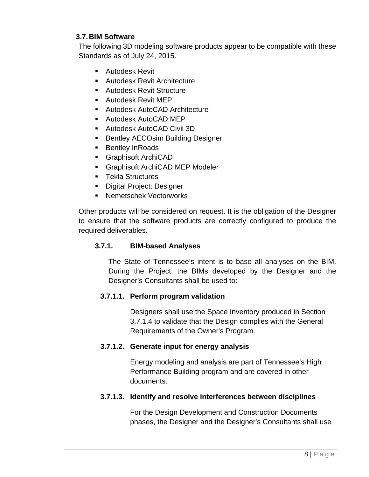#### **3.7. BIM Software**

The following 3D modeling software products appear to be compatible with these Standards as of July 24, 2015.

- Autodesk Revit
- **Autodesk Revit Architecture**
- **Autodesk Revit Structure**
- Autodesk Revit MEP
- **Autodesk AutoCAD Architecture**
- Autodesk AutoCAD MEP
- Autodesk AutoCAD Civil 3D
- **Bentley AECOsim Building Designer**
- **Bentley InRoads**
- Graphisoft ArchiCAD
- **Graphisoft ArchiCAD MEP Modeler**
- **Tekla Structures**
- **Digital Project: Designer**
- Nemetschek Vectorworks

Other products will be considered on request. It is the obligation of the Designer to ensure that the software products are correctly configured to produce the required deliverables.

#### **3.7.1. BIM-based Analyses**

The State of Tennessee's intent is to base all analyses on the BIM. During the Project, the BIMs developed by the Designer and the Designer's Consultants shall be used to:

#### **3.7.1.1. Perform program validation**

Designers shall use the Space Inventory produced in Section 3.7.1.4 to validate that the Design complies with the General Requirements of the Owner's Program.

#### **3.7.1.2. Generate input for energy analysis**

Energy modeling and analysis are part of Tennessee's High Performance Building program and are covered in other documents.

#### **3.7.1.3. Identify and resolve interferences between disciplines**

For the Design Development and Construction Documents phases, the Designer and the Designer's Consultants shall use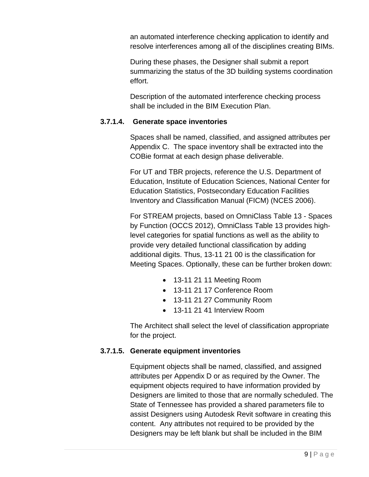an automated interference checking application to identify and resolve interferences among all of the disciplines creating BIMs.

During these phases, the Designer shall submit a report summarizing the status of the 3D building systems coordination effort.

Description of the automated interference checking process shall be included in the BIM Execution Plan.

#### **3.7.1.4. Generate space inventories**

Spaces shall be named, classified, and assigned attributes per Appendix C. The space inventory shall be extracted into the COBie format at each design phase deliverable.

For UT and TBR projects, reference the U.S. Department of Education, Institute of Education Sciences, National Center for Education Statistics, Postsecondary Education Facilities Inventory and Classification Manual (FICM) (NCES 2006).

For STREAM projects, based on OmniClass Table 13 - Spaces by Function (OCCS 2012), OmniClass Table 13 provides highlevel categories for spatial functions as well as the ability to provide very detailed functional classification by adding additional digits. Thus, 13-11 21 00 is the classification for Meeting Spaces. Optionally, these can be further broken down:

- 13-11 21 11 Meeting Room
- 13-11 21 17 Conference Room
- 13-11 21 27 Community Room
- 13-11 21 41 Interview Room

The Architect shall select the level of classification appropriate for the project.

#### **3.7.1.5. Generate equipment inventories**

Equipment objects shall be named, classified, and assigned attributes per Appendix D or as required by the Owner. The equipment objects required to have information provided by Designers are limited to those that are normally scheduled. The State of Tennessee has provided a shared parameters file to assist Designers using Autodesk Revit software in creating this content. Any attributes not required to be provided by the Designers may be left blank but shall be included in the BIM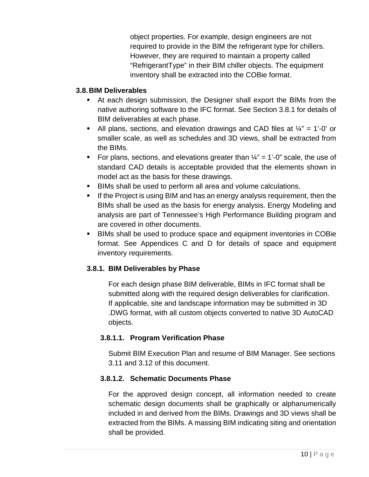object properties. For example, design engineers are not required to provide in the BIM the refrigerant type for chillers. However, they are required to maintain a property called "RefrigerantType" in their BIM chiller objects. The equipment inventory shall be extracted into the COBie format.

#### **3.8. BIM Deliverables**

- At each design submission, the Designer shall export the BIMs from the native authoring software to the IFC format. See Section 3.8.1 for details of BIM deliverables at each phase.
- All plans, sections, and elevation drawings and CAD files at  $\frac{1}{4}$ " = 1'-0' or smaller scale, as well as schedules and 3D views, shall be extracted from the BIMs.
- For plans, sections, and elevations greater than  $\mathcal{U}^* = 1$ '-0" scale, the use of standard CAD details is acceptable provided that the elements shown in model act as the basis for these drawings.
- BIMs shall be used to perform all area and volume calculations.
- If the Project is using BIM and has an energy analysis requirement, then the BIMs shall be used as the basis for energy analysis. Energy Modeling and analysis are part of Tennessee's High Performance Building program and are covered in other documents.
- BIMs shall be used to produce space and equipment inventories in COBie format. See Appendices C and D for details of space and equipment inventory requirements.

# **3.8.1. BIM Deliverables by Phase**

For each design phase BIM deliverable, BIMs in IFC format shall be submitted along with the required design deliverables for clarification. If applicable, site and landscape information may be submitted in 3D .DWG format, with all custom objects converted to native 3D AutoCAD objects.

# **3.8.1.1. Program Verification Phase**

Submit BIM Execution Plan and resume of BIM Manager. See sections 3.11 and 3.12 of this document.

# **3.8.1.2. Schematic Documents Phase**

For the approved design concept, all information needed to create schematic design documents shall be graphically or alphanumerically included in and derived from the BIMs. Drawings and 3D views shall be extracted from the BIMs. A massing BIM indicating siting and orientation shall be provided.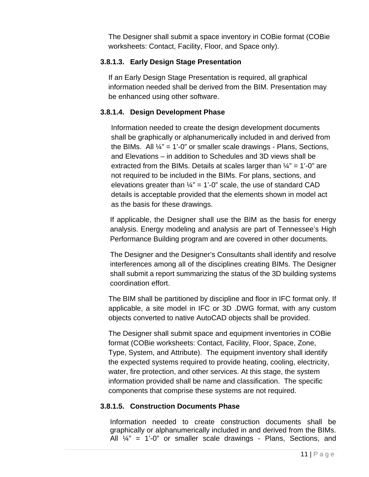The Designer shall submit a space inventory in COBie format (COBie worksheets: Contact, Facility, Floor, and Space only).

#### **3.8.1.3. Early Design Stage Presentation**

If an Early Design Stage Presentation is required, all graphical information needed shall be derived from the BIM. Presentation may be enhanced using other software.

# **3.8.1.4. Design Development Phase**

Information needed to create the design development documents shall be graphically or alphanumerically included in and derived from the BIMs. All  $\frac{1}{4}$ " = 1'-0" or smaller scale drawings - Plans, Sections, and Elevations – in addition to Schedules and 3D views shall be extracted from the BIMs. Details at scales larger than  $\frac{1}{4}$ " = 1'-0" are not required to be included in the BIMs. For plans, sections, and elevations greater than  $\frac{1}{4}$ " = 1'-0" scale, the use of standard CAD details is acceptable provided that the elements shown in model act as the basis for these drawings.

If applicable, the Designer shall use the BIM as the basis for energy analysis. Energy modeling and analysis are part of Tennessee's High Performance Building program and are covered in other documents.

The Designer and the Designer's Consultants shall identify and resolve interferences among all of the disciplines creating BIMs. The Designer shall submit a report summarizing the status of the 3D building systems coordination effort.

The BIM shall be partitioned by discipline and floor in IFC format only. If applicable, a site model in IFC or 3D .DWG format, with any custom objects converted to native AutoCAD objects shall be provided.

The Designer shall submit space and equipment inventories in COBie format (COBie worksheets: Contact, Facility, Floor, Space, Zone, Type, System, and Attribute). The equipment inventory shall identify the expected systems required to provide heating, cooling, electricity, water, fire protection, and other services. At this stage, the system information provided shall be name and classification. The specific components that comprise these systems are not required.

#### **3.8.1.5. Construction Documents Phase**

Information needed to create construction documents shall be graphically or alphanumerically included in and derived from the BIMs. All  $\frac{1}{4}$ " = 1'-0" or smaller scale drawings - Plans, Sections, and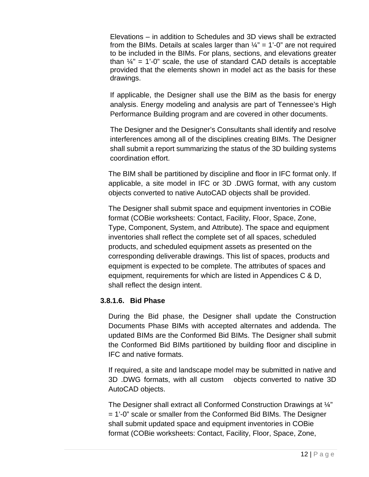Elevations – in addition to Schedules and 3D views shall be extracted from the BIMs. Details at scales larger than  $\frac{1}{4}$ " = 1'-0" are not required to be included in the BIMs. For plans, sections, and elevations greater than  $\frac{1}{4}$ " = 1'-0" scale, the use of standard CAD details is acceptable provided that the elements shown in model act as the basis for these drawings.

If applicable, the Designer shall use the BIM as the basis for energy analysis. Energy modeling and analysis are part of Tennessee's High Performance Building program and are covered in other documents.

The Designer and the Designer's Consultants shall identify and resolve interferences among all of the disciplines creating BIMs. The Designer shall submit a report summarizing the status of the 3D building systems coordination effort.

The BIM shall be partitioned by discipline and floor in IFC format only. If applicable, a site model in IFC or 3D .DWG format, with any custom objects converted to native AutoCAD objects shall be provided.

The Designer shall submit space and equipment inventories in COBie format (COBie worksheets: Contact, Facility, Floor, Space, Zone, Type, Component, System, and Attribute). The space and equipment inventories shall reflect the complete set of all spaces, scheduled products, and scheduled equipment assets as presented on the corresponding deliverable drawings. This list of spaces, products and equipment is expected to be complete. The attributes of spaces and equipment, requirements for which are listed in Appendices C & D, shall reflect the design intent.

#### **3.8.1.6. Bid Phase**

During the Bid phase, the Designer shall update the Construction Documents Phase BIMs with accepted alternates and addenda. The updated BIMs are the Conformed Bid BIMs. The Designer shall submit the Conformed Bid BIMs partitioned by building floor and discipline in IFC and native formats.

If required, a site and landscape model may be submitted in native and 3D .DWG formats, with all custom objects converted to native 3D AutoCAD objects.

The Designer shall extract all Conformed Construction Drawings at ¼" = 1'-0" scale or smaller from the Conformed Bid BIMs. The Designer shall submit updated space and equipment inventories in COBie format (COBie worksheets: Contact, Facility, Floor, Space, Zone,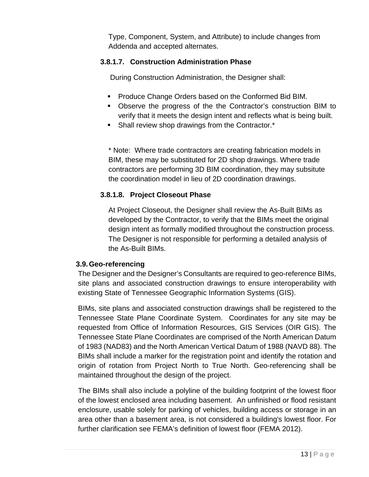Type, Component, System, and Attribute) to include changes from Addenda and accepted alternates.

#### **3.8.1.7. Construction Administration Phase**

During Construction Administration, the Designer shall:

- **Produce Change Orders based on the Conformed Bid BIM.**
- Observe the progress of the the Contractor's construction BIM to verify that it meets the design intent and reflects what is being built.
- Shall review shop drawings from the Contractor.\*

\* Note: Where trade contractors are creating fabrication models in BIM, these may be substituted for 2D shop drawings. Where trade contractors are performing 3D BIM coordination, they may subsitute the coordination model in lieu of 2D coordination drawings.

#### **3.8.1.8. Project Closeout Phase**

At Project Closeout, the Designer shall review the As-Built BIMs as developed by the Contractor, to verify that the BIMs meet the original design intent as formally modified throughout the construction process. The Designer is not responsible for performing a detailed analysis of the As-Built BIMs.

#### **3.9. Geo-referencing**

The Designer and the Designer's Consultants are required to geo-reference BIMs, site plans and associated construction drawings to ensure interoperability with existing State of Tennessee Geographic Information Systems (GIS).

BIMs, site plans and associated construction drawings shall be registered to the Tennessee State Plane Coordinate System. Coordinates for any site may be requested from Office of Information Resources, GIS Services (OIR GIS). The Tennessee State Plane Coordinates are comprised of the North American Datum of 1983 (NAD83) and the North American Vertical Datum of 1988 (NAVD 88). The BIMs shall include a marker for the registration point and identify the rotation and origin of rotation from Project North to True North. Geo-referencing shall be maintained throughout the design of the project.

The BIMs shall also include a polyline of the building footprint of the lowest floor of the lowest enclosed area including basement. An unfinished or flood resistant enclosure, usable solely for parking of vehicles, building access or storage in an area other than a basement area, is not considered a building's lowest floor. For further clarification see FEMA's definition of lowest floor (FEMA 2012).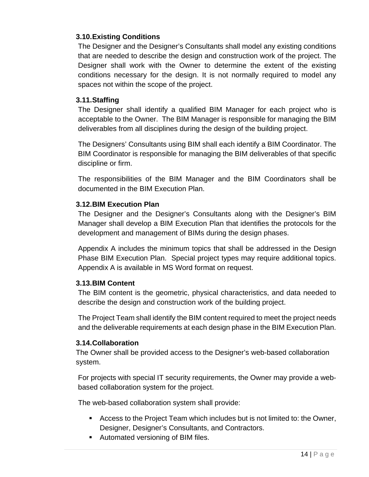#### **3.10. Existing Conditions**

The Designer and the Designer's Consultants shall model any existing conditions that are needed to describe the design and construction work of the project. The Designer shall work with the Owner to determine the extent of the existing conditions necessary for the design. It is not normally required to model any spaces not within the scope of the project.

#### **3.11. Staffing**

The Designer shall identify a qualified BIM Manager for each project who is acceptable to the Owner. The BIM Manager is responsible for managing the BIM deliverables from all disciplines during the design of the building project.

The Designers' Consultants using BIM shall each identify a BIM Coordinator. The BIM Coordinator is responsible for managing the BIM deliverables of that specific discipline or firm.

The responsibilities of the BIM Manager and the BIM Coordinators shall be documented in the BIM Execution Plan.

#### **3.12. BIM Execution Plan**

The Designer and the Designer's Consultants along with the Designer's BIM Manager shall develop a BIM Execution Plan that identifies the protocols for the development and management of BIMs during the design phases.

Appendix A includes the minimum topics that shall be addressed in the Design Phase BIM Execution Plan. Special project types may require additional topics. Appendix A is available in MS Word format on request.

#### **3.13. BIM Content**

The BIM content is the geometric, physical characteristics, and data needed to describe the design and construction work of the building project.

The Project Team shall identify the BIM content required to meet the project needs and the deliverable requirements at each design phase in the BIM Execution Plan.

#### **3.14. Collaboration**

The Owner shall be provided access to the Designer's web-based collaboration system.

For projects with special IT security requirements, the Owner may provide a webbased collaboration system for the project.

The web-based collaboration system shall provide:

- Access to the Project Team which includes but is not limited to: the Owner, Designer, Designer's Consultants, and Contractors.
- Automated versioning of BIM files.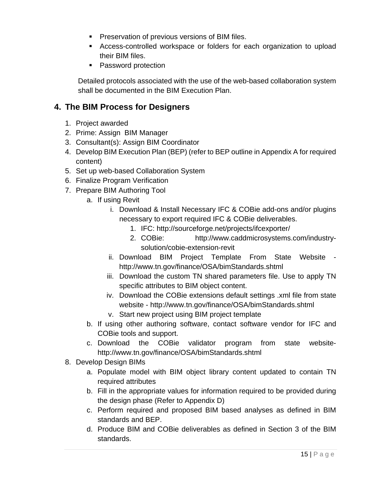- **Preservation of previous versions of BIM files.**
- Access-controlled workspace or folders for each organization to upload their BIM files.
- Password protection

Detailed protocols associated with the use of the web-based collaboration system shall be documented in the BIM Execution Plan.

# **4. The BIM Process for Designers**

- 1. Project awarded
- 2. Prime: Assign BIM Manager
- 3. Consultant(s): Assign BIM Coordinator
- 4. Develop BIM Execution Plan (BEP) (refer to BEP outline in Appendix A for required content)
- 5. Set up web-based Collaboration System
- 6. Finalize Program Verification
- 7. Prepare BIM Authoring Tool
	- a. If using Revit
		- i. Download & Install Necessary IFC & COBie add-ons and/or plugins necessary to export required IFC & COBie deliverables.
			- 1. IFC: http://sourceforge.net/projects/ifcexporter/
			- 2. COBie: http://www.caddmicrosystems.com/industrysolution/cobie-extension-revit
		- ii. Download BIM Project Template From State Website http://www.tn.gov/finance/OSA/bimStandards.shtml
		- iii. Download the custom TN shared parameters file. Use to apply TN specific attributes to BIM object content.
		- iv. Download the COBie extensions default settings .xml file from state website - http://www.tn.gov/finance/OSA/bimStandards.shtml
		- v. Start new project using BIM project template
	- b. If using other authoring software, contact software vendor for IFC and COBie tools and support.
	- c. Download the COBie validator program from state websitehttp://www.tn.gov/finance/OSA/bimStandards.shtml
- 8. Develop Design BIMs
	- a. Populate model with BIM object library content updated to contain TN required attributes
	- b. Fill in the appropriate values for information required to be provided during the design phase (Refer to Appendix D)
	- c. Perform required and proposed BIM based analyses as defined in BIM standards and BEP.
	- d. Produce BIM and COBie deliverables as defined in Section 3 of the BIM standards.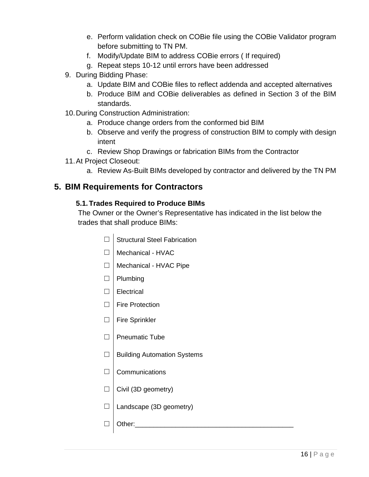- e. Perform validation check on COBie file using the COBie Validator program before submitting to TN PM.
- f. Modify/Update BIM to address COBie errors ( If required)
- g. Repeat steps 10-12 until errors have been addressed
- 9. During Bidding Phase:
	- a. Update BIM and COBie files to reflect addenda and accepted alternatives
	- b. Produce BIM and COBie deliverables as defined in Section 3 of the BIM standards.
- 10. During Construction Administration:
	- a. Produce change orders from the conformed bid BIM
	- b. Observe and verify the progress of construction BIM to comply with design intent
	- c. Review Shop Drawings or fabrication BIMs from the Contractor
- 11. At Project Closeout:
	- a. Review As-Built BIMs developed by contractor and delivered by the TN PM

# **5. BIM Requirements for Contractors**

#### **5.1. Trades Required to Produce BIMs**

The Owner or the Owner's Representative has indicated in the list below the trades that shall produce BIMs:

- ☐ Structural Steel Fabrication
- □ Mechanical HVAC
- □ | Mechanical HVAC Pipe
- ☐ Plumbing
- □ Electrical
- ☐ Fire Protection
- ☐ Fire Sprinkler
- ☐ Pneumatic Tube
- $\Box$  Building Automation Systems
- ☐ Communications
- $\Box$  Civil (3D geometry)
- ☐ Landscape (3D geometry)
- $\Box$  Other: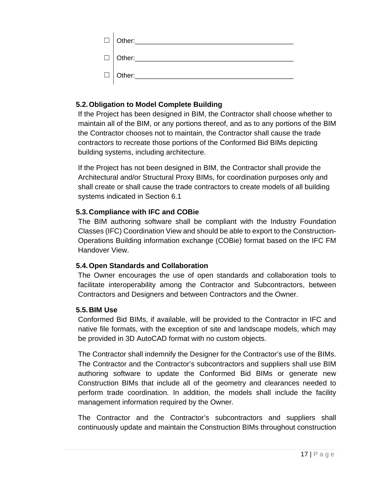| $\Box$ Other: |
|---------------|
| $\Box$ Other: |
| $\Box$ Other: |

#### **5.2. Obligation to Model Complete Building**

If the Project has been designed in BIM, the Contractor shall choose whether to maintain all of the BIM, or any portions thereof, and as to any portions of the BIM the Contractor chooses not to maintain, the Contractor shall cause the trade contractors to recreate those portions of the Conformed Bid BIMs depicting building systems, including architecture.

If the Project has not been designed in BIM, the Contractor shall provide the Architectural and/or Structural Proxy BIMs, for coordination purposes only and shall create or shall cause the trade contractors to create models of all building systems indicated in Section 6.1

#### **5.3. Compliance with IFC and COBie**

The BIM authoring software shall be compliant with the Industry Foundation Classes (IFC) Coordination View and should be able to export to the Construction-Operations Building information exchange (COBie) format based on the IFC FM Handover View.

#### **5.4. Open Standards and Collaboration**

The Owner encourages the use of open standards and collaboration tools to facilitate interoperability among the Contractor and Subcontractors, between Contractors and Designers and between Contractors and the Owner.

#### **5.5. BIM Use**

Conformed Bid BIMs, if available, will be provided to the Contractor in IFC and native file formats, with the exception of site and landscape models, which may be provided in 3D AutoCAD format with no custom objects.

The Contractor shall indemnify the Designer for the Contractor's use of the BIMs. The Contractor and the Contractor's subcontractors and suppliers shall use BIM authoring software to update the Conformed Bid BIMs or generate new Construction BIMs that include all of the geometry and clearances needed to perform trade coordination. In addition, the models shall include the facility management information required by the Owner.

The Contractor and the Contractor's subcontractors and suppliers shall continuously update and maintain the Construction BIMs throughout construction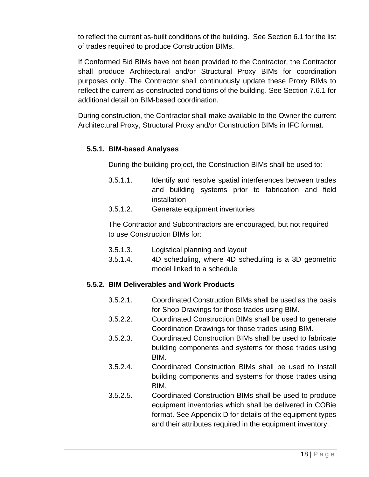to reflect the current as-built conditions of the building. See Section 6.1 for the list of trades required to produce Construction BIMs.

If Conformed Bid BIMs have not been provided to the Contractor, the Contractor shall produce Architectural and/or Structural Proxy BIMs for coordination purposes only. The Contractor shall continuously update these Proxy BIMs to reflect the current as-constructed conditions of the building. See Section 7.6.1 for additional detail on BIM-based coordination.

During construction, the Contractor shall make available to the Owner the current Architectural Proxy, Structural Proxy and/or Construction BIMs in IFC format.

#### **5.5.1. BIM-based Analyses**

During the building project, the Construction BIMs shall be used to:

- 3.5.1.1. Identify and resolve spatial interferences between trades and building systems prior to fabrication and field installation
- 3.5.1.2. Generate equipment inventories

The Contractor and Subcontractors are encouraged, but not required to use Construction BIMs for:

- 3.5.1.3. Logistical planning and layout
- 3.5.1.4. 4D scheduling, where 4D scheduling is a 3D geometric model linked to a schedule

#### **5.5.2. BIM Deliverables and Work Products**

- 3.5.2.1. Coordinated Construction BIMs shall be used as the basis for Shop Drawings for those trades using BIM.
- 3.5.2.2. Coordinated Construction BIMs shall be used to generate Coordination Drawings for those trades using BIM.
- 3.5.2.3. Coordinated Construction BIMs shall be used to fabricate building components and systems for those trades using BIM.
- 3.5.2.4. Coordinated Construction BIMs shall be used to install building components and systems for those trades using BIM.
- 3.5.2.5. Coordinated Construction BIMs shall be used to produce equipment inventories which shall be delivered in COBie format. See Appendix D for details of the equipment types and their attributes required in the equipment inventory.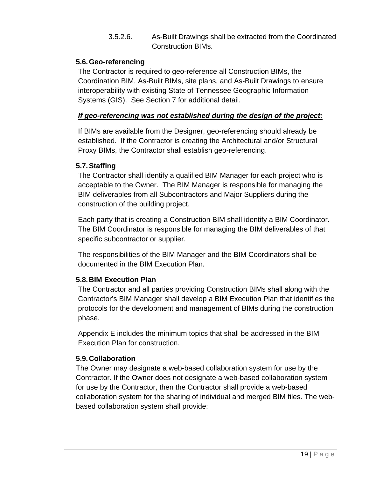3.5.2.6. As-Built Drawings shall be extracted from the Coordinated Construction BIMs.

#### **5.6. Geo-referencing**

The Contractor is required to geo-reference all Construction BIMs, the Coordination BIM, As-Built BIMs, site plans, and As-Built Drawings to ensure interoperability with existing State of Tennessee Geographic Information Systems (GIS). See Section 7 for additional detail.

#### *If geo-referencing was not established during the design of the project:*

If BIMs are available from the Designer, geo-referencing should already be established. If the Contractor is creating the Architectural and/or Structural Proxy BIMs, the Contractor shall establish geo-referencing.

#### **5.7. Staffing**

The Contractor shall identify a qualified BIM Manager for each project who is acceptable to the Owner. The BIM Manager is responsible for managing the BIM deliverables from all Subcontractors and Major Suppliers during the construction of the building project.

Each party that is creating a Construction BIM shall identify a BIM Coordinator. The BIM Coordinator is responsible for managing the BIM deliverables of that specific subcontractor or supplier.

The responsibilities of the BIM Manager and the BIM Coordinators shall be documented in the BIM Execution Plan.

#### **5.8. BIM Execution Plan**

The Contractor and all parties providing Construction BIMs shall along with the Contractor's BIM Manager shall develop a BIM Execution Plan that identifies the protocols for the development and management of BIMs during the construction phase.

Appendix E includes the minimum topics that shall be addressed in the BIM Execution Plan for construction.

#### **5.9. Collaboration**

The Owner may designate a web-based collaboration system for use by the Contractor. If the Owner does not designate a web-based collaboration system for use by the Contractor, then the Contractor shall provide a web-based collaboration system for the sharing of individual and merged BIM files. The webbased collaboration system shall provide: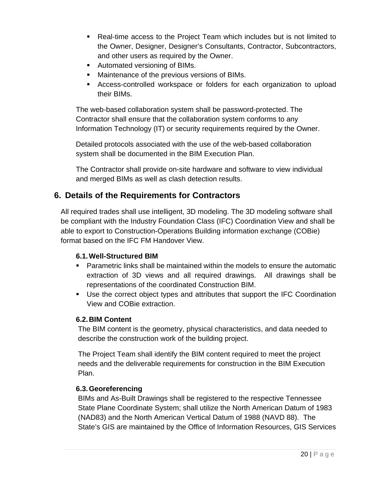- Real-time access to the Project Team which includes but is not limited to the Owner, Designer, Designer's Consultants, Contractor, Subcontractors, and other users as required by the Owner.
- Automated versioning of BIMs.
- **Maintenance of the previous versions of BIMs.**
- Access-controlled workspace or folders for each organization to upload their BIMs.

The web-based collaboration system shall be password-protected. The Contractor shall ensure that the collaboration system conforms to any Information Technology (IT) or security requirements required by the Owner.

Detailed protocols associated with the use of the web-based collaboration system shall be documented in the BIM Execution Plan.

The Contractor shall provide on-site hardware and software to view individual and merged BIMs as well as clash detection results.

# **6. Details of the Requirements for Contractors**

All required trades shall use intelligent, 3D modeling. The 3D modeling software shall be compliant with the Industry Foundation Class (IFC) Coordination View and shall be able to export to Construction-Operations Building information exchange (COBie) format based on the IFC FM Handover View.

# **6.1. Well-Structured BIM**

- Parametric links shall be maintained within the models to ensure the automatic extraction of 3D views and all required drawings. All drawings shall be representations of the coordinated Construction BIM.
- Use the correct object types and attributes that support the IFC Coordination View and COBie extraction.

#### **6.2. BIM Content**

The BIM content is the geometry, physical characteristics, and data needed to describe the construction work of the building project.

The Project Team shall identify the BIM content required to meet the project needs and the deliverable requirements for construction in the BIM Execution Plan.

#### **6.3. Georeferencing**

BIMs and As-Built Drawings shall be registered to the respective Tennessee State Plane Coordinate System; shall utilize the North American Datum of 1983 (NAD83) and the North American Vertical Datum of 1988 (NAVD 88). The State's GIS are maintained by the Office of Information Resources, GIS Services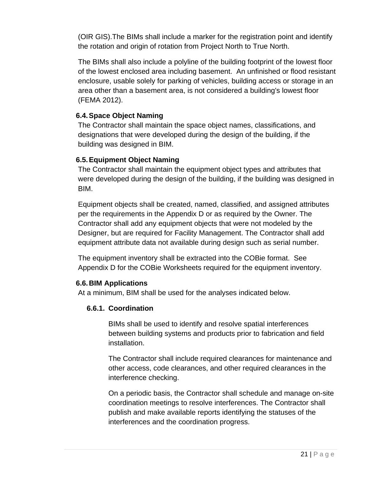(OIR GIS).The BIMs shall include a marker for the registration point and identify the rotation and origin of rotation from Project North to True North.

The BIMs shall also include a polyline of the building footprint of the lowest floor of the lowest enclosed area including basement. An unfinished or flood resistant enclosure, usable solely for parking of vehicles, building access or storage in an area other than a basement area, is not considered a building's lowest floor (FEMA 2012).

#### **6.4. Space Object Naming**

The Contractor shall maintain the space object names, classifications, and designations that were developed during the design of the building, if the building was designed in BIM.

#### **6.5. Equipment Object Naming**

The Contractor shall maintain the equipment object types and attributes that were developed during the design of the building, if the building was designed in BIM.

Equipment objects shall be created, named, classified, and assigned attributes per the requirements in the Appendix D or as required by the Owner. The Contractor shall add any equipment objects that were not modeled by the Designer, but are required for Facility Management. The Contractor shall add equipment attribute data not available during design such as serial number.

The equipment inventory shall be extracted into the COBie format. See Appendix D for the COBie Worksheets required for the equipment inventory.

#### **6.6. BIM Applications**

At a minimum, BIM shall be used for the analyses indicated below.

# **6.6.1. Coordination**

BIMs shall be used to identify and resolve spatial interferences between building systems and products prior to fabrication and field installation.

The Contractor shall include required clearances for maintenance and other access, code clearances, and other required clearances in the interference checking.

On a periodic basis, the Contractor shall schedule and manage on-site coordination meetings to resolve interferences. The Contractor shall publish and make available reports identifying the statuses of the interferences and the coordination progress.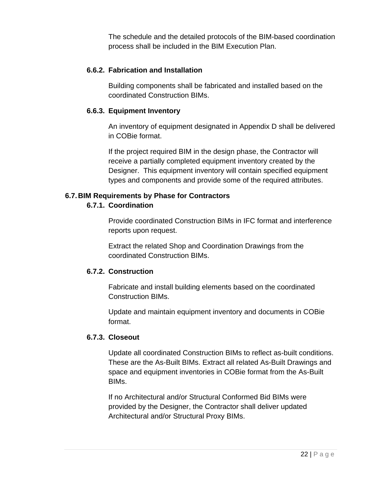The schedule and the detailed protocols of the BIM-based coordination process shall be included in the BIM Execution Plan.

#### **6.6.2. Fabrication and Installation**

Building components shall be fabricated and installed based on the coordinated Construction BIMs.

#### **6.6.3. Equipment Inventory**

An inventory of equipment designated in Appendix D shall be delivered in COBie format.

If the project required BIM in the design phase, the Contractor will receive a partially completed equipment inventory created by the Designer. This equipment inventory will contain specified equipment types and components and provide some of the required attributes.

#### **6.7. BIM Requirements by Phase for Contractors**

#### **6.7.1. Coordination**

Provide coordinated Construction BIMs in IFC format and interference reports upon request.

Extract the related Shop and Coordination Drawings from the coordinated Construction BIMs.

#### **6.7.2. Construction**

Fabricate and install building elements based on the coordinated Construction BIMs.

Update and maintain equipment inventory and documents in COBie format.

#### **6.7.3. Closeout**

Update all coordinated Construction BIMs to reflect as-built conditions. These are the As-Built BIMs. Extract all related As-Built Drawings and space and equipment inventories in COBie format from the As-Built BIMs.

If no Architectural and/or Structural Conformed Bid BIMs were provided by the Designer, the Contractor shall deliver updated Architectural and/or Structural Proxy BIMs.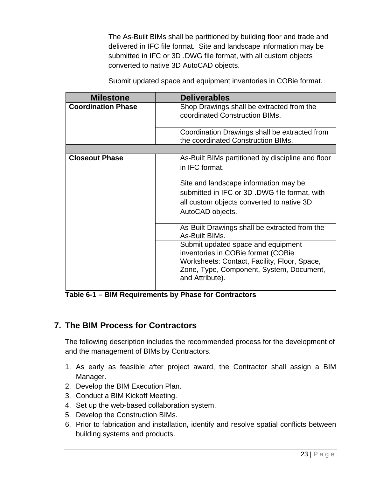The As-Built BIMs shall be partitioned by building floor and trade and delivered in IFC file format. Site and landscape information may be submitted in IFC or 3D .DWG file format, with all custom objects converted to native 3D AutoCAD objects.

Submit updated space and equipment inventories in COBie format.

| <b>Milestone</b>          | <b>Deliverables</b>                                                                                                                                                                     |
|---------------------------|-----------------------------------------------------------------------------------------------------------------------------------------------------------------------------------------|
| <b>Coordination Phase</b> | Shop Drawings shall be extracted from the<br>coordinated Construction BIMs.                                                                                                             |
|                           | Coordination Drawings shall be extracted from<br>the coordinated Construction BIMs.                                                                                                     |
|                           |                                                                                                                                                                                         |
| <b>Closeout Phase</b>     | As-Built BIMs partitioned by discipline and floor<br>in IFC format.                                                                                                                     |
|                           | Site and landscape information may be<br>submitted in IFC or 3D .DWG file format, with<br>all custom objects converted to native 3D<br>AutoCAD objects.                                 |
|                           | As-Built Drawings shall be extracted from the<br>As-Built BIMs.                                                                                                                         |
|                           | Submit updated space and equipment<br>inventories in COBie format (COBie<br>Worksheets: Contact, Facility, Floor, Space,<br>Zone, Type, Component, System, Document,<br>and Attribute). |

**Table 6-1 – BIM Requirements by Phase for Contractors** 

# **7. The BIM Process for Contractors**

The following description includes the recommended process for the development of and the management of BIMs by Contractors.

- 1. As early as feasible after project award, the Contractor shall assign a BIM Manager.
- 2. Develop the BIM Execution Plan.
- 3. Conduct a BIM Kickoff Meeting.
- 4. Set up the web-based collaboration system.
- 5. Develop the Construction BIMs.
- 6. Prior to fabrication and installation, identify and resolve spatial conflicts between building systems and products.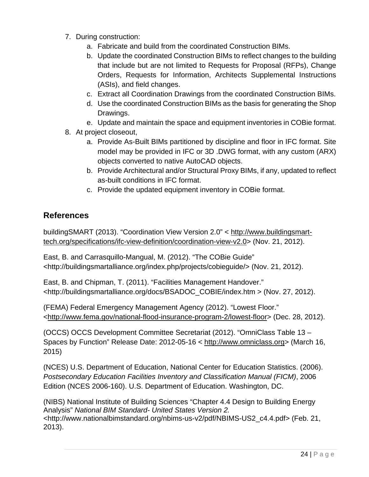- 7. During construction:
	- a. Fabricate and build from the coordinated Construction BIMs.
	- b. Update the coordinated Construction BIMs to reflect changes to the building that include but are not limited to Requests for Proposal (RFPs), Change Orders, Requests for Information, Architects Supplemental Instructions (ASIs), and field changes.
	- c. Extract all Coordination Drawings from the coordinated Construction BIMs.
	- d. Use the coordinated Construction BIMs as the basis for generating the Shop Drawings.
	- e. Update and maintain the space and equipment inventories in COBie format.
- 8. At project closeout,
	- a. Provide As-Built BIMs partitioned by discipline and floor in IFC format. Site model may be provided in IFC or 3D .DWG format, with any custom (ARX) objects converted to native AutoCAD objects.
	- b. Provide Architectural and/or Structural Proxy BIMs, if any, updated to reflect as-built conditions in IFC format.
	- c. Provide the updated equipment inventory in COBie format.

# **References**

buildingSMART (2013). "Coordination View Version 2.0" < http://www.buildingsmarttech.org/specifications/ifc-view-definition/coordination-view-v2.0> (Nov. 21, 2012).

East, B. and Carrasquillo-Mangual, M. (2012). "The COBie Guide" <http://buildingsmartalliance.org/index.php/projects/cobieguide/> (Nov. 21, 2012).

East, B. and Chipman, T. (2011). "Facilities Management Handover." <http://buildingsmartalliance.org/docs/BSADOC\_COBIE/index.htm > (Nov. 27, 2012).

(FEMA) Federal Emergency Management Agency (2012). "Lowest Floor." <http://www.fema.gov/national-flood-insurance-program-2/lowest-floor> (Dec. 28, 2012).

(OCCS) OCCS Development Committee Secretariat (2012). "OmniClass Table 13 – Spaces by Function" Release Date: 2012-05-16 < http://www.omniclass.org> (March 16, 2015)

(NCES) U.S. Department of Education, National Center for Education Statistics. (2006). *Postsecondary Education Facilities Inventory and Classification Manual (FICM)*, 2006 Edition (NCES 2006-160). U.S. Department of Education. Washington, DC.

(NIBS) National Institute of Building Sciences "Chapter 4.4 Design to Building Energy Analysis" *National BIM Standard- United States Version 2.* <http://www.nationalbimstandard.org/nbims-us-v2/pdf/NBIMS-US2\_c4.4.pdf> (Feb. 21, 2013).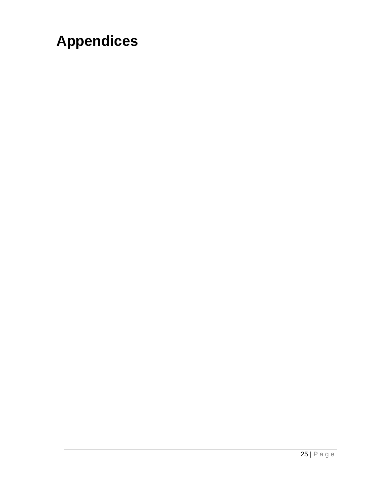# **Appendices**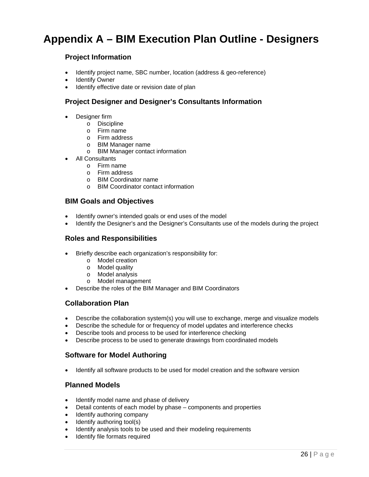# **Appendix A – BIM Execution Plan Outline - Designers**

#### **Project Information**

- Identify project name, SBC number, location (address & geo-reference)
- Identify Owner
- Identify effective date or revision date of plan

#### **Project Designer and Designer's Consultants Information**

- Designer firm
	- o Discipline
	- o Firm name
	- o Firm address
	- o BIM Manager name
	- o BIM Manager contact information
- All Consultants
	- o Firm name
	- o Firm address
	- o BIM Coordinator name
	- o BIM Coordinator contact information

#### **BIM Goals and Objectives**

- Identify owner's intended goals or end uses of the model
- Identify the Designer's and the Designer's Consultants use of the models during the project

#### **Roles and Responsibilities**

- Briefly describe each organization's responsibility for:
	- o Model creation
	- o Model quality
	- o Model analysis
	- o Model management
- Describe the roles of the BIM Manager and BIM Coordinators

#### **Collaboration Plan**

- Describe the collaboration system(s) you will use to exchange, merge and visualize models
- Describe the schedule for or frequency of model updates and interference checks
- Describe tools and process to be used for interference checking
- Describe process to be used to generate drawings from coordinated models

#### **Software for Model Authoring**

• Identify all software products to be used for model creation and the software version

#### **Planned Models**

- Identify model name and phase of delivery
- Detail contents of each model by phase components and properties
- Identify authoring company
- Identify authoring tool(s)
- Identify analysis tools to be used and their modeling requirements
- Identify file formats required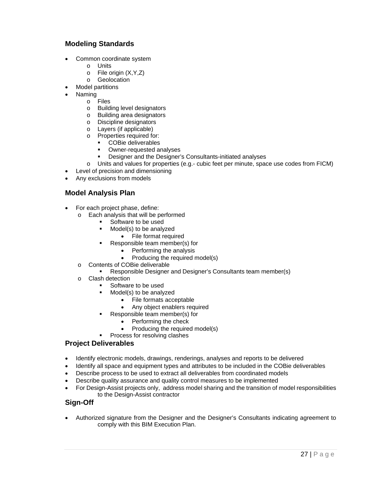#### **Modeling Standards**

- Common coordinate system
	- o Units
	- o File origin (X,Y,Z)
	- o Geolocation
	- Model partitions
- Naming
	- o Files<br>o Build
	- **Building level designators**
	- o Building area designators
	- o Discipline designators
	- o Layers (if applicable)
	- o Properties required for:
		- COBie deliverables
		- Owner-requested analyses
		- Designer and the Designer's Consultants-initiated analyses
	- o Units and values for properties (e.g.- cubic feet per minute, space use codes from FICM)
- Level of precision and dimensioning
- Any exclusions from models

#### **Model Analysis Plan**

- For each project phase, define:
	- o Each analysis that will be performed
		- Software to be used
		- Model(s) to be analyzed
			- File format required
		- Responsible team member(s) for
			- Performing the analysis
			- Producing the required model(s)
	- o Contents of COBie deliverable
		- **Responsible Designer and Designer's Consultants team member(s)**
	- o Clash detection
		- **Software to be used**
		- Model(s) to be analyzed
			- File formats acceptable
			- Any object enablers required
		- Responsible team member(s) for
			- Performing the check
			- Producing the required model(s)
		- **Process for resolving clashes**

#### **Project Deliverables**

- Identify electronic models, drawings, renderings, analyses and reports to be delivered
- Identify all space and equipment types and attributes to be included in the COBie deliverables
- Describe process to be used to extract all deliverables from coordinated models
- Describe quality assurance and quality control measures to be implemented
- For Design-Assist projects only, address model sharing and the transition of model responsibilities to the Design-Assist contractor

#### **Sign-Off**

 Authorized signature from the Designer and the Designer's Consultants indicating agreement to comply with this BIM Execution Plan.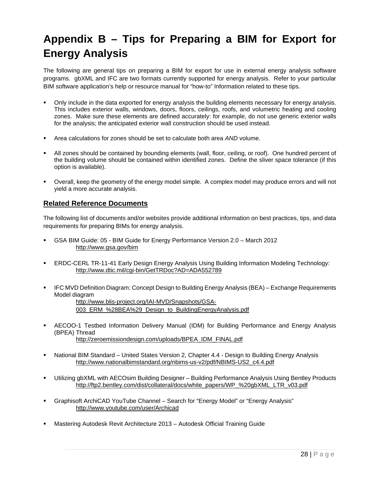# **Appendix B – Tips for Preparing a BIM for Export for Energy Analysis**

The following are general tips on preparing a BIM for export for use in external energy analysis software programs. gbXML and IFC are two formats currently supported for energy analysis. Refer to your particular BIM software application's help or resource manual for "how-to" Information related to these tips.

- Only include in the data exported for energy analysis the building elements necessary for energy analysis. This includes exterior walls, windows, doors, floors, ceilings, roofs, and volumetric heating and cooling zones. Make sure these elements are defined accurately: for example, do not use generic exterior walls for the analysis; the anticipated exterior wall construction should be used instead.
- Area calculations for zones should be set to calculate both area *AND* volume.
- All zones should be contained by bounding elements (wall, floor, ceiling, or roof). One hundred percent of the building volume should be contained within identified zones. Define the sliver space tolerance (if this option is available).
- Overall, keep the geometry of the energy model simple. A complex model may produce errors and will not yield a more accurate analysis.

#### **Related Reference Documents**

The following list of documents and/or websites provide additional information on best practices, tips, and data requirements for preparing BIMs for energy analysis.

- GSA BIM Guide: 05 BIM Guide for Energy Performance Version 2.0 March 2012 http://www.gsa.gov/bim
- ERDC-CERL TR-11-41 Early Design Energy Analysis Using Building Information Modeling Technology: http://www.dtic.mil/cgi-bin/GetTRDoc?AD=ADA552789
- IFC MVD Definition Diagram: Concept Design to Building Energy Analysis (BEA) Exchange Requirements Model diagram

http://www.blis-project.org/IAI-MVD/Snapshots/GSA-003\_ERM\_%28BEA%29\_Design\_to\_BuildingEnergyAnalysis.pdf

- AECOO-1 Testbed Information Delivery Manual (IDM) for Building Performance and Energy Analysis (BPEA) Thread http://zeroemissiondesign.com/uploads/BPEA\_IDM\_FINAL.pdf
- National BIM Standard United States Version 2, Chapter 4.4 Design to Building Energy Analysis http://www.nationalbimstandard.org/nbims-us-v2/pdf/NBIMS-US2\_c4.4.pdf
- Utilizing gbXML with AECOsim Building Designer Building Performance Analysis Using Bentley Products http://ftp2.bentley.com/dist/collateral/docs/white\_papers/WP\_%20gbXML\_LTR\_v03.pdf
- Graphisoft ArchiCAD YouTube Channel Search for "Energy Model" or "Energy Analysis" http://www.youtube.com/user/Archicad
- Mastering Autodesk Revit Architecture 2013 Autodesk Official Training Guide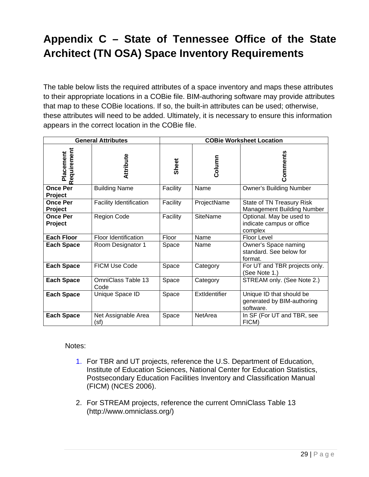# **Appendix C – State of Tennessee Office of the State Architect (TN OSA) Space Inventory Requirements**

The table below lists the required attributes of a space inventory and maps these attributes to their appropriate locations in a COBie file. BIM-authoring software may provide attributes that map to these COBie locations. If so, the built-in attributes can be used; otherwise, these attributes will need to be added. Ultimately, it is necessary to ensure this information appears in the correct location in the COBie file.

|                            | <b>General Attributes</b>   | <b>COBie Worksheet Location</b> |                 |                                                                     |
|----------------------------|-----------------------------|---------------------------------|-----------------|---------------------------------------------------------------------|
| Requirement<br>Placement   | Attribute                   | Sheet                           | Column          | Comments                                                            |
| <b>Once Per</b><br>Project | <b>Building Name</b>        | Facility                        | Name            | <b>Owner's Building Number</b>                                      |
| <b>Once Per</b><br>Project | Facility Identification     | Facility                        | ProjectName     | State of TN Treasury Risk<br><b>Management Building Number</b>      |
| <b>Once Per</b><br>Project | <b>Region Code</b>          | Facility                        | <b>SiteName</b> | Optional. May be used to<br>indicate campus or office<br>complex    |
| <b>Each Floor</b>          | Floor Identification        | Floor                           | Name            | Floor Level                                                         |
| <b>Each Space</b>          | Room Designator 1           | Space                           | Name            | Owner's Space naming<br>standard. See below for<br>format.          |
| <b>Each Space</b>          | <b>FICM Use Code</b>        | Space                           | Category        | For UT and TBR projects only.<br>(See Note 1.)                      |
| <b>Each Space</b>          | OmniClass Table 13<br>Code  | Space                           | Category        | STREAM only. (See Note 2.)                                          |
| <b>Each Space</b>          | Unique Space ID             | Space                           | ExtIdentifier   | Unique ID that should be<br>generated by BIM-authoring<br>software. |
| <b>Each Space</b>          | Net Assignable Area<br>(sf) | Space                           | NetArea         | In SF (For UT and TBR, see<br>FICM)                                 |

#### Notes:

- 1. For TBR and UT projects, reference the U.S. Department of Education, Institute of Education Sciences, National Center for Education Statistics, Postsecondary Education Facilities Inventory and Classification Manual (FICM) (NCES 2006).
- 2. For STREAM projects, reference the current OmniClass Table 13 (http://www.omniclass.org/)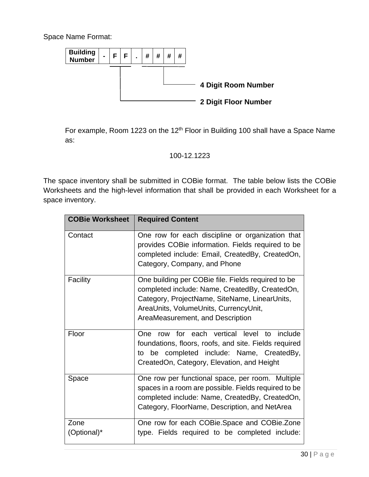Space Name Format:



For example, Room 1223 on the 12<sup>th</sup> Floor in Building 100 shall have a Space Name as:

100-12.1223

The space inventory shall be submitted in COBie format. The table below lists the COBie Worksheets and the high-level information that shall be provided in each Worksheet for a space inventory.

| <b>COBie Worksheet</b> | <b>Required Content</b>                                                                                                                                                                                                            |
|------------------------|------------------------------------------------------------------------------------------------------------------------------------------------------------------------------------------------------------------------------------|
| Contact                | One row for each discipline or organization that<br>provides COBie information. Fields required to be<br>completed include: Email, CreatedBy, CreatedOn,<br>Category, Company, and Phone                                           |
| Facility               | One building per COBie file. Fields required to be<br>completed include: Name, CreatedBy, CreatedOn,<br>Category, ProjectName, SiteName, LinearUnits,<br>AreaUnits, VolumeUnits, CurrencyUnit,<br>AreaMeasurement, and Description |
| Floor                  | for each vertical level<br>include<br>One<br>to<br>row<br>foundations, floors, roofs, and site. Fields required<br>be completed include: Name, CreatedBy,<br>to<br>CreatedOn, Category, Elevation, and Height                      |
| Space                  | One row per functional space, per room. Multiple<br>spaces in a room are possible. Fields required to be<br>completed include: Name, CreatedBy, CreatedOn,<br>Category, FloorName, Description, and NetArea                        |
| Zone<br>(Optional)*    | One row for each COBie.Space and COBie.Zone<br>type. Fields required to be completed include:                                                                                                                                      |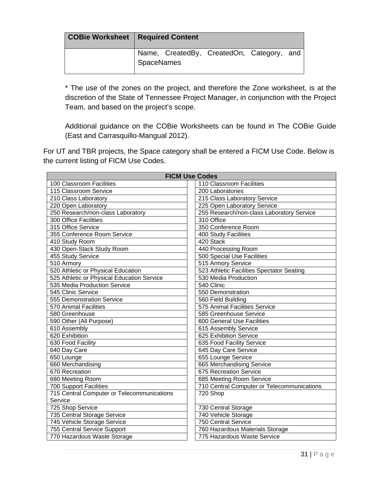| <b>COBie Worksheet   Required Content</b> |                   |  |                                           |  |  |
|-------------------------------------------|-------------------|--|-------------------------------------------|--|--|
|                                           | <b>SpaceNames</b> |  | Name, CreatedBy, CreatedOn, Category, and |  |  |

\* The use of the zones on the project, and therefore the Zone worksheet, is at the discretion of the State of Tennessee Project Manager, in conjunction with the Project Team, and based on the project's scope.

Additional guidance on the COBie Worksheets can be found in The COBie Guide (East and Carrasquillo-Mangual 2012).

For UT and TBR projects, the Space category shall be entered a FICM Use Code. Below is the current listing of FICM Use Codes.

| <b>FICM Use Codes</b>                      |                                            |  |  |
|--------------------------------------------|--------------------------------------------|--|--|
| 100 Classroom Facilities                   | 110 Classroom Facilities                   |  |  |
| 115 Classroom Service                      | 200 Laboratories                           |  |  |
| 210 Class Laboratory                       | 215 Class Laboratory Service               |  |  |
| 220 Open Laboratory                        | 225 Open Laboratory Service                |  |  |
| 250 Research/non-class Laboratory          | 255 Research/non-class Laboratory Service  |  |  |
| 300 Office Facilities                      | 310 Office                                 |  |  |
| 315 Office Service                         | 350 Conference Room                        |  |  |
| 355 Conference Room Service                | 400 Study Facilities                       |  |  |
| 410 Study Room                             | 420 Stack                                  |  |  |
| 430 Open-Stack Study Room                  | 440 Processing Room                        |  |  |
| 455 Study Service                          | 500 Special Use Facilities                 |  |  |
| 510 Armory                                 | 515 Armory Service                         |  |  |
| 520 Athletic or Physical Education         | 523 Athletic Facilities Spectator Seating  |  |  |
| 525 Athletic or Physical Education Service | 530 Media Production                       |  |  |
| 535 Media Production Service               | 540 Clinic                                 |  |  |
| 545 Clinic Service                         | 550 Demonstration                          |  |  |
| 555 Demonstration Service                  | 560 Field Building                         |  |  |
| 570 Animal Facilities                      | 575 Animal Facilities Service              |  |  |
| 580 Greenhouse                             | 585 Greenhouse Service                     |  |  |
| 590 Other (All Purpose)                    | 600 General Use Facilities                 |  |  |
| 610 Assembly                               | 615 Assembly Service                       |  |  |
| 620 Exhibition                             | 625 Exhibition Service                     |  |  |
| 630 Food Facility                          | 635 Food Facility Service                  |  |  |
| 640 Day Care                               | 645 Day Care Service                       |  |  |
| 650 Lounge                                 | 655 Lounge Service                         |  |  |
| 660 Merchandising                          | 665 Merchandising Service                  |  |  |
| 670 Recreation                             | <b>675 Recreation Service</b>              |  |  |
| 680 Meeting Room                           | 685 Meeting Room Service                   |  |  |
| 700 Support Facilities                     | 710 Central Computer or Telecommunications |  |  |
| 715 Central Computer or Telecommunications | 720 Shop                                   |  |  |
| Service                                    |                                            |  |  |
| 725 Shop Service                           | 730 Central Storage                        |  |  |
| 735 Central Storage Service                | 740 Vehicle Storage                        |  |  |
| 745 Vehicle Storage Service                | 750 Central Service                        |  |  |
| 755 Central Service Support                | 760 Hazardous Materials Storage            |  |  |
| 770 Hazardous Waste Storage                | 775 Hazardous Waste Service                |  |  |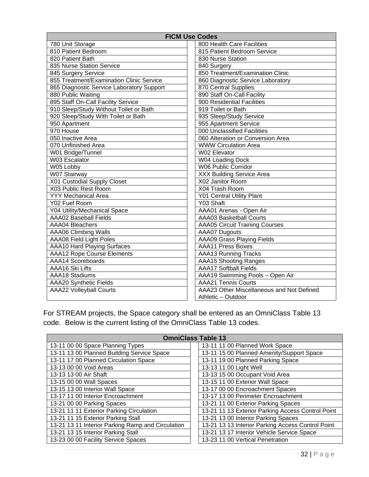| <b>FICM Use Codes</b>                     |                                           |  |
|-------------------------------------------|-------------------------------------------|--|
| 780 Unit Storage                          | 800 Health Care Facilities                |  |
| 810 Patient Bedroom                       | 815 Patient Bedroom Service               |  |
| 820 Patient Bath                          | 830 Nurse Station                         |  |
| 835 Nurse Station Service                 | 840 Surgery                               |  |
| 845 Surgery Service                       | 850 Treatment/Examination Clinic          |  |
| 855 Treatment/Examination Clinic Service  | 860 Diagnostic Service Laboratory         |  |
| 865 Diagnostic Service Laboratory Support | 870 Central Supplies                      |  |
| 880 Public Waiting                        | 890 Staff On-Call Facility                |  |
| 895 Staff On-Call Facility Service        | 900 Residential Facilities                |  |
| 910 Sleep/Study Without Toilet or Bath    | 919 Toilet or Bath                        |  |
| 920 Sleep/Study With Toilet or Bath       | 935 Sleep/Study Service                   |  |
| 950 Apartment                             | 955 Apartment Service                     |  |
| 970 House                                 | 000 Unclassified Facilities               |  |
| 050 Inactive Area                         | 060 Alteration or Conversion Area         |  |
| 070 Unfinished Area                       | <b>WWW Circulation Area</b>               |  |
| W01 Bridge/Tunnel                         | W02 Elevator                              |  |
| W03 Escalator                             | W04 Loading Dock                          |  |
| W05 Lobby                                 | W06 Public Corridor                       |  |
| W07 Stairway                              | <b>XXX Building Service Area</b>          |  |
| X01 Custodial Supply Closet               | X02 Janitor Room                          |  |
| X03 Public Rest Room                      | X04 Trash Room                            |  |
| <b>YYY Mechanical Area</b>                | <b>Y01 Central Utility Plant</b>          |  |
| Y02 Fuel Room                             | Y03 Shaft                                 |  |
| <b>Y04 Utility/Mechanical Space</b>       | AAA01 Arenas - Open Air                   |  |
| <b>AAA02 Baseball Fields</b>              | <b>AAA03 Basketball Courts</b>            |  |
| <b>AAA04 Bleachers</b>                    | <b>AAA05 Circuit Training Courses</b>     |  |
| <b>AAA06 Climbing Walls</b>               | <b>AAA07 Dugouts</b>                      |  |
| <b>AAA08 Field Light Poles</b>            | <b>AAA09 Grass Playing Fields</b>         |  |
| <b>AAA10 Hard Playing Surfaces</b>        | <b>AAA11 Press Boxes</b>                  |  |
| <b>AAA12 Rope Course Elements</b>         | <b>AAA13 Running Tracks</b>               |  |
| <b>AAA14 Scoreboards</b>                  | <b>AAA15 Shooting Ranges</b>              |  |
| <b>AAA16 Ski Lifts</b>                    | <b>AAA17 Softball Fields</b>              |  |
| <b>AAA18 Stadiums</b>                     | AAA19 Swimming Pools - Open Air           |  |
| <b>AAA20 Synthetic Fields</b>             | <b>AAA21 Tennis Courts</b>                |  |
| <b>AAA22 Volleyball Courts</b>            | AAA23 Other Miscellaneous and Not Defined |  |
|                                           | Athletic - Outdoor                        |  |

For STREAM projects, the Space category shall be entered as an OmniClass Table 13 code. Below is the current listing of the OmniClass Table 13 codes.

| <b>OmniClass Table 13</b>                         |                                                   |  |
|---------------------------------------------------|---------------------------------------------------|--|
| 13-11 00 00 Space Planning Types                  | 13-11 11 00 Planned Work Space                    |  |
| 13-11 13 00 Planned Building Service Space        | 13-11 15 00 Planned Amenity/Support Space         |  |
| 13-11 17 00 Planned Circulation Space             | 13-11 19 00 Planned Parking Space                 |  |
| 13-13 00 00 Void Areas                            | 13-13 11 00 Light Well                            |  |
| 13-13 13 00 Air Shaft                             | 13-13 15 00 Occupant Void Area                    |  |
| 13-15 00 00 Wall Spaces                           | 13-15 11 00 Exterior Wall Space                   |  |
| 13-15 13 00 Interior Wall Space                   | 13-17 00 00 Encroachment Spaces                   |  |
| 13-17 11 00 Interior Encroachment                 | 13-17 13 00 Perimeter Encroachment                |  |
| 13-21 00 00 Parking Spaces                        | 13-21 11 00 Exterior Parking Spaces               |  |
| 13-21 11 11 Exterior Parking Circulation          | 13-21 11 13 Exterior Parking Access Control Point |  |
| 13-21 11 15 Exterior Parking Stall                | 13-21 13 00 Interior Parking Spaces               |  |
| 13-21 13 11 Interior Parking Ramp and Circulation | 13-21 13 13 Interior Parking Access Control Point |  |
| 13-21 13 15 Interior Parking Stall                | 13-21 13 17 Interior Vehicle Service Space        |  |
| 13-23 00 00 Facility Service Spaces               | 13-23 11 00 Vertical Penetration                  |  |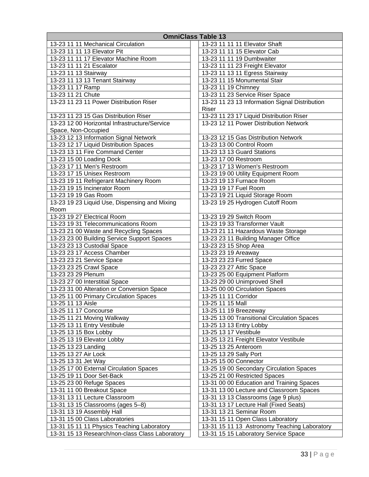| <b>OmniClass Table 13</b>                       |                                                |  |  |  |
|-------------------------------------------------|------------------------------------------------|--|--|--|
| 13-23 11 11 Mechanical Circulation              | 13-23 11 11 11 Elevator Shaft                  |  |  |  |
| 13-23 11 11 13 Elevator Pit                     | 13-23 11 11 15 Elevator Cab                    |  |  |  |
| 13-23 11 11 17 Elevator Machine Room            | 13-23 11 11 19 Dumbwaiter                      |  |  |  |
| 13-23 11 11 21 Escalator                        | 13-23 11 11 23 Freight Elevator                |  |  |  |
| 13-23 11 13 Stairway                            | 13-23 11 13 11 Egress Stairway                 |  |  |  |
| 13-23 11 13 13 Tenant Stairway                  | 13-23 11 15 Monumental Stair                   |  |  |  |
| 13-23 11 17 Ramp                                | 13-23 11 19 Chimney                            |  |  |  |
| 13-23 11 21 Chute                               | 13-23 11 23 Service Riser Space                |  |  |  |
| 13-23 11 23 11 Power Distribution Riser         | 13-23 11 23 13 Information Signal Distribution |  |  |  |
|                                                 | Riser                                          |  |  |  |
| 13-23 11 23 15 Gas Distribution Riser           | 13-23 11 23 17 Liquid Distribution Riser       |  |  |  |
| 13-23 12 00 Horizontal Infrastructure/Service   | 13-23 12 11 Power Distribution Network         |  |  |  |
| Space, Non-Occupied                             |                                                |  |  |  |
| 13-23 12 13 Information Signal Network          | 13-23 12 15 Gas Distribution Network           |  |  |  |
| 13-23 12 17 Liquid Distribution Spaces          | 13-23 13 00 Control Room                       |  |  |  |
| 13-23 13 11 Fire Command Center                 | 13-23 13 13 Guard Stations                     |  |  |  |
| 13-23 15 00 Loading Dock                        | 13-23 17 00 Restroom                           |  |  |  |
| 13-23 17 11 Men's Restroom                      | 13-23 17 13 Women's Restroom                   |  |  |  |
| 13-23 17 15 Unisex Restroom                     | 13-23 19 00 Utility Equipment Room             |  |  |  |
| 13-23 19 11 Refrigerant Machinery Room          | 13-23 19 13 Furnace Room                       |  |  |  |
| 13-23 19 15 Incinerator Room                    | 13-23 19 17 Fuel Room                          |  |  |  |
| 13-23 19 19 Gas Room                            | 13-23 19 21 Liquid Storage Room                |  |  |  |
| 13-23 19 23 Liquid Use, Dispensing and Mixing   | 13-23 19 25 Hydrogen Cutoff Room               |  |  |  |
| Room                                            |                                                |  |  |  |
| 13-23 19 27 Electrical Room                     | 13-23 19 29 Switch Room                        |  |  |  |
| 13-23 19 31 Telecommunications Room             | 13-23 19 33 Transformer Vault                  |  |  |  |
| 13-23 21 00 Waste and Recycling Spaces          | 13-23 21 11 Hazardous Waste Storage            |  |  |  |
| 13-23 23 00 Building Service Support Spaces     | 13-23 23 11 Building Manager Office            |  |  |  |
| 13-23 23 13 Custodial Space                     | 13-23 23 15 Shop Area                          |  |  |  |
| 13-23 23 17 Access Chamber                      | 13-23 23 19 Areaway                            |  |  |  |
| 13-23 23 21 Service Space                       | 13-23 23 23 Furred Space                       |  |  |  |
| 13-23 23 25 Crawl Space                         | 13-23 23 27 Attic Space                        |  |  |  |
| 13-23 23 29 Plenum                              | 13-23 25 00 Equipment Platform                 |  |  |  |
| 13-23 27 00 Interstitial Space                  | 13-23 29 00 Unimproved Shell                   |  |  |  |
| 13-23 31 00 Alteration or Conversion Space      | 13-25 00 00 Circulation Spaces                 |  |  |  |
| 13-25 11 00 Primary Circulation Spaces          | 13-25 11 11 Corridor                           |  |  |  |
| 13-25 11 13 Aisle                               | 13-25 11 15 Mall                               |  |  |  |
| 13-25 11 17 Concourse                           | 13-25 11 19 Breezeway                          |  |  |  |
| 13-25 11 21 Moving Walkway                      | 13-25 13 00 Transitional Circulation Spaces    |  |  |  |
| 13-25 13 11 Entry Vestibule                     | 13-25 13 13 Entry Lobby                        |  |  |  |
| 13-25 13 15 Box Lobby                           | 13-25 13 17 Vestibule                          |  |  |  |
| 13-25 13 19 Elevator Lobby                      | 13-25 13 21 Freight Elevator Vestibule         |  |  |  |
| 13-25 13 23 Landing                             | 13-25 13 25 Anteroom                           |  |  |  |
| 13-25 13 27 Air Lock                            | 13-25 13 29 Sally Port                         |  |  |  |
| 13-25 13 31 Jet Way                             | 13-25 15 00 Connector                          |  |  |  |
| 13-25 17 00 External Circulation Spaces         | 13-25 19 00 Secondary Circulation Spaces       |  |  |  |
| 13-25 19 11 Door Set-Back                       | 13-25 21 00 Restricted Spaces                  |  |  |  |
| 13-25 23 00 Refuge Spaces                       | 13-31 00 00 Education and Training Spaces      |  |  |  |
| 13-31 11 00 Breakout Space                      | 13-31 13 00 Lecture and Classroom Spaces       |  |  |  |
| 13-31 13 11 Lecture Classroom                   | 13-31 13 13 Classrooms (age 9 plus)            |  |  |  |
| 13-31 13 15 Classrooms (ages 5-8)               | 13-31 13 17 Lecture Hall (Fixed Seats)         |  |  |  |
| 13-31 13 19 Assembly Hall                       | 13-31 13 21 Seminar Room                       |  |  |  |
| 13-31 15 00 Class Laboratories                  | 13-31 15 11 Open Class Laboratory              |  |  |  |
|                                                 |                                                |  |  |  |
| 13-31 15 11 11 Physics Teaching Laboratory      | 13-31 15 11 13 Astronomy Teaching Laboratory   |  |  |  |
| 13-31 15 13 Research/non-class Class Laboratory | 13-31 15 15 Laboratory Service Space           |  |  |  |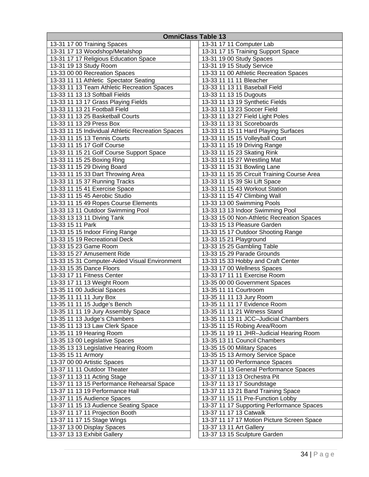| <b>OmniClass Table 13</b>                         |                                             |  |  |  |
|---------------------------------------------------|---------------------------------------------|--|--|--|
| 13-31 17 00 Training Spaces                       | 13-31 17 11 Computer Lab                    |  |  |  |
| 13-31 17 13 Woodshop/Metalshop                    | 13-31 17 15 Training Support Space          |  |  |  |
| 13-31 17 17 Religious Education Space             | 13-31 19 00 Study Spaces                    |  |  |  |
| 13-31 19 13 Study Room                            | 13-31 19 15 Study Service                   |  |  |  |
| 13-33 00 00 Recreation Spaces                     | 13-33 11 00 Athletic Recreation Spaces      |  |  |  |
| 13-33 11 11 Athletic Spectator Seating            | 13-33 11 11 11 Bleacher                     |  |  |  |
| 13-33 11 13 Team Athletic Recreation Spaces       | 13-33 11 13 11 Baseball Field               |  |  |  |
| 13-33 11 13 13 Softball Fields                    | 13-33 11 13 15 Dugouts                      |  |  |  |
| 13-33 11 13 17 Grass Playing Fields               | 13-33 11 13 19 Synthetic Fields             |  |  |  |
| 13-33 11 13 21 Football Field                     | 13-33 11 13 23 Soccer Field                 |  |  |  |
| 13-33 11 13 25 Basketball Courts                  | 13-33 11 13 27 Field Light Poles            |  |  |  |
| 13-33 11 13 29 Press Box                          | 13-33 11 13 31 Scoreboards                  |  |  |  |
| 13-33 11 15 Individual Athletic Recreation Spaces | 13-33 11 15 11 Hard Playing Surfaces        |  |  |  |
| 13-33 11 15 13 Tennis Courts                      | 13-33 11 15 15 Volleyball Court             |  |  |  |
| 13-33 11 15 17 Golf Course                        | 13-33 11 15 19 Driving Range                |  |  |  |
| 13-33 11 15 21 Golf Course Support Space          | 13-33 11 15 23 Skating Rink                 |  |  |  |
| 13-33 11 15 25 Boxing Ring                        | 13-33 11 15 27 Wrestling Mat                |  |  |  |
| 13-33 11 15 29 Diving Board                       | 13-33 11 15 31 Bowling Lane                 |  |  |  |
| 13-33 11 15 33 Dart Throwing Area                 | 13-33 11 15 35 Circuit Training Course Area |  |  |  |
| 13-33 11 15 37 Running Tracks                     | 13-33 11 15 39 Ski Lift Space               |  |  |  |
| 13-33 11 15 41 Exercise Space                     | 13-33 11 15 43 Workout Station              |  |  |  |
| 13-33 11 15 45 Aerobic Studio                     | 13-33 11 15 47 Climbing Wall                |  |  |  |
| 13-33 11 15 49 Ropes Course Elements              | 13-33 13 00 Swimming Pools                  |  |  |  |
| 13-33 13 11 Outdoor Swimming Pool                 | 13-33 13 13 Indoor Swimming Pool            |  |  |  |
| 13-33 13 13 11 Diving Tank                        | 13-33 15 00 Non-Athletic Recreation Spaces  |  |  |  |
| 13-33 15 11 Park                                  | 13-33 15 13 Pleasure Garden                 |  |  |  |
| 13-33 15 15 Indoor Firing Range                   | 13-33 15 17 Outdoor Shooting Range          |  |  |  |
| 13-33 15 19 Recreational Deck                     | 13-33 15 21 Playground                      |  |  |  |
| 13-33 15 23 Game Room                             | 13-33 15 25 Gambling Table                  |  |  |  |
| 13-33 15 27 Amusement Ride                        | 13-33 15 29 Parade Grounds                  |  |  |  |
| 13-33 15 31 Computer-Aided Visual Environment     | 13-33 15 33 Hobby and Craft Center          |  |  |  |
| 13-33 15 35 Dance Floors                          | 13-33 17 00 Wellness Spaces                 |  |  |  |
| 13-33 17 11 Fitness Center                        | 13-33 17 11 11 Exercise Room                |  |  |  |
| 13-33 17 11 13 Weight Room                        | 13-35 00 00 Government Spaces               |  |  |  |
| 13-35 11 00 Judicial Spaces                       | 13-35 11 11 Courtroom                       |  |  |  |
| 13-35 11 11 11 Jury Box                           | 13-35 11 11 13 Jury Room                    |  |  |  |
| 13-35 11 11 15 Judge's Bench                      | 13-35 11 11 17 Evidence Room                |  |  |  |
| 13-35 11 11 19 Jury Assembly Space                | 13-35 11 11 21 Witness Stand                |  |  |  |
| 13-35 11 13 Judge's Chambers                      | 13-35 11 13 11 JCC-Judicial Chambers        |  |  |  |
| 13-35 11 13 13 Law Clerk Space                    | 13-35 11 15 Robing Area/Room                |  |  |  |
| 13-35 11 19 Hearing Room                          | 13-35 11 19 11 JHR-Judicial Hearing Room    |  |  |  |
| 13-35 13 00 Legislative Spaces                    | 13-35 13 11 Council Chambers                |  |  |  |
| 13-35 13 13 Legislative Hearing Room              | 13-35 15 00 Military Spaces                 |  |  |  |
| 13-35 15 11 Armory                                | 13-35 15 13 Armory Service Space            |  |  |  |
| 13-37 00 00 Artistic Spaces                       | 13-37 11 00 Performance Spaces              |  |  |  |
| 13-37 11 11 Outdoor Theater                       | 13-37 11 13 General Performance Spaces      |  |  |  |
| 13-37 11 13 11 Acting Stage                       | 13-37 11 13 13 Orchestra Pit                |  |  |  |
| 13-37 11 13 15 Performance Rehearsal Space        | 13-37 11 13 17 Soundstage                   |  |  |  |
| 13-37 11 13 19 Performance Hall                   | 13-37 11 13 21 Band Training Space          |  |  |  |
| 13-37 11 15 Audience Spaces                       | 13-37 11 15 11 Pre-Function Lobby           |  |  |  |
| 13-37 11 15 13 Audience Seating Space             | 13-37 11 17 Supporting Performance Spaces   |  |  |  |
| 13-37 11 17 11 Projection Booth                   | 13-37 11 17 13 Catwalk                      |  |  |  |
| 13-37 11 17 15 Stage Wings                        | 13-37 11 17 17 Motion Picture Screen Space  |  |  |  |
| 13-37 13 00 Display Spaces                        | 13-37 13 11 Art Gallery                     |  |  |  |
| 13-37 13 13 Exhibit Gallery                       | 13-37 13 15 Sculpture Garden                |  |  |  |
|                                                   |                                             |  |  |  |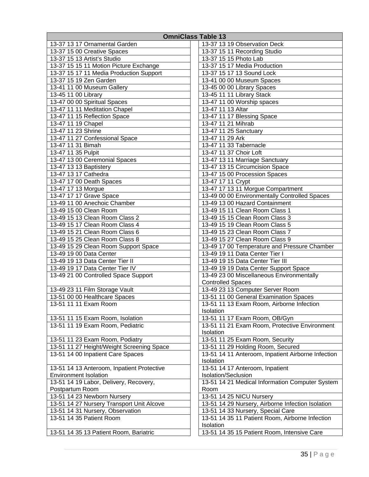| <b>OmniClass Table 13</b>                                                         |                                                    |  |  |  |  |
|-----------------------------------------------------------------------------------|----------------------------------------------------|--|--|--|--|
| 13-37 13 17 Ornamental Garden                                                     | 13-37 13 19 Observation Deck                       |  |  |  |  |
| 13-37 15 00 Creative Spaces                                                       | 13-37 15 11 Recording Studio                       |  |  |  |  |
| 13-37 15 13 Artist's Studio                                                       | 13-37 15 15 Photo Lab                              |  |  |  |  |
| 13-37 15 15 11 Motion Picture Exchange                                            | 13-37 15 17 Media Production                       |  |  |  |  |
| 13-37 15 17 11 Media Production Support                                           | 13-37 15 17 13 Sound Lock                          |  |  |  |  |
| 13-37 15 19 Zen Garden                                                            | 13-41 00 00 Museum Spaces                          |  |  |  |  |
| 13-41 11 00 Museum Gallery                                                        | 13-45 00 00 Library Spaces                         |  |  |  |  |
| 13-45 11 00 Library                                                               | 13-45 11 11 Library Stack                          |  |  |  |  |
| 13-47 00 00 Spiritual Spaces                                                      | 13-47 11 00 Worship spaces                         |  |  |  |  |
| 13-47 11 11 Meditation Chapel                                                     | 13-47 11 13 Altar                                  |  |  |  |  |
| 13-47 11 15 Reflection Space                                                      | 13-47 11 17 Blessing Space                         |  |  |  |  |
| 13-47 11 19 Chapel                                                                | 13-47 11 21 Mihrab                                 |  |  |  |  |
| 13-47 11 23 Shrine                                                                | 13-47 11 25 Sanctuary                              |  |  |  |  |
| 13-47 11 27 Confessional Space                                                    | 13-47 11 29 Ark                                    |  |  |  |  |
| 13-47 11 31 Bimah                                                                 | 13-47 11 33 Tabernacle                             |  |  |  |  |
| 13-47 11 35 Pulpit                                                                | 13-47 11 37 Choir Loft                             |  |  |  |  |
| 13-47 13 00 Ceremonial Spaces                                                     | 13-47 13 11 Marriage Sanctuary                     |  |  |  |  |
| 13-47 13 13 Baptistery                                                            | 13-47 13 15 Circumcision Space                     |  |  |  |  |
| 13-47 13 17 Cathedra                                                              | 13-47 15 00 Procession Spaces                      |  |  |  |  |
| 13-47 17 00 Death Spaces                                                          | 13-47 17 11 Crypt                                  |  |  |  |  |
| 13-47 17 13 Morgue                                                                | 13-47 17 13 11 Morgue Compartment                  |  |  |  |  |
| 13-47 17 17 Grave Space                                                           | 13-49 00 00 Environmentally Controlled Spaces      |  |  |  |  |
| 13-49 11 00 Anechoic Chamber                                                      | 13-49 13 00 Hazard Containment                     |  |  |  |  |
| 13-49 15 00 Clean Room                                                            | 13-49 15 11 Clean Room Class 1                     |  |  |  |  |
| 13-49 15 13 Clean Room Class 2                                                    | 13-49 15 15 Clean Room Class 3                     |  |  |  |  |
| 13-49 15 17 Clean Room Class 4                                                    | 13-49 15 19 Clean Room Class 5                     |  |  |  |  |
| 13-49 15 21 Clean Room Class 6                                                    | 13-49 15 23 Clean Room Class 7                     |  |  |  |  |
| 13-49 15 25 Clean Room Class 8                                                    | 13-49 15 27 Clean Room Class 9                     |  |  |  |  |
| 13-49 15 29 Clean Room Support Space                                              | 13-49 17 00 Temperature and Pressure Chamber       |  |  |  |  |
| 13-49 19 00 Data Center                                                           | 13-49 19 11 Data Center Tier I                     |  |  |  |  |
| 13-49 19 13 Data Center Tier II                                                   | 13-49 19 15 Data Center Tier III                   |  |  |  |  |
| 13-49 19 17 Data Center Tier IV                                                   | 13-49 19 19 Data Center Support Space              |  |  |  |  |
| 13-49 21 00 Controlled Space Support<br>13-49 23 00 Miscellaneous Environmentally |                                                    |  |  |  |  |
|                                                                                   | <b>Controlled Spaces</b>                           |  |  |  |  |
| 13-49 23 11 Film Storage Vault                                                    | 13-49 23 13 Computer Server Room                   |  |  |  |  |
| 13-51 00 00 Healthcare Spaces                                                     | 13-51 11 00 General Examination Spaces             |  |  |  |  |
| 13-51 11 11 Exam Room                                                             | 13-51 11 13 Exam Room, Airborne Infection          |  |  |  |  |
|                                                                                   | Isolation                                          |  |  |  |  |
| 13-51 11 15 Exam Room, Isolation                                                  | 13-51 11 17 Exam Room, OB/Gyn                      |  |  |  |  |
| 13-51 11 19 Exam Room, Pediatric                                                  | 13-51 11 21 Exam Room, Protective Environment      |  |  |  |  |
|                                                                                   | Isolation                                          |  |  |  |  |
| 13-51 11 23 Exam Room, Podiatry                                                   | 13-51 11 25 Exam Room, Security                    |  |  |  |  |
| 13-51 11 27 Height/Weight Screening Space                                         | 13-51 11 29 Holding Room, Secured                  |  |  |  |  |
| 13-51 14 00 Inpatient Care Spaces                                                 | 13-51 14 11 Anteroom, Inpatient Airborne Infection |  |  |  |  |
|                                                                                   | Isolation                                          |  |  |  |  |
| 13-51 14 13 Anteroom, Inpatient Protective                                        | 13-51 14 17 Anteroom, Inpatient                    |  |  |  |  |
| <b>Environment Isolation</b>                                                      | Isolation/Seclusion                                |  |  |  |  |
| 13-51 14 19 Labor, Delivery, Recovery,                                            | 13-51 14 21 Medical Information Computer System    |  |  |  |  |
| Postpartum Room                                                                   | Room                                               |  |  |  |  |
| 13-51 14 23 Newborn Nursery                                                       | 13-51 14 25 NICU Nursery                           |  |  |  |  |
| 13-51 14 27 Nursery Transport Unit Alcove                                         | 13-51 14 29 Nursery, Airborne Infection Isolation  |  |  |  |  |
| 13-51 14 31 Nursery, Observation                                                  | 13-51 14 33 Nursery, Special Care                  |  |  |  |  |
| 13-51 14 35 Patient Room<br>13-51 14 35 11 Patient Room, Airborne Infection       |                                                    |  |  |  |  |
|                                                                                   | Isolation                                          |  |  |  |  |
| 13-51 14 35 13 Patient Room, Bariatric                                            | 13-51 14 35 15 Patient Room, Intensive Care        |  |  |  |  |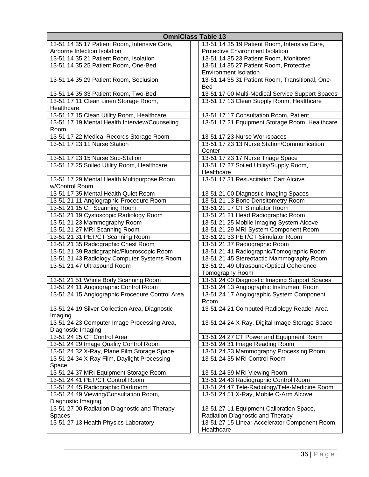| <b>OmniClass Table 13</b>                                               |                                                                            |  |  |  |
|-------------------------------------------------------------------------|----------------------------------------------------------------------------|--|--|--|
| 13-51 14 35 17 Patient Room, Intensive Care,                            | 13-51 14 35 19 Patient Room, Intensive Care,                               |  |  |  |
| Airborne Infection Isolation                                            | <b>Protective Environment Isolation</b>                                    |  |  |  |
| 13-51 14 35 21 Patient Room, Isolation                                  | 13-51 14 35 23 Patient Room, Monitored                                     |  |  |  |
| 13-51 14 35 25 Patient Room, One-Bed                                    | 13-51 14 35 27 Patient Room, Protective                                    |  |  |  |
|                                                                         | <b>Environment Isolation</b>                                               |  |  |  |
| 13-51 14 35 29 Patient Room, Seclusion                                  | 13-51 14 35 31 Patient Room, Transitional, One-                            |  |  |  |
|                                                                         | <b>Bed</b>                                                                 |  |  |  |
| 13-51 14 35 33 Patient Room, Two-Bed                                    | 13-51 17 00 Multi-Medical Service Support Spaces                           |  |  |  |
| 13-51 17 11 Clean Linen Storage Room,<br>Healthcare                     | 13-51 17 13 Clean Supply Room, Healthcare                                  |  |  |  |
| 13-51 17 15 Clean Utility Room, Healthcare                              | 13-51 17 17 Consultation Room, Patient                                     |  |  |  |
| 13-51 17 19 Mental Health Interview/Counseling<br>Room                  | 13-51 17 21 Equipment Storage Room, Healthcare                             |  |  |  |
| 13-51 17 22 Medical Records Storage Room                                | 13-51 17 23 Nurse Workspaces                                               |  |  |  |
| 13-51 17 23 11 Nurse Station                                            | 13-51 17 23 13 Nurse Station/Communication                                 |  |  |  |
|                                                                         | Center                                                                     |  |  |  |
| 13-51 17 23 15 Nurse Sub-Station                                        | 13-51 17 23 17 Nurse Triage Space                                          |  |  |  |
| 13-51 17 25 Soiled Utility Room, Healthcare                             | 13-51 17 27 Soiled Utility/Supply Room,                                    |  |  |  |
|                                                                         | Healthcare                                                                 |  |  |  |
| 13-51 17 29 Mental Health Multipurpose Room                             | 13-51 17 31 Resuscitation Cart Alcove                                      |  |  |  |
| w/Control Room                                                          |                                                                            |  |  |  |
| 13-51 17 35 Mental Health Quiet Room                                    | 13-51 21 00 Diagnostic Imaging Spaces                                      |  |  |  |
| 13-51 21 11 Angiographic Procedure Room                                 | 13-51 21 13 Bone Densitometry Room                                         |  |  |  |
| 13-51 21 15 CT Scanning Room                                            | 13-51 21 17 CT Simulator Room                                              |  |  |  |
| 13-51 21 19 Cystoscopic Radiology Room                                  | 13-51 21 21 Head Radiographic Room                                         |  |  |  |
| 13-51 21 23 Mammography Room                                            | 13-51 21 25 Mobile Imaging System Alcove                                   |  |  |  |
| 13-51 21 27 MRI Scanning Room                                           | 13-51 21 29 MRI System Component Room<br>13-51 21 33 PET/CT Simulator Room |  |  |  |
| 13-51 21 31 PET/CT Scanning Room<br>13-51 21 35 Radiographic Chest Room | 13-51 21 37 Radiographic Room                                              |  |  |  |
| 13-51 21 39 Radiographic/Fluoroscopic Room                              | 13-51 21 41 Radiographic/Tomographic Room                                  |  |  |  |
| 13-51 21 43 Radiology Computer Systems Room                             | 13-51 21 45 Stereotactic Mammography Room                                  |  |  |  |
| 13-51 21 47 Ultrasound Room                                             | 13-51 21 49 Ultrasound/Optical Coherence                                   |  |  |  |
|                                                                         | Tomography Room                                                            |  |  |  |
| 13-51 21 51 Whole Body Scanning Room                                    | 13-51 24 00 Diagnostic Imaging Support Spaces                              |  |  |  |
| 13-51 24 11 Angiographic Control Room                                   | 13-51 24 13 Angiographic Instrument Room                                   |  |  |  |
| 13-51 24 15 Angiographic Procedure Control Area                         | 13-51 24 17 Angiographic System Component                                  |  |  |  |
|                                                                         | Room                                                                       |  |  |  |
| 13-51 24 19 Silver Collection Area, Diagnostic<br>Imaging               | 13-51 24 21 Computed Radiology Reader Area                                 |  |  |  |
| 13-51 24 23 Computer Image Processing Area,<br>Diagnostic Imaging       | 13-51 24 24 X-Ray, Digital Image Storage Space                             |  |  |  |
| 13-51 24 25 CT Control Area                                             | 13-51 24 27 CT Power and Equipment Room                                    |  |  |  |
| 13-51 24 29 Image Quality Control Room                                  | 13-51 24 31 Image Reading Room                                             |  |  |  |
| 13-51 24 32 X-Ray, Plane Film Storage Space                             | 13-51 24 33 Mammography Processing Room                                    |  |  |  |
| 13-51 24 34 X-Ray Film, Daylight Processing<br>Space                    | 13-51 24 35 MRI Control Room                                               |  |  |  |
| 13-51 24 37 MRI Equipment Storage Room                                  | 13-51 24 39 MRI Viewing Room                                               |  |  |  |
| 13-51 24 41 PET/CT Control Room                                         | 13-51 24 43 Radiographic Control Room                                      |  |  |  |
| 13-51 24 45 Radiographic Darkroom                                       | 13-51 24 47 Tele-Radiology/Tele-Medicine Room                              |  |  |  |
| 13-51 24 49 Viewing/Consultation Room,                                  | 13-51 24 51 X-Ray, Mobile C-Arm Alcove                                     |  |  |  |
| Diagnostic Imaging                                                      |                                                                            |  |  |  |
| 13-51 27 00 Radiation Diagnostic and Therapy                            | 13-51 27 11 Equipment Calibration Space,                                   |  |  |  |
| <b>Spaces</b>                                                           | Radiation Diagnostic and Therapy                                           |  |  |  |
| 13-51 27 13 Health Physics Laboratory                                   | 13-51 27 15 Linear Accelerator Component Room,                             |  |  |  |
|                                                                         | Healthcare                                                                 |  |  |  |

| s Table 13                                                          |
|---------------------------------------------------------------------|
| 13-51 14 35 19 Patient Room, Intensive Care,                        |
| <b>Protective Environment Isolation</b>                             |
| 13-51 14 35 23 Patient Room, Monitored                              |
| 13-51 14 35 27 Patient Room, Protective                             |
| <b>Environment Isolation</b>                                        |
| 13-51 14 35 31 Patient Room, Transitional, One-<br>Bed              |
| 13-51 17 00 Multi-Medical Service Support Spaces                    |
| 13-51 17 13 Clean Supply Room, Healthcare                           |
|                                                                     |
| 13-51 17 17 Consultation Room, Patient                              |
| 13-51 17 21 Equipment Storage Room, Healthcare                      |
| 13-51 17 23 Nurse Workspaces                                        |
| 13-51 17 23 13 Nurse Station/Communication                          |
| Center                                                              |
| 13-51 17 23 17 Nurse Triage Space                                   |
| 13-51 17 27 Soiled Utility/Supply Room,                             |
| Healthcare                                                          |
| 13-51 17 31 Resuscitation Cart Alcove                               |
| 13-51 21 00 Diagnostic Imaging Spaces                               |
| 13-51 21 13 Bone Densitometry Room<br>13-51 21 17 CT Simulator Room |
|                                                                     |
| 13-51 21 21 Head Radiographic Room                                  |
| 13-51 21 25 Mobile Imaging System Alcove                            |
| 13-51 21 29 MRI System Component Room                               |
| 13-51 21 33 PET/CT Simulator Room                                   |
| 13-51 21 37 Radiographic Room                                       |
| 13-51 21 41 Radiographic/Tomographic Room                           |
| 13-51 21 45 Stereotactic Mammography Room                           |
| 13-51 21 49 Ultrasound/Optical Coherence<br>Tomography Room         |
| 13-51 24 00 Diagnostic Imaging Support Spaces                       |
| 13-51 24 13 Angiographic Instrument Room                            |
| 13-51 24 17 Angiographic System Component                           |
| Room                                                                |
| 13-51 24 21 Computed Radiology Reader Area                          |
| 13-51 24 24 X-Ray, Digital Image Storage Space                      |
| 13-51 24 27 CT Power and Equipment Room                             |
| 13-51 24 31 Image Reading Room                                      |
| 13-51 24 33 Mammography Processing Room                             |
| 13-51 24 35 MRI Control Room                                        |
| 13-51 24 39 MRI Viewing Room                                        |
| 13-51 24 43 Radiographic Control Room                               |
| 13-51 24 47 Tele-Radiology/Tele-Medicine Room                       |
| 13-51 24 51 X-Ray, Mobile C-Arm Alcove                              |
| 13-51 27 11 Equipment Calibration Space,                            |
| Radiation Diagnostic and Therapy                                    |
| 13-51 27 15 Linear Accelerator Component Room,                      |
| Healthcare                                                          |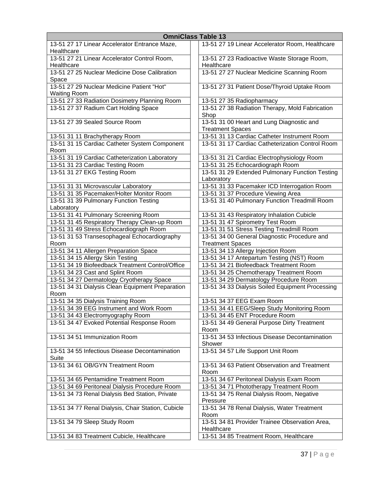| <b>OmniClass Table 13</b>                          |                                                                         |  |  |  |
|----------------------------------------------------|-------------------------------------------------------------------------|--|--|--|
| 13-51 27 17 Linear Accelerator Entrance Maze,      | 13-51 27 19 Linear Accelerator Room, Healthcare                         |  |  |  |
| Healthcare                                         |                                                                         |  |  |  |
| 13-51 27 21 Linear Accelerator Control Room,       | 13-51 27 23 Radioactive Waste Storage Room,                             |  |  |  |
| Healthcare                                         | Healthcare                                                              |  |  |  |
| 13-51 27 25 Nuclear Medicine Dose Calibration      | 13-51 27 27 Nuclear Medicine Scanning Room                              |  |  |  |
| Space                                              |                                                                         |  |  |  |
| 13-51 27 29 Nuclear Medicine Patient "Hot"         | 13-51 27 31 Patient Dose/Thyroid Uptake Room                            |  |  |  |
|                                                    |                                                                         |  |  |  |
| <b>Waiting Room</b>                                |                                                                         |  |  |  |
| 13-51 27 33 Radiation Dosimetry Planning Room      | 13-51 27 35 Radiopharmacy                                               |  |  |  |
| 13-51 27 37 Radium Cart Holding Space              | 13-51 27 38 Radiation Therapy, Mold Fabrication                         |  |  |  |
|                                                    | Shop                                                                    |  |  |  |
| 13-51 27 39 Sealed Source Room                     | 13-51 31 00 Heart and Lung Diagnostic and                               |  |  |  |
|                                                    | <b>Treatment Spaces</b>                                                 |  |  |  |
| 13-51 31 11 Brachytherapy Room                     | 13-51 31 13 Cardiac Catheter Instrument Room                            |  |  |  |
| 13-51 31 15 Cardiac Catheter System Component      | 13-51 31 17 Cardiac Catheterization Control Room                        |  |  |  |
| Room                                               |                                                                         |  |  |  |
| 13-51 31 19 Cardiac Catheterization Laboratory     | 13-51 31 21 Cardiac Electrophysiology Room                              |  |  |  |
| 13-51 31 23 Cardiac Testing Room                   | 13-51 31 25 Echocardiograph Room                                        |  |  |  |
| 13-51 31 27 EKG Testing Room                       | 13-51 31 29 Extended Pulmonary Function Testing                         |  |  |  |
|                                                    | Laboratory                                                              |  |  |  |
| 13-51 31 31 Microvascular Laboratory               | 13-51 31 33 Pacemaker ICD Interrogation Room                            |  |  |  |
| 13-51 31 35 Pacemaker/Holter Monitor Room          | 13-51 31 37 Procedure Viewing Area                                      |  |  |  |
| 13-51 31 39 Pulmonary Function Testing             | 13-51 31 40 Pulmonary Function Treadmill Room                           |  |  |  |
| Laboratory                                         |                                                                         |  |  |  |
| 13-51 31 41 Pulmonary Screening Room               | 13-51 31 43 Respiratory Inhalation Cubicle                              |  |  |  |
|                                                    |                                                                         |  |  |  |
| 13-51 31 45 Respiratory Therapy Clean-up Room      | 13-51 31 47 Spirometry Test Room                                        |  |  |  |
| 13-51 31 49 Stress Echocardiograph Room            | 13-51 31 51 Stress Testing Treadmill Room                               |  |  |  |
| 13-51 31 53 Transesophageal Echocardiography       | 13-51 34 00 General Diagnostic Procedure and<br><b>Treatment Spaces</b> |  |  |  |
| Room                                               |                                                                         |  |  |  |
| 13-51 34 11 Allergen Preparation Space             | 13-51 34 13 Allergy Injection Room                                      |  |  |  |
| 13-51 34 15 Allergy Skin Testing                   | 13-51 34 17 Antepartum Testing (NST) Room                               |  |  |  |
| 13-51 34 19 Biofeedback Treatment Control/Office   | 13-51 34 21 Biofeedback Treatment Room                                  |  |  |  |
| 13-51 34 23 Cast and Splint Room                   | 13-51 34 25 Chemotherapy Treatment Room                                 |  |  |  |
| 13-51 34 27 Dermatology Cryotherapy Space          | 13-51 34 29 Dermatology Procedure Room                                  |  |  |  |
| 13-51 34 31 Dialysis Clean Equipment Preparation   | 13-51 34 33 Dialysis Soiled Equipment Processing                        |  |  |  |
| Room                                               |                                                                         |  |  |  |
| 13-51 34 35 Dialysis Training Room                 | 13-51 34 37 EEG Exam Room                                               |  |  |  |
| 13-51 34 39 EEG Instrument and Work Room           | 13-51 34 41 EEG/Sleep Study Monitoring Room                             |  |  |  |
| 13-51 34 43 Electromyography Room                  | 13-51 34 45 ENT Procedure Room                                          |  |  |  |
| 13-51 34 47 Evoked Potential Response Room         | 13-51 34 49 General Purpose Dirty Treatment                             |  |  |  |
|                                                    | Room                                                                    |  |  |  |
| 13-51 34 51 Immunization Room                      | 13-51 34 53 Infectious Disease Decontamination                          |  |  |  |
|                                                    | Shower                                                                  |  |  |  |
| 13-51 34 55 Infectious Disease Decontamination     | 13-51 34 57 Life Support Unit Room                                      |  |  |  |
| Suite                                              |                                                                         |  |  |  |
| 13-51 34 61 OB/GYN Treatment Room                  | 13-51 34 63 Patient Observation and Treatment                           |  |  |  |
|                                                    | Room                                                                    |  |  |  |
| 13-51 34 65 Pentamidine Treatment Room             | 13-51 34 67 Peritoneal Dialysis Exam Room                               |  |  |  |
| 13-51 34 69 Peritoneal Dialysis Procedure Room     | 13-51 34 71 Phototherapy Treatment Room                                 |  |  |  |
| 13-51 34 73 Renal Dialysis Bed Station, Private    | 13-51 34 75 Renal Dialysis Room, Negative                               |  |  |  |
|                                                    | Pressure                                                                |  |  |  |
| 13-51 34 77 Renal Dialysis, Chair Station, Cubicle | 13-51 34 78 Renal Dialysis, Water Treatment                             |  |  |  |
|                                                    | Room                                                                    |  |  |  |
| 13-51 34 79 Sleep Study Room                       | 13-51 34 81 Provider Trainee Observation Area,                          |  |  |  |
|                                                    | Healthcare                                                              |  |  |  |
| 13-51 34 83 Treatment Cubicle, Healthcare          | 13-51 34 85 Treatment Room, Healthcare                                  |  |  |  |
|                                                    |                                                                         |  |  |  |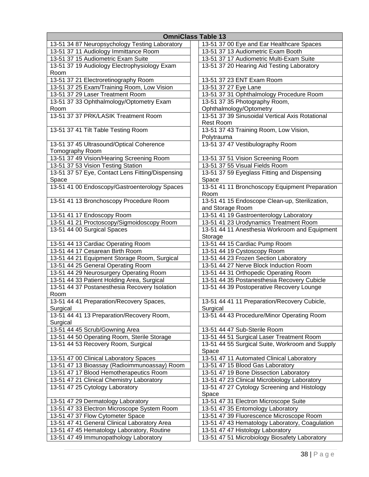| <b>OmniClass Table 13</b>                                                                      |                                                                                          |  |  |  |
|------------------------------------------------------------------------------------------------|------------------------------------------------------------------------------------------|--|--|--|
| 13-51 37 00 Eye and Ear Healthcare Spaces<br>13-51 34 87 Neuropsychology Testing Laboratory    |                                                                                          |  |  |  |
| 13-51 37 11 Audiology Immittance Room                                                          | 13-51 37 13 Audiometric Exam Booth                                                       |  |  |  |
| 13-51 37 15 Audiometric Exam Suite                                                             | 13-51 37 17 Audiometric Multi-Exam Suite                                                 |  |  |  |
| 13-51 37 19 Audiology Electrophysiology Exam                                                   | 13-51 37 20 Hearing Aid Testing Laboratory                                               |  |  |  |
| Room                                                                                           |                                                                                          |  |  |  |
| 13-51 37 21 Electroretinography Room                                                           | 13-51 37 23 ENT Exam Room                                                                |  |  |  |
| 13-51 37 25 Exam/Training Room, Low Vision                                                     | 13-51 37 27 Eye Lane                                                                     |  |  |  |
| 13-51 37 29 Laser Treatment Room                                                               | 13-51 37 31 Ophthalmology Procedure Room                                                 |  |  |  |
| 13-51 37 33 Ophthalmology/Optometry Exam                                                       | 13-51 37 35 Photography Room,                                                            |  |  |  |
| Room                                                                                           | Ophthalmology/Optometry                                                                  |  |  |  |
| 13-51 37 37 PRK/LASIK Treatment Room                                                           | 13-51 37 39 Sinusoidal Vertical Axis Rotational                                          |  |  |  |
|                                                                                                | Rest Room                                                                                |  |  |  |
| 13-51 37 41 Tilt Table Testing Room                                                            | 13-51 37 43 Training Room, Low Vision,                                                   |  |  |  |
| 13-51 37 45 Ultrasound/Optical Coherence                                                       | Polytrauma<br>13-51 37 47 Vestibulography Room                                           |  |  |  |
| Tomography Room                                                                                |                                                                                          |  |  |  |
| 13-51 37 49 Vision/Hearing Screening Room                                                      | 13-51 37 51 Vision Screening Room                                                        |  |  |  |
| 13-51 37 53 Vision Testing Station                                                             | 13-51 37 55 Visual Fields Room                                                           |  |  |  |
| 13-51 37 57 Eye, Contact Lens Fitting/Dispensing                                               | 13-51 37 59 Eyeglass Fitting and Dispensing                                              |  |  |  |
| Space                                                                                          | Space                                                                                    |  |  |  |
| 13-51 41 00 Endoscopy/Gastroenterology Spaces                                                  | 13-51 41 11 Bronchoscopy Equipment Preparation                                           |  |  |  |
|                                                                                                | Room                                                                                     |  |  |  |
| 13-51 41 13 Bronchoscopy Procedure Room                                                        | 13-51 41 15 Endoscope Clean-up, Sterilization,                                           |  |  |  |
|                                                                                                | and Storage Room                                                                         |  |  |  |
| 13-51 41 17 Endoscopy Room                                                                     | 13-51 41 19 Gastroenterology Laboratory                                                  |  |  |  |
| 13-51 41 21 Proctoscopy/Sigmoidoscopy Room                                                     | 13-51 41 23 Urodynamics Treatment Room                                                   |  |  |  |
| 13-51 44 00 Surgical Spaces                                                                    | 13-51 44 11 Anesthesia Workroom and Equipment                                            |  |  |  |
|                                                                                                | Storage                                                                                  |  |  |  |
| 13-51 44 13 Cardiac Operating Room                                                             | 13-51 44 15 Cardiac Pump Room                                                            |  |  |  |
| 13-51 44 17 Cesarean Birth Room                                                                | 13-51 44 19 Cystoscopy Room                                                              |  |  |  |
| 13-51 44 21 Equipment Storage Room, Surgical                                                   | 13-51 44 23 Frozen Section Laboratory                                                    |  |  |  |
| 13-51 44 25 General Operating Room                                                             | 13-51 44 27 Nerve Block Induction Room                                                   |  |  |  |
| 13-51 44 29 Neurosurgery Operating Room<br>13-51 44 33 Patient Holding Area, Surgical          | 13-51 44 31 Orthopedic Operating Room                                                    |  |  |  |
| 13-51 44 37 Postanesthesia Recovery Isolation                                                  | 13-51 44 35 Postanesthesia Recovery Cubicle<br>13-51 44 39 Postoperative Recovery Lounge |  |  |  |
| Room                                                                                           |                                                                                          |  |  |  |
| 13-51 44 41 Preparation/Recovery Spaces,                                                       | 13-51 44 41 11 Preparation/Recovery Cubicle,                                             |  |  |  |
| Surgical                                                                                       | Surgical                                                                                 |  |  |  |
| 13-51 44 41 13 Preparation/Recovery Room,                                                      | 13-51 44 43 Procedure/Minor Operating Room                                               |  |  |  |
| Surgical                                                                                       |                                                                                          |  |  |  |
| 13-51 44 45 Scrub/Gowning Area                                                                 | 13-51 44 47 Sub-Sterile Room                                                             |  |  |  |
| 13-51 44 50 Operating Room, Sterile Storage                                                    | 13-51 44 51 Surgical Laser Treatment Room                                                |  |  |  |
| 13-51 44 53 Recovery Room, Surgical                                                            | 13-51 44 55 Surgical Suite, Workroom and Supply                                          |  |  |  |
|                                                                                                | Space                                                                                    |  |  |  |
| 13-51 47 00 Clinical Laboratory Spaces                                                         | 13-51 47 11 Automated Clinical Laboratory                                                |  |  |  |
| 13-51 47 13 Bioassay (Radioimmunoassay) Room                                                   | 13-51 47 15 Blood Gas Laboratory                                                         |  |  |  |
| 13-51 47 17 Blood Hemotherapeutics Room                                                        | 13-51 47 19 Bone Dissection Laboratory                                                   |  |  |  |
| 13-51 47 21 Clinical Chemistry Laboratory                                                      | 13-51 47 23 Clinical Microbiology Laboratory                                             |  |  |  |
| 13-51 47 25 Cytology Laboratory                                                                | 13-51 47 27 Cytology Screening and Histology<br>Space                                    |  |  |  |
| 13-51 47 29 Dermatology Laboratory                                                             | 13-51 47 31 Electron Microscope Suite                                                    |  |  |  |
| 13-51 47 33 Electron Microscope System Room                                                    | 13-51 47 35 Entomology Laboratory                                                        |  |  |  |
| 13-51 47 37 Flow Cytometer Space                                                               | 13-51 47 39 Fluorescence Microscope Room                                                 |  |  |  |
| 13-51 47 41 General Clinical Laboratory Area<br>13-51 47 43 Hematology Laboratory, Coagulation |                                                                                          |  |  |  |
| 13-51 47 47 Histology Laboratory<br>13-51 47 45 Hematology Laboratory, Routine                 |                                                                                          |  |  |  |
| 13-51 47 49 Immunopathology Laboratory                                                         | 13-51 47 51 Microbiology Biosafety Laboratory                                            |  |  |  |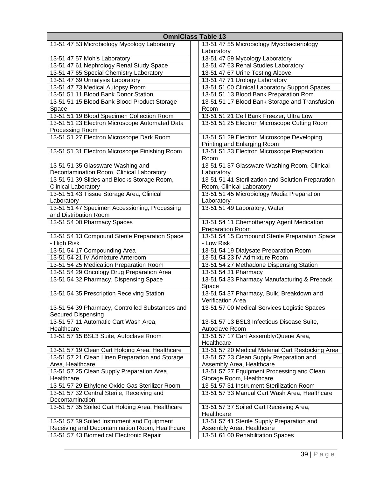| <b>OmniClass Table 13</b>                        |                                                    |  |  |  |  |
|--------------------------------------------------|----------------------------------------------------|--|--|--|--|
| 13-51 47 53 Microbiology Mycology Laboratory     | 13-51 47 55 Microbiology Mycobacteriology          |  |  |  |  |
|                                                  | Laboratory                                         |  |  |  |  |
| 13-51 47 57 Moh's Laboratory                     | 13-51 47 59 Mycology Laboratory                    |  |  |  |  |
| 13-51 47 61 Nephrology Renal Study Space         | 13-51 47 63 Renal Studies Laboratory               |  |  |  |  |
| 13-51 47 65 Special Chemistry Laboratory         | 13-51 47 67 Urine Testing Alcove                   |  |  |  |  |
| 13-51 47 69 Urinalysis Laboratory                | 13-51 47 71 Urology Laboratory                     |  |  |  |  |
| 13-51 47 73 Medical Autopsy Room                 | 13-51 51 00 Clinical Laboratory Support Spaces     |  |  |  |  |
| 13-51 51 11 Blood Bank Donor Station             | 13-51 51 13 Blood Bank Preparation Rom             |  |  |  |  |
| 13-51 51 15 Blood Bank Blood Product Storage     | 13-51 51 17 Blood Bank Storage and Transfusion     |  |  |  |  |
| Space                                            | Room                                               |  |  |  |  |
| 13-51 51 19 Blood Specimen Collection Room       | 13-51 51 21 Cell Bank Freezer, Ultra Low           |  |  |  |  |
| 13-51 51 23 Electron Microscope Automated Data   | 13-51 51 25 Electron Microscope Cutting Room       |  |  |  |  |
| Processing Room                                  |                                                    |  |  |  |  |
| 13-51 51 27 Electron Microscope Dark Room        | 13-51 51 29 Electron Microscope Developing,        |  |  |  |  |
|                                                  | <b>Printing and Enlarging Room</b>                 |  |  |  |  |
| 13-51 51 31 Electron Microscope Finishing Room   | 13-51 51 33 Electron Microscope Preparation        |  |  |  |  |
|                                                  | Room                                               |  |  |  |  |
| 13-51 51 35 Glassware Washing and                | 13-51 51 37 Glassware Washing Room, Clinical       |  |  |  |  |
| Decontamination Room, Clinical Laboratory        | Laboratory                                         |  |  |  |  |
| 13-51 51 39 Slides and Blocks Storage Room,      | 13-51 51 41 Sterilization and Solution Preparation |  |  |  |  |
| <b>Clinical Laboratory</b>                       | Room, Clinical Laboratory                          |  |  |  |  |
| 13-51 51 43 Tissue Storage Area, Clinical        | 13-51 51 45 Microbiology Media Preparation         |  |  |  |  |
| Laboratory                                       | Laboratory                                         |  |  |  |  |
| 13-51 51 47 Specimen Accessioning, Processing    | 13-51 51 49 Laboratory, Water                      |  |  |  |  |
| and Distribution Room                            |                                                    |  |  |  |  |
| 13-51 54 00 Pharmacy Spaces                      | 13-51 54 11 Chemotherapy Agent Medication          |  |  |  |  |
|                                                  | Preparation Room                                   |  |  |  |  |
| 13-51 54 13 Compound Sterile Preparation Space   | 13-51 54 15 Compound Sterile Preparation Space     |  |  |  |  |
| - High Risk                                      | - Low Risk                                         |  |  |  |  |
| 13-51 54 17 Compounding Area                     | 13-51 54 19 Dialysate Preparation Room             |  |  |  |  |
| 13-51 54 21 IV Admixture Anteroom                | 13-51 54 23 IV Admixture Room                      |  |  |  |  |
| 13-51 54 25 Medication Preparation Room          | 13-51 54 27 Methadone Dispensing Station           |  |  |  |  |
| 13-51 54 29 Oncology Drug Preparation Area       | 13-51 54 31 Pharmacy                               |  |  |  |  |
| 13-51 54 32 Pharmacy, Dispensing Space           | 13-51 54 33 Pharmacy Manufacturing & Prepack       |  |  |  |  |
|                                                  | Space                                              |  |  |  |  |
| 13-51 54 35 Prescription Receiving Station       | 13-51 54 37 Pharmacy, Bulk, Breakdown and          |  |  |  |  |
|                                                  | Verification Area                                  |  |  |  |  |
| 13-51 54 39 Pharmacy, Controlled Substances and  | 13-51 57 00 Medical Services Logistic Spaces       |  |  |  |  |
| <b>Secured Dispensing</b>                        |                                                    |  |  |  |  |
| 13-51 57 11 Automatic Cart Wash Area,            | 13-51 57 13 BSL3 Infectious Disease Suite,         |  |  |  |  |
| Healthcare                                       | Autoclave Room                                     |  |  |  |  |
| 13-51 57 15 BSL3 Suite, Autoclave Room           | 13-51 57 17 Cart Assembly/Queue Area,              |  |  |  |  |
|                                                  | Healthcare                                         |  |  |  |  |
| 13-51 57 19 Clean Cart Holding Area, Healthcare  | 13-51 57 20 Medical Material Cart Restocking Area  |  |  |  |  |
| 13-51 57 21 Clean Linen Preparation and Storage  | 13-51 57 23 Clean Supply Preparation and           |  |  |  |  |
| Area, Healthcare                                 | Assembly Area, Healthcare                          |  |  |  |  |
| 13-51 57 25 Clean Supply Preparation Area,       | 13-51 57 27 Equipment Processing and Clean         |  |  |  |  |
| Healthcare                                       | Storage Room, Healthcare                           |  |  |  |  |
| 13-51 57 29 Ethylene Oxide Gas Sterilizer Room   | 13-51 57 31 Instrument Sterilization Room          |  |  |  |  |
| 13-51 57 32 Central Sterile, Receiving and       | 13-51 57 33 Manual Cart Wash Area, Healthcare      |  |  |  |  |
| Decontamination                                  |                                                    |  |  |  |  |
| 13-51 57 35 Soiled Cart Holding Area, Healthcare | 13-51 57 37 Soiled Cart Receiving Area,            |  |  |  |  |
|                                                  | Healthcare                                         |  |  |  |  |
| 13-51 57 39 Soiled Instrument and Equipment      | 13-51 57 41 Sterile Supply Preparation and         |  |  |  |  |
| Receiving and Decontamination Room, Healthcare   | Assembly Area, Healthcare                          |  |  |  |  |
| 13-51 57 43 Biomedical Electronic Repair         | 13-51 61 00 Rehabilitation Spaces                  |  |  |  |  |
|                                                  |                                                    |  |  |  |  |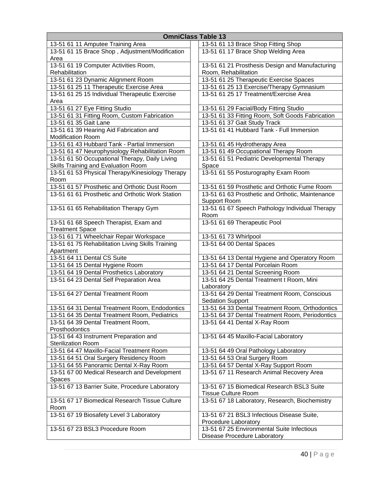| <b>OmniClass Table 13</b>                                                                    |                                                                                    |  |  |  |
|----------------------------------------------------------------------------------------------|------------------------------------------------------------------------------------|--|--|--|
| 13-51 61 11 Amputee Training Area                                                            | 13-51 61 13 Brace Shop Fitting Shop                                                |  |  |  |
| 13-51 61 15 Brace Shop, Adjustment/Modification                                              | 13-51 61 17 Brace Shop Welding Area                                                |  |  |  |
| Area                                                                                         |                                                                                    |  |  |  |
| 13-51 61 19 Computer Activities Room,                                                        | 13-51 61 21 Prosthesis Design and Manufacturing                                    |  |  |  |
| Rehabilitation                                                                               | Room, Rehabilitation                                                               |  |  |  |
| 13-51 61 23 Dynamic Alignment Room                                                           | 13-51 61 25 Therapeutic Exercise Spaces                                            |  |  |  |
| 13-51 61 25 11 Therapeutic Exercise Area                                                     | 13-51 61 25 13 Exercise/Therapy Gymnasium                                          |  |  |  |
| 13-51 61 25 15 Individual Therapeutic Exercise                                               | 13-51 61 25 17 Treatment/Exercise Area                                             |  |  |  |
| Area                                                                                         |                                                                                    |  |  |  |
| 13-51 61 27 Eye Fitting Studio                                                               | 13-51 61 29 Facial/Body Fitting Studio                                             |  |  |  |
| 13-51 61 31 Fitting Room, Custom Fabrication                                                 | 13-51 61 33 Fitting Room, Soft Goods Fabrication                                   |  |  |  |
| 13-51 61 35 Gait Lane                                                                        | 13-51 61 37 Gait Study Track                                                       |  |  |  |
| 13-51 61 39 Hearing Aid Fabrication and                                                      | 13-51 61 41 Hubbard Tank - Full Immersion                                          |  |  |  |
| Modification Room                                                                            |                                                                                    |  |  |  |
| 13-51 61 43 Hubbard Tank - Partial Immersion                                                 | 13-51 61 45 Hydrotherapy Area                                                      |  |  |  |
| 13-51 61 47 Neurophysiology Rehabilitation Room                                              | 13-51 61 49 Occupational Therapy Room                                              |  |  |  |
| 13-51 61 50 Occupational Therapy, Daily Living                                               | 13-51 61 51 Pediatric Developmental Therapy                                        |  |  |  |
| Skills Training and Evaluation Room                                                          | Space                                                                              |  |  |  |
| 13-51 61 53 Physical Therapy/Kinesiology Therapy                                             | 13-51 61 55 Posturography Exam Room                                                |  |  |  |
| Room                                                                                         |                                                                                    |  |  |  |
| 13-51 61 57 Prosthetic and Orthotic Dust Room                                                | 13-51 61 59 Prosthetic and Orthotic Fume Room                                      |  |  |  |
| 13-51 61 61 Prosthetic and Orthotic Work Station                                             | 13-51 61 63 Prosthetic and Orthotic, Maintenance                                   |  |  |  |
|                                                                                              | <b>Support Room</b>                                                                |  |  |  |
| 13-51 61 65 Rehabilitation Therapy Gym                                                       | 13-51 61 67 Speech Pathology Individual Therapy                                    |  |  |  |
|                                                                                              | Room                                                                               |  |  |  |
| 13-51 61 68 Speech Therapist, Exam and                                                       | 13-51 61 69 Therapeutic Pool                                                       |  |  |  |
| <b>Treatment Space</b>                                                                       |                                                                                    |  |  |  |
| 13-51 61 71 Wheelchair Repair Workspace<br>13-51 61 75 Rehabilitation Living Skills Training | 13-51 61 73 Whirlpool<br>13-51 64 00 Dental Spaces                                 |  |  |  |
| Apartment                                                                                    |                                                                                    |  |  |  |
| 13-51 64 11 Dental CS Suite                                                                  |                                                                                    |  |  |  |
| 13-51 64 15 Dental Hygiene Room                                                              | 13-51 64 13 Dental Hygiene and Operatory Room<br>13-51 64 17 Dental Porcelain Room |  |  |  |
| 13-51 64 19 Dental Prosthetics Laboratory                                                    | 13-51 64 21 Dental Screening Room                                                  |  |  |  |
| 13-51 64 23 Dental Self Preparation Area                                                     | 13-51 64 25 Dental Treatment t Room, Mini                                          |  |  |  |
|                                                                                              | Laboratory                                                                         |  |  |  |
| 13-51 64 27 Dental Treatment Room                                                            | 13-51 64 29 Dental Treatment Room, Conscious                                       |  |  |  |
|                                                                                              | <b>Sedation Support</b>                                                            |  |  |  |
| 13-51 64 31 Dental Treatment Room, Endodontics                                               | 13-51 64 33 Dental Treatment Room, Orthodontics                                    |  |  |  |
| 13-51 64 35 Dental Treatment Room, Pediatrics                                                | 13-51 64 37 Dental Treatment Room, Periodontics                                    |  |  |  |
| 13-51 64 39 Dental Treatment Room,                                                           | 13-51 64 41 Dental X-Ray Room                                                      |  |  |  |
| Prosthodontics                                                                               |                                                                                    |  |  |  |
| 13-51 64 43 Instrument Preparation and                                                       | 13-51 64 45 Maxillo-Facial Laboratory                                              |  |  |  |
| Sterilization Room                                                                           |                                                                                    |  |  |  |
| 13-51 64 47 Maxillo-Facial Treatment Room                                                    | 13-51 64 49 Oral Pathology Laboratory                                              |  |  |  |
| 13-51 64 51 Oral Surgery Residency Room                                                      | 13-51 64 53 Oral Surgery Room                                                      |  |  |  |
| 13-51 64 55 Panoramic Dental X-Ray Room                                                      | 13-51 64 57 Dental X-Ray Support Room                                              |  |  |  |
| 13-51 67 00 Medical Research and Development                                                 | 13-51 67 11 Research Animal Recovery Area                                          |  |  |  |
| Spaces                                                                                       |                                                                                    |  |  |  |
| 13-51 67 13 Barrier Suite, Procedure Laboratory                                              | 13-51 67 15 Biomedical Research BSL3 Suite                                         |  |  |  |
|                                                                                              | <b>Tissue Culture Room</b>                                                         |  |  |  |
| 13-51 67 17 Biomedical Research Tissue Culture                                               | 13-51 67 18 Laboratory, Research, Biochemistry                                     |  |  |  |
| Room                                                                                         |                                                                                    |  |  |  |
| 13-51 67 19 Biosafety Level 3 Laboratory                                                     | 13-51 67 21 BSL3 Infectious Disease Suite,                                         |  |  |  |
|                                                                                              | Procedure Laboratory                                                               |  |  |  |
| 13-51 67 23 BSL3 Procedure Room                                                              | 13-51 67 25 Environmental Suite Infectious                                         |  |  |  |
|                                                                                              | Disease Procedure Laboratory                                                       |  |  |  |
|                                                                                              |                                                                                    |  |  |  |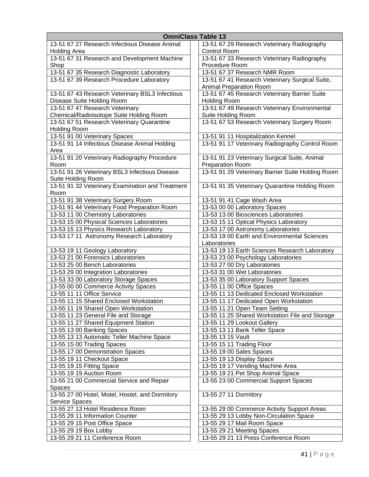| <b>OmniClass Table 13</b>                        |                                                   |  |  |  |  |
|--------------------------------------------------|---------------------------------------------------|--|--|--|--|
| 13-51 67 27 Research Infectious Disease Animal   | 13-51 67 29 Research Veterinary Radiography       |  |  |  |  |
| <b>Holding Area</b>                              | Control Room                                      |  |  |  |  |
| 13-51 67 31 Research and Development Machine     | 13-51 67 33 Research Veterinary Radiography       |  |  |  |  |
| Shop                                             | Procedure Room                                    |  |  |  |  |
| 13-51 67 35 Research Diagnostic Laboratory       | 13-51 67 37 Research NMR Room                     |  |  |  |  |
| 13-51 67 39 Research Procedure Laboratory        | 13-51 67 41 Research Veterinary Surgical Suite,   |  |  |  |  |
|                                                  | Animal Preparation Room                           |  |  |  |  |
| 13-51 67 43 Research Veterinary BSL3 Infectious  | 13-51 67 45 Research Veterinary Barrier Suite     |  |  |  |  |
| Disease Suite Holding Room                       | <b>Holding Room</b>                               |  |  |  |  |
| 13-51 67 47 Research Veterinary                  | 13-51 67 49 Research Veterinary Environmental     |  |  |  |  |
| Chemical/Radioisotope Suite Holding Room         | Suite Holding Room                                |  |  |  |  |
| 13-51 67 51 Research Veterinary Quarantine       | 13-51 67 53 Research Veterinary Surgery Room      |  |  |  |  |
| <b>Holding Room</b>                              |                                                   |  |  |  |  |
| 13-51 91 00 Veterinary Spaces                    | 13-51 91 11 Hospitalization Kennel                |  |  |  |  |
| 13-51 91 14 Infectious Disease Animal Holding    | 13-51 91 17 Veterinary Radiography Control Room   |  |  |  |  |
| Area                                             |                                                   |  |  |  |  |
| 13-51 91 20 Veterinary Radiography Procedure     | 13-51 91 23 Veterinary Surgical Suite, Animal     |  |  |  |  |
| Room                                             | Preparation Room                                  |  |  |  |  |
| 13-51 91 26 Veterinary BSL3 Infectious Disease   | 13-51 91 29 Veterinary Barrier Suite Holding Room |  |  |  |  |
| Suite Holding Room                               |                                                   |  |  |  |  |
| 13-51 91 32 Veterinary Examination and Treatment | 13-51 91 35 Veterinary Quarantine Holding Room    |  |  |  |  |
| Room                                             |                                                   |  |  |  |  |
| 13-51 91 38 Veterinary Surgery Room              | 13-51 91 41 Cage Wash Area                        |  |  |  |  |
| 13-51 91 44 Veterinary Food Preparation Room     | 13-53 00 00 Laboratory Spaces                     |  |  |  |  |
| 13-53 11 00 Chemistry Laboratories               | 13-53 13 00 Biosciences Laboratories              |  |  |  |  |
| 13-53 15 00 Physical Sciences Laboratories       | 13-53 15 11 Optical Physics Laboratory            |  |  |  |  |
| 13-53 15 13 Physics Research Laboratory          | 13-53 17 00 Astronomy Laboratories                |  |  |  |  |
| 13-53 17 11 Astronomy Research Laboratory        | 13-53 19 00 Earth and Environmental Sciences      |  |  |  |  |
|                                                  | Laboratories                                      |  |  |  |  |
| 13-53 19 11 Geology Laboratory                   | 13-53 19 13 Earth Sciences Research Laboratory    |  |  |  |  |
| 13-53 21 00 Forensics Laboratories               | 13-53 23 00 Psychology Laboratories               |  |  |  |  |
| 13-53 25 00 Bench Laboratories                   | 13-53 27 00 Dry Laboratories                      |  |  |  |  |
| 13-53 29 00 Integration Laboratories             | 13-53 31 00 Wet Laboratories                      |  |  |  |  |
| 13-53 33 00 Laboratory Storage Spaces            | 13-53 35 00 Laboratory Support Spaces             |  |  |  |  |
| 13-55 00 00 Commerce Activity Spaces             | 13-55 11 00 Office Spaces                         |  |  |  |  |
| 13-55 11 11 Office Service                       | 13-55 11 13 Dedicated Enclosed Workstation        |  |  |  |  |
| 13-55 11 15 Shared Enclosed Workstation          | 13-55 11 17 Dedicated Open Workstation            |  |  |  |  |
| 13-55 11 19 Shared Open Workstation              | 13-55 11 21 Open Team Setting                     |  |  |  |  |
| 13-55 11 23 General File and Storage             | 13-55 11 25 Shared Workstation File and Storage   |  |  |  |  |
| 13-55 11 27 Shared Equipment Station             | 13-55 11 29 Lookout Gallery                       |  |  |  |  |
| 13-55 13 00 Banking Spaces                       | 13-55 13 11 Bank Teller Space                     |  |  |  |  |
| 13-55 13 13 Automatic Teller Machine Space       | 13-55 13 15 Vault                                 |  |  |  |  |
| 13-55 15 00 Trading Spaces                       | 13-55 15 11 Trading Floor                         |  |  |  |  |
| 13-55 17 00 Demonstration Spaces                 | 13-55 19 00 Sales Spaces                          |  |  |  |  |
| 13-55 19 11 Checkout Space                       | 13-55 19 13 Display Space                         |  |  |  |  |
| 13-55 19 15 Fitting Space                        | 13-55 19 17 Vending Machine Area                  |  |  |  |  |
| 13-55 19 19 Auction Room                         | 13-55 19 21 Pet Shop Animal Space                 |  |  |  |  |
| 13-55 21 00 Commercial Service and Repair        | 13-55 23 00 Commercial Support Spaces             |  |  |  |  |
| Spaces                                           |                                                   |  |  |  |  |
| 13-55 27 00 Hotel, Motel, Hostel, and Dormitory  | 13-55 27 11 Dormitory                             |  |  |  |  |
| Service Spaces                                   |                                                   |  |  |  |  |
| 13-55 27 13 Hotel Residence Room                 | 13-55 29 00 Commerce Activity Support Areas       |  |  |  |  |
| 13-55 29 11 Information Counter                  | 13-55 29 13 Lobby Non-Circulation Space           |  |  |  |  |
| 13-55 29 15 Post Office Space                    | 13-55 29 17 Mail Room Space                       |  |  |  |  |
| 13-55 29 19 Box Lobby                            | 13-55 29 21 Meeting Spaces                        |  |  |  |  |
| 13-55 29 21 11 Conference Room                   | 13-55 29 21 13 Press Conference Room              |  |  |  |  |
|                                                  |                                                   |  |  |  |  |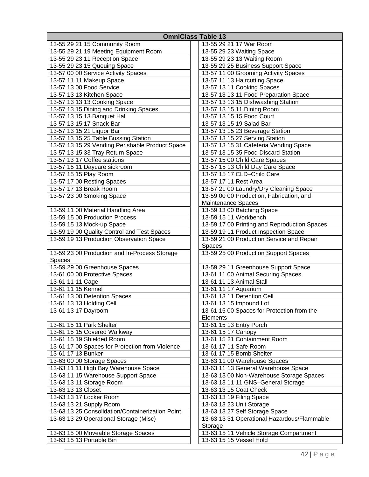| <b>OmniClass Table 13</b>                                |                                                    |  |  |  |
|----------------------------------------------------------|----------------------------------------------------|--|--|--|
| 13-55 29 21 15 Community Room                            | 13-55 29 21 17 War Room                            |  |  |  |
| 13-55 29 21 19 Meeting Equipment Room                    | 13-55 29 23 Waiting Space                          |  |  |  |
| 13-55 29 23 11 Reception Space                           | 13-55 29 23 13 Waiting Room                        |  |  |  |
| 13-55 29 23 15 Queuing Space                             | 13-55 29 25 Business Support Space                 |  |  |  |
| 13-57 00 00 Service Activity Spaces                      | 13-57 11 00 Grooming Activity Spaces               |  |  |  |
| 13-57 11 11 Makeup Space                                 | 13-57 11 13 Haircutting Space                      |  |  |  |
| 13-57 13 00 Food Service                                 | 13-57 13 11 Cooking Spaces                         |  |  |  |
| 13-57 13 13 Kitchen Space                                | 13-57 13 13 11 Food Preparation Space              |  |  |  |
| 13-57 13 13 13 Cooking Space                             | 13-57 13 13 15 Dishwashing Station                 |  |  |  |
| 13-57 13 15 Dining and Drinking Spaces                   | 13-57 13 15 11 Dining Room                         |  |  |  |
| 13-57 13 15 13 Banquet Hall                              | 13-57 13 15 15 Food Court                          |  |  |  |
| 13-57 13 15 17 Snack Bar                                 | 13-57 13 15 19 Salad Bar                           |  |  |  |
| 13-57 13 15 21 Liquor Bar                                | 13-57 13 15 23 Beverage Station                    |  |  |  |
| 13-57 13 15 25 Table Bussing Station                     | 13-57 13 15 27 Serving Station                     |  |  |  |
| 13-57 13 15 29 Vending Perishable Product Space          | 13-57 13 15 31 Cafeteria Vending Space             |  |  |  |
| 13-57 13 15 33 Tray Return Space                         | 13-57 13 15 35 Food Discard Station                |  |  |  |
| 13-57 13 17 Coffee stations                              | 13-57 15 00 Child Care Spaces                      |  |  |  |
| 13-57 15 11 Daycare sickroom                             | 13-57 15 13 Child Day Care Space                   |  |  |  |
| 13-57 15 15 Play Room                                    | 13-57 15 17 CLD-Child Care                         |  |  |  |
| 13-57 17 00 Resting Spaces                               | 13-57 17 11 Rest Area                              |  |  |  |
| 13-57 17 13 Break Room                                   | 13-57 21 00 Laundry/Dry Cleaning Space             |  |  |  |
| 13-57 23 00 Smoking Space                                | 13-59 00 00 Production, Fabrication, and           |  |  |  |
|                                                          | Maintenance Spaces                                 |  |  |  |
| 13-59 11 00 Material Handling Area                       | 13-59 13 00 Batching Space                         |  |  |  |
| 13-59 15 00 Production Process                           | 13-59 15 11 Workbench                              |  |  |  |
| 13-59 15 13 Mock-up Space                                | 13-59 17 00 Printing and Reproduction Spaces       |  |  |  |
| 13-59 19 00 Quality Control and Test Spaces              | 13-59 19 11 Product Inspection Space               |  |  |  |
| 13-59 19 13 Production Observation Space                 | 13-59 21 00 Production Service and Repair          |  |  |  |
|                                                          | Spaces                                             |  |  |  |
| 13-59 23 00 Production and In-Process Storage            | 13-59 25 00 Production Support Spaces              |  |  |  |
| Spaces                                                   |                                                    |  |  |  |
| 13-59 29 00 Greenhouse Spaces                            | 13-59 29 11 Greenhouse Support Space               |  |  |  |
| 13-61 00 00 Protective Spaces                            | 13-61 11 00 Animal Securing Spaces                 |  |  |  |
| 13-61 11 11 Cage                                         | 13-61 11 13 Animal Stall                           |  |  |  |
| 13-61 11 15 Kennel                                       | 13-61 11 17 Aquarium                               |  |  |  |
| 13-61 13 00 Detention Spaces                             | 13-61 13 11 Detention Cell                         |  |  |  |
| 13-61 13 13 Holding Cell                                 | 13-61 13 15 Impound Lot                            |  |  |  |
| 13-61 13 17 Dayroom                                      | 13-61 15 00 Spaces for Protection from the         |  |  |  |
| 13-61 15 11 Park Shelter                                 | Elements                                           |  |  |  |
|                                                          | 13-61 15 13 Entry Porch                            |  |  |  |
| 13-61 15 15 Covered Walkway<br>13-61 15 19 Shielded Room | 13-61 15 17 Canopy<br>13-61 15 21 Containment Room |  |  |  |
| 13-61 17 00 Spaces for Protection from Violence          | 13-61 17 11 Safe Room                              |  |  |  |
| 13-61 17 13 Bunker                                       | 13-61 17 15 Bomb Shelter                           |  |  |  |
| 13-63 00 00 Storage Spaces                               | 13-63 11 00 Warehouse Spaces                       |  |  |  |
| 13-63 11 11 High Bay Warehouse Space                     | 13-63 11 13 General Warehouse Space                |  |  |  |
| 13-63 11 15 Warehouse Support Space                      | 13-63 13 00 Non-Warehouse Storage Spaces           |  |  |  |
| 13-63 13 11 Storage Room                                 | 13-63 13 11 11 GNS-General Storage                 |  |  |  |
| 13-63 13 13 Closet                                       | 13-63 13 15 Coat Check                             |  |  |  |
| 13-63 13 17 Locker Room                                  | 13-63 13 19 Filing Space                           |  |  |  |
| 13-63 13 21 Supply Room                                  | 13-63 13 23 Unit Storage                           |  |  |  |
| 13-63 13 25 Consolidation/Containerization Point         | 13-63 13 27 Self Storage Space                     |  |  |  |
| 13-63 13 29 Operational Storage (Misc)                   | 13-63 13 31 Operational Hazardous/Flammable        |  |  |  |
|                                                          | Storage                                            |  |  |  |
| 13-63 15 00 Moveable Storage Spaces                      | 13-63 15 11 Vehicle Storage Compartment            |  |  |  |
| 13-63 15 13 Portable Bin                                 | 13-63 15 15 Vessel Hold                            |  |  |  |
|                                                          |                                                    |  |  |  |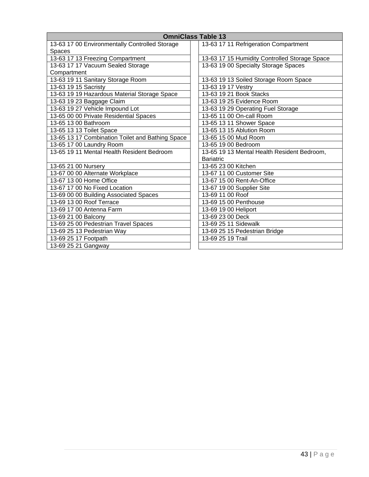| <b>OmniClass Table 13</b>                        |  |                                               |  |  |
|--------------------------------------------------|--|-----------------------------------------------|--|--|
| 13-63 17 00 Environmentally Controlled Storage   |  | 13-63 17 11 Refrigeration Compartment         |  |  |
| <b>Spaces</b>                                    |  |                                               |  |  |
| 13-63 17 13 Freezing Compartment                 |  | 13-63 17 15 Humidity Controlled Storage Space |  |  |
| 13-63 17 17 Vacuum Sealed Storage                |  | 13-63 19 00 Specialty Storage Spaces          |  |  |
| Compartment                                      |  |                                               |  |  |
| 13-63 19 11 Sanitary Storage Room                |  | 13-63 19 13 Soiled Storage Room Space         |  |  |
| 13-63 19 15 Sacristy                             |  | 13-63 19 17 Vestry                            |  |  |
| 13-63 19 19 Hazardous Material Storage Space     |  | 13-63 19 21 Book Stacks                       |  |  |
| 13-63 19 23 Baggage Claim                        |  | 13-63 19 25 Evidence Room                     |  |  |
| 13-63 19 27 Vehicle Impound Lot                  |  | 13-63 19 29 Operating Fuel Storage            |  |  |
| 13-65 00 00 Private Residential Spaces           |  | 13-65 11 00 On-call Room                      |  |  |
| 13-65 13 00 Bathroom                             |  | 13-65 13 11 Shower Space                      |  |  |
| 13-65 13 13 Toilet Space                         |  | 13-65 13 15 Ablution Room                     |  |  |
| 13-65 13 17 Combination Toilet and Bathing Space |  | 13-65 15 00 Mud Room                          |  |  |
| 13-65 17 00 Laundry Room                         |  | 13-65 19 00 Bedroom                           |  |  |
| 13-65 19 11 Mental Health Resident Bedroom       |  | 13-65 19 13 Mental Health Resident Bedroom,   |  |  |
|                                                  |  | <b>Bariatric</b>                              |  |  |
| 13-65 21 00 Nursery                              |  | 13-65 23 00 Kitchen                           |  |  |
| 13-67 00 00 Alternate Workplace                  |  | 13-67 11 00 Customer Site                     |  |  |
| 13-67 13 00 Home Office                          |  | 13-67 15 00 Rent-An-Office                    |  |  |
| 13-67 17 00 No Fixed Location                    |  | 13-67 19 00 Supplier Site                     |  |  |
| 13-69 00 00 Building Associated Spaces           |  | 13-69 11 00 Roof                              |  |  |
| 13-69 13 00 Roof Terrace                         |  | 13-69 15 00 Penthouse                         |  |  |
| 13-69 17 00 Antenna Farm                         |  | 13-69 19 00 Heliport                          |  |  |
| 13-69 21 00 Balcony                              |  | 13-69 23 00 Deck                              |  |  |
| 13-69 25 00 Pedestrian Travel Spaces             |  | 13-69 25 11 Sidewalk                          |  |  |
| 13-69 25 13 Pedestrian Way                       |  | 13-69 25 15 Pedestrian Bridge                 |  |  |
| 13-69 25 17 Footpath                             |  | 13-69 25 19 Trail                             |  |  |
| 13-69 25 21 Gangway                              |  |                                               |  |  |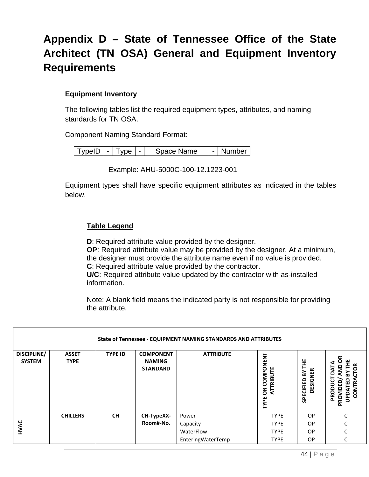# **Appendix D – State of Tennessee Office of the State Architect (TN OSA) General and Equipment Inventory Requirements**

# **Equipment Inventory**

The following tables list the required equipment types, attributes, and naming standards for TN OSA.

Component Naming Standard Format:

 $TypeID \mid - \mid Type \mid - \mid$  Space Name  $\mid - \mid$  Number

Example: AHU-5000C-100-12.1223-001

Equipment types shall have specific equipment attributes as indicated in the tables below.

## **Table Legend**

**D**: Required attribute value provided by the designer. **OP**: Required attribute value may be provided by the designer. At a minimum, the designer must provide the attribute name even if no value is provided. **C**: Required attribute value provided by the contractor. **U/C**: Required attribute value updated by the contractor with as-installed information.

Note: A blank field means the indicated party is not responsible for providing the attribute.

| State of Tennessee - EQUIPMENT NAMING STANDARDS AND ATTRIBUTES |                             |                |                                                      |                   |                                                      |                                         |                                                                                                           |
|----------------------------------------------------------------|-----------------------------|----------------|------------------------------------------------------|-------------------|------------------------------------------------------|-----------------------------------------|-----------------------------------------------------------------------------------------------------------|
| DISCIPLINE/<br><b>SYSTEM</b>                                   | <b>ASSET</b><br><b>TYPE</b> | <b>TYPE ID</b> | <b>COMPONENT</b><br><b>NAMING</b><br><b>STANDARD</b> | <b>ATTRIBUTE</b>  | COMPONENT<br><b>ATTRIBUTE</b><br>$\tilde{6}$<br>TYPE | Ĕ<br><b>DESIGNER</b><br>Σñ<br>SPECIFIED | ర్<br>DATA<br>້6<br>$\frac{1}{2}$<br>m<br><b>CONTRA</b><br><b>UPDATED</b><br><b>JDED</b><br>PRODI<br>PROV |
|                                                                | <b>CHILLERS</b>             | <b>CH</b>      | CH-TypeXX-                                           | Power             | <b>TYPE</b>                                          | <b>OP</b>                               | C                                                                                                         |
| HVAC                                                           |                             |                | Room#-No.                                            | Capacity          | <b>TYPE</b>                                          | OP.                                     | C                                                                                                         |
|                                                                |                             |                |                                                      | WaterFlow         | <b>TYPE</b>                                          | OP.                                     | C                                                                                                         |
|                                                                |                             |                |                                                      | EnteringWaterTemp | <b>TYPE</b>                                          | <b>OP</b>                               | C                                                                                                         |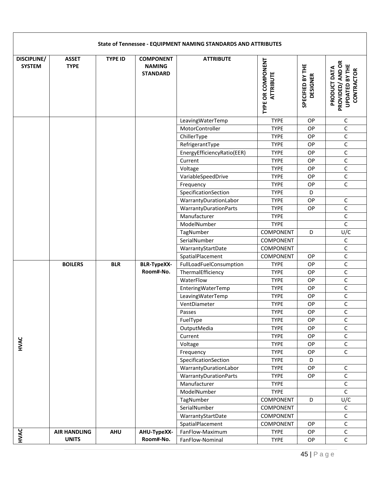|                              |                             |                |                                                      | State of Tennessee - EQUIPMENT NAMING STANDARDS AND ATTRIBUTES |                                       |                                     |                                                                         |
|------------------------------|-----------------------------|----------------|------------------------------------------------------|----------------------------------------------------------------|---------------------------------------|-------------------------------------|-------------------------------------------------------------------------|
| DISCIPLINE/<br><b>SYSTEM</b> | <b>ASSET</b><br><b>TYPE</b> | <b>TYPE ID</b> | <b>COMPONENT</b><br><b>NAMING</b><br><b>STANDARD</b> | <b>ATTRIBUTE</b>                                               | TYPE OR COMPONENT<br><b>ATTRIBUTE</b> | SPECIFIED BY THE<br><b>DESIGNER</b> | PROVIDED/ AND OR<br><b>UPDATED BY THE</b><br>PRODUCT DATA<br>CONTRACTOR |
|                              |                             |                |                                                      | LeavingWaterTemp                                               | <b>TYPE</b>                           | OP                                  | C                                                                       |
|                              |                             |                |                                                      | MotorController                                                | <b>TYPE</b>                           | OP                                  | $\mathsf C$                                                             |
|                              |                             |                |                                                      | ChillerType                                                    | <b>TYPE</b>                           | OP                                  | C                                                                       |
|                              |                             |                |                                                      | RefrigerantType                                                | <b>TYPE</b>                           | <b>OP</b>                           | $\mathsf C$                                                             |
|                              |                             |                |                                                      | EnergyEfficiencyRatio(EER)                                     | <b>TYPE</b>                           | OP                                  | $\mathsf C$                                                             |
|                              |                             |                |                                                      | Current                                                        | <b>TYPE</b>                           | OP                                  | $\mathsf C$                                                             |
|                              |                             |                |                                                      | Voltage                                                        | <b>TYPE</b>                           | OP                                  | $\mathsf C$                                                             |
|                              |                             |                |                                                      | VariableSpeedDrive                                             | <b>TYPE</b>                           | OP                                  | C                                                                       |
|                              |                             |                |                                                      | Frequency                                                      | <b>TYPE</b>                           | OP                                  | $\mathsf C$                                                             |
|                              |                             |                |                                                      | SpecificationSection                                           | <b>TYPE</b>                           | D                                   |                                                                         |
|                              |                             |                |                                                      | WarrantyDurationLabor                                          | <b>TYPE</b>                           | OP                                  | C                                                                       |
|                              |                             |                |                                                      | <b>WarrantyDurationParts</b>                                   | <b>TYPE</b>                           | OP                                  | $\mathsf C$                                                             |
|                              |                             |                |                                                      | Manufacturer                                                   | <b>TYPE</b>                           |                                     | $\mathsf C$                                                             |
|                              |                             |                |                                                      | ModelNumber                                                    | <b>TYPE</b>                           |                                     | $\mathsf{C}$                                                            |
|                              |                             |                |                                                      | TagNumber                                                      | COMPONENT                             | D                                   | U/C                                                                     |
|                              |                             |                |                                                      | SerialNumber                                                   | COMPONENT                             |                                     | $\mathsf C$                                                             |
|                              |                             |                |                                                      | WarrantyStartDate                                              | COMPONENT                             |                                     | $\mathsf C$                                                             |
|                              |                             |                |                                                      | SpatialPlacement                                               | COMPONENT                             | OP                                  | $\mathsf C$                                                             |
|                              | <b>BOILERS</b>              | <b>BLR</b>     | <b>BLR-TypeXX-</b><br>Room#-No.                      | FullLoadFuelConsumption<br>ThermalEfficiency                   | <b>TYPE</b><br><b>TYPE</b>            | OP<br>OP                            | C<br>$\mathsf C$                                                        |
|                              |                             |                |                                                      | WaterFlow                                                      | <b>TYPE</b>                           | OP                                  | $\mathsf C$                                                             |
|                              |                             |                |                                                      | EnteringWaterTemp                                              | <b>TYPE</b>                           | OP                                  | $\mathsf C$                                                             |
|                              |                             |                |                                                      | LeavingWaterTemp                                               | <b>TYPE</b>                           | OP                                  | $\mathsf C$                                                             |
|                              |                             |                |                                                      | VentDiameter                                                   | <b>TYPE</b>                           | OP                                  | $\mathsf C$                                                             |
|                              |                             |                |                                                      | Passes                                                         | <b>TYPE</b>                           | <b>OP</b>                           | С                                                                       |
|                              |                             |                |                                                      | FuelType                                                       | <b>TYPE</b>                           | OP                                  | C                                                                       |
|                              |                             |                |                                                      | OutputMedia                                                    | <b>TYPE</b>                           | OP                                  | $\mathsf C$                                                             |
|                              |                             |                |                                                      | Current                                                        | <b>TYPE</b>                           | OP                                  | C                                                                       |
| HVAC                         |                             |                |                                                      | Voltage                                                        | <b>TYPE</b>                           | OP                                  | $\mathsf C$                                                             |
|                              |                             |                |                                                      | Frequency                                                      | <b>TYPE</b>                           | OP                                  | C                                                                       |
|                              |                             |                |                                                      | SpecificationSection                                           | <b>TYPE</b>                           | D                                   |                                                                         |
|                              |                             |                |                                                      | WarrantyDurationLabor                                          | <b>TYPE</b>                           | OP                                  | С                                                                       |
|                              |                             |                |                                                      | <b>WarrantyDurationParts</b>                                   | <b>TYPE</b>                           | OP                                  | $\mathsf C$                                                             |
|                              |                             |                |                                                      | Manufacturer                                                   | <b>TYPE</b>                           |                                     | C                                                                       |
|                              |                             |                |                                                      | ModelNumber                                                    | <b>TYPE</b>                           |                                     | C                                                                       |
|                              |                             |                |                                                      | TagNumber                                                      | COMPONENT                             | D                                   | U/C                                                                     |
|                              |                             |                |                                                      | SerialNumber                                                   | COMPONENT                             |                                     | С                                                                       |
|                              |                             |                |                                                      | WarrantyStartDate                                              | COMPONENT                             |                                     | C                                                                       |
|                              |                             |                |                                                      | SpatialPlacement                                               | COMPONENT                             | OP                                  | C                                                                       |
| <b>HVAC</b>                  | <b>AIR HANDLING</b>         | <b>AHU</b>     | AHU-TypeXX-                                          | FanFlow-Maximum                                                | <b>TYPE</b>                           | OP                                  | C                                                                       |
|                              | <b>UNITS</b>                |                | Room#-No.                                            | FanFlow-Nominal                                                | <b>TYPE</b>                           | OP                                  | $\mathsf C$                                                             |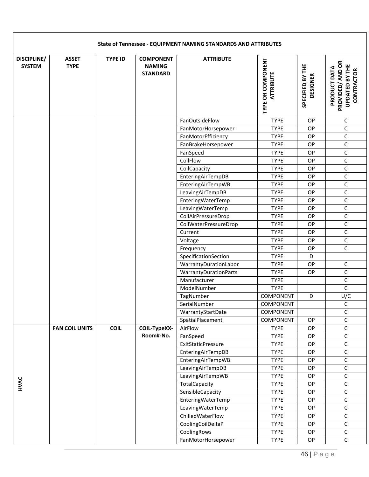|                                     |                             |                |                                                      | State of Tennessee - EQUIPMENT NAMING STANDARDS AND ATTRIBUTES |                                       |                                     |                                                                         |
|-------------------------------------|-----------------------------|----------------|------------------------------------------------------|----------------------------------------------------------------|---------------------------------------|-------------------------------------|-------------------------------------------------------------------------|
| <b>DISCIPLINE/</b><br><b>SYSTEM</b> | <b>ASSET</b><br><b>TYPE</b> | <b>TYPE ID</b> | <b>COMPONENT</b><br><b>NAMING</b><br><b>STANDARD</b> | <b>ATTRIBUTE</b>                                               | TYPE OR COMPONENT<br><b>ATTRIBUTE</b> | SPECIFIED BY THE<br><b>DESIGNER</b> | PROVIDED/ AND OR<br><b>UPDATED BY THE</b><br>PRODUCT DATA<br>CONTRACTOR |
|                                     |                             |                |                                                      | FanOutsideFlow                                                 | <b>TYPE</b>                           | OP                                  | C                                                                       |
|                                     |                             |                |                                                      | FanMotorHorsepower                                             | <b>TYPE</b>                           | OP                                  | $\mathsf C$                                                             |
|                                     |                             |                |                                                      | FanMotorEfficiency                                             | <b>TYPE</b>                           | OP                                  | $\mathsf C$                                                             |
|                                     |                             |                |                                                      | FanBrakeHorsepower                                             | <b>TYPE</b>                           | <b>OP</b>                           | $\mathsf C$                                                             |
|                                     |                             |                |                                                      | FanSpeed                                                       | <b>TYPE</b>                           | OP                                  | $\mathsf C$                                                             |
|                                     |                             |                |                                                      | CoilFlow                                                       | <b>TYPE</b>                           | OP                                  | $\mathsf C$                                                             |
|                                     |                             |                |                                                      | CoilCapacity                                                   | <b>TYPE</b>                           | OP                                  | $\mathsf C$                                                             |
|                                     |                             |                |                                                      | EnteringAirTempDB                                              | <b>TYPE</b>                           | OP                                  | $\mathsf C$                                                             |
|                                     |                             |                |                                                      | EnteringAirTempWB                                              | <b>TYPE</b>                           | OP                                  | $\mathsf C$                                                             |
|                                     |                             |                |                                                      | LeavingAirTempDB                                               | <b>TYPE</b>                           | OP                                  | $\mathsf C$                                                             |
|                                     |                             |                |                                                      | EnteringWaterTemp                                              | <b>TYPE</b>                           | OP                                  | $\mathsf C$                                                             |
|                                     |                             |                |                                                      | LeavingWaterTemp                                               | <b>TYPE</b>                           | OP                                  | $\mathsf C$                                                             |
|                                     |                             |                |                                                      | CoilAirPressureDrop                                            | <b>TYPE</b>                           | <b>OP</b>                           | $\mathsf C$                                                             |
|                                     |                             |                |                                                      | CoilWaterPressureDrop                                          | <b>TYPE</b>                           | OP                                  | $\mathsf C$                                                             |
|                                     |                             |                |                                                      | Current                                                        | <b>TYPE</b>                           | OP                                  | $\mathsf C$                                                             |
|                                     |                             |                |                                                      | Voltage                                                        | <b>TYPE</b>                           | OP                                  | $\mathsf C$                                                             |
|                                     |                             |                |                                                      | Frequency                                                      | <b>TYPE</b>                           | OP                                  | $\mathsf{C}$                                                            |
|                                     |                             |                |                                                      | SpecificationSection                                           | <b>TYPE</b>                           | D                                   |                                                                         |
|                                     |                             |                |                                                      | WarrantyDurationLabor                                          | <b>TYPE</b>                           | <b>OP</b>                           | С                                                                       |
|                                     |                             |                |                                                      | WarrantyDurationParts                                          | <b>TYPE</b>                           | <b>OP</b>                           | $\mathsf C$                                                             |
|                                     |                             |                |                                                      | Manufacturer                                                   | <b>TYPE</b>                           |                                     | $\mathsf C$                                                             |
|                                     |                             |                |                                                      | ModelNumber                                                    | <b>TYPE</b>                           |                                     | $\mathsf C$                                                             |
|                                     |                             |                |                                                      | TagNumber                                                      | COMPONENT                             | D                                   | U/C                                                                     |
|                                     |                             |                |                                                      | SerialNumber                                                   | COMPONENT                             |                                     | $\mathsf C$                                                             |
|                                     |                             |                |                                                      | WarrantyStartDate                                              | COMPONENT                             |                                     | $\mathsf C$                                                             |
|                                     |                             |                |                                                      | SpatialPlacement                                               | COMPONENT                             | OP                                  | $\mathsf C$                                                             |
|                                     | <b>FAN COIL UNITS</b>       | <b>COIL</b>    | COIL-TypeXX-                                         | AirFlow                                                        | <b>TYPE</b>                           | OP                                  | $\mathsf C$                                                             |
|                                     |                             |                | Room#-No.                                            | FanSpeed                                                       | <b>TYPE</b>                           | OP                                  | $\mathsf C$                                                             |
|                                     |                             |                |                                                      | <b>ExitStaticPressure</b>                                      | <b>TYPE</b>                           | OP                                  | $\mathsf C$                                                             |
|                                     |                             |                |                                                      | EnteringAirTempDB                                              | <b>TYPE</b>                           | OP                                  | $\mathsf C$                                                             |
|                                     |                             |                |                                                      | EnteringAirTempWB                                              | <b>TYPE</b>                           | OP                                  | $\mathsf C$                                                             |
|                                     |                             |                |                                                      | LeavingAirTempDB                                               | <b>TYPE</b>                           | OP                                  | $\mathsf C$                                                             |
|                                     |                             |                |                                                      | LeavingAirTempWB                                               | <b>TYPE</b>                           | OP                                  | $\mathsf C$                                                             |
| HVAC                                |                             |                |                                                      | TotalCapacity                                                  | <b>TYPE</b>                           | OP                                  | $\mathsf C$                                                             |
|                                     |                             |                |                                                      | SensibleCapacity                                               | <b>TYPE</b>                           | OP                                  | $\mathsf C$                                                             |
|                                     |                             |                |                                                      | EnteringWaterTemp                                              | <b>TYPE</b>                           | OP                                  | $\mathsf C$                                                             |
|                                     |                             |                |                                                      | LeavingWaterTemp                                               | <b>TYPE</b>                           | OP                                  | С                                                                       |
|                                     |                             |                |                                                      | ChilledWaterFlow                                               | <b>TYPE</b>                           | OP                                  | $\mathsf C$                                                             |
|                                     |                             |                |                                                      | CoolingCoilDeltaP                                              | <b>TYPE</b>                           | OP                                  | $\mathsf C$                                                             |
|                                     |                             |                |                                                      | CoolingRows                                                    | <b>TYPE</b>                           | OP                                  | $\mathsf C$                                                             |
|                                     |                             |                |                                                      | FanMotorHorsepower                                             | <b>TYPE</b>                           | OP                                  | $\mathsf C$                                                             |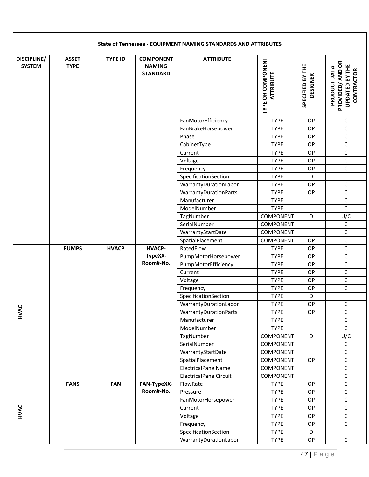|                                     |                             |                |                                                      | State of Tennessee - EQUIPMENT NAMING STANDARDS AND ATTRIBUTES |                                       |                                     |                                                                         |
|-------------------------------------|-----------------------------|----------------|------------------------------------------------------|----------------------------------------------------------------|---------------------------------------|-------------------------------------|-------------------------------------------------------------------------|
| <b>DISCIPLINE/</b><br><b>SYSTEM</b> | <b>ASSET</b><br><b>TYPE</b> | <b>TYPE ID</b> | <b>COMPONENT</b><br><b>NAMING</b><br><b>STANDARD</b> | <b>ATTRIBUTE</b>                                               | TYPE OR COMPONENT<br><b>ATTRIBUTE</b> | SPECIFIED BY THE<br><b>DESIGNER</b> | PROVIDED/ AND OR<br><b>UPDATED BY THE</b><br>PRODUCT DATA<br>CONTRACTOR |
|                                     |                             |                |                                                      | FanMotorEfficiency                                             | <b>TYPE</b>                           | OP                                  | C                                                                       |
|                                     |                             |                |                                                      | FanBrakeHorsepower                                             | <b>TYPE</b>                           | OP                                  | $\mathsf C$                                                             |
|                                     |                             |                |                                                      | Phase                                                          | <b>TYPE</b>                           | <b>OP</b>                           | $\mathsf{C}$                                                            |
|                                     |                             |                |                                                      | CabinetType                                                    | <b>TYPE</b>                           | OP                                  | $\mathsf C$                                                             |
|                                     |                             |                |                                                      | Current                                                        | <b>TYPE</b>                           | OP                                  | $\mathsf C$                                                             |
|                                     |                             |                |                                                      | Voltage                                                        | <b>TYPE</b>                           | OP                                  | $\mathsf C$                                                             |
|                                     |                             |                |                                                      | Frequency                                                      | <b>TYPE</b>                           | OP                                  | $\mathsf{C}$                                                            |
|                                     |                             |                |                                                      | SpecificationSection                                           | <b>TYPE</b>                           | D                                   |                                                                         |
|                                     |                             |                |                                                      | WarrantyDurationLabor                                          | <b>TYPE</b>                           | <b>OP</b>                           | С                                                                       |
|                                     |                             |                |                                                      | WarrantyDurationParts                                          | <b>TYPE</b>                           | <b>OP</b>                           | C                                                                       |
|                                     |                             |                |                                                      | Manufacturer                                                   | <b>TYPE</b>                           |                                     | $\mathsf C$                                                             |
|                                     |                             |                |                                                      | ModelNumber                                                    | <b>TYPE</b>                           |                                     | $\mathsf{C}$                                                            |
|                                     |                             |                |                                                      | TagNumber                                                      | COMPONENT                             | D                                   | U/C                                                                     |
|                                     |                             |                |                                                      | SerialNumber                                                   | <b>COMPONENT</b>                      |                                     | $\mathsf C$                                                             |
|                                     |                             |                |                                                      | WarrantyStartDate                                              | COMPONENT                             |                                     | $\mathsf C$                                                             |
|                                     |                             |                |                                                      | SpatialPlacement                                               | <b>COMPONENT</b>                      | OP                                  | $\mathsf C$                                                             |
|                                     | <b>PUMPS</b>                | <b>HVACP</b>   | <b>HVACP-</b>                                        | RatedFlow                                                      | <b>TYPE</b>                           | <b>OP</b>                           | $\mathsf C$                                                             |
|                                     |                             |                | TypeXX-                                              | PumpMotorHorsepower                                            | <b>TYPE</b>                           | <b>OP</b>                           | $\mathsf C$                                                             |
|                                     |                             |                | Room#-No.                                            | PumpMotorEfficiency                                            | <b>TYPE</b>                           | OP                                  | $\mathsf C$                                                             |
|                                     |                             |                |                                                      | Current                                                        | <b>TYPE</b>                           | OP                                  | $\mathsf C$                                                             |
|                                     |                             |                |                                                      | Voltage                                                        | <b>TYPE</b>                           | OP                                  | $\mathsf C$                                                             |
|                                     |                             |                |                                                      | Frequency                                                      | <b>TYPE</b>                           | OP                                  | $\mathsf C$                                                             |
|                                     |                             |                |                                                      | SpecificationSection                                           | <b>TYPE</b>                           | D                                   |                                                                         |
|                                     |                             |                |                                                      | WarrantyDurationLabor                                          | <b>TYPE</b>                           | OP                                  | $\mathsf{C}$                                                            |
| HVAC                                |                             |                |                                                      | <b>WarrantyDurationParts</b>                                   | <b>TYPE</b>                           | <b>OP</b>                           | $\mathsf C$                                                             |
|                                     |                             |                |                                                      | Manufacturer                                                   | <b>TYPE</b>                           |                                     | C                                                                       |
|                                     |                             |                |                                                      | ModelNumber                                                    | <b>TYPE</b>                           |                                     | С                                                                       |
|                                     |                             |                |                                                      | TagNumber                                                      | COMPONENT                             | D                                   | U/C                                                                     |
|                                     |                             |                |                                                      | SerialNumber                                                   | COMPONENT                             |                                     | $\mathsf C$                                                             |
|                                     |                             |                |                                                      | WarrantyStartDate                                              | COMPONENT                             |                                     | C                                                                       |
|                                     |                             |                |                                                      | SpatialPlacement                                               | COMPONENT                             | OP                                  | $\mathsf C$                                                             |
|                                     |                             |                |                                                      | ElectricalPanelName                                            | COMPONENT                             |                                     | C                                                                       |
|                                     |                             |                |                                                      | ElectricalPanelCircuit                                         | COMPONENT                             |                                     | С                                                                       |
|                                     | <b>FANS</b>                 | <b>FAN</b>     | FAN-TypeXX-<br>Room#-No.                             | FlowRate                                                       | <b>TYPE</b>                           | OP                                  | $\mathsf C$                                                             |
|                                     |                             |                |                                                      | Pressure                                                       | <b>TYPE</b>                           | <b>OP</b>                           | C                                                                       |
|                                     |                             |                |                                                      | FanMotorHorsepower                                             | <b>TYPE</b>                           | OP                                  | $\mathsf C$                                                             |
| HVAC                                |                             |                |                                                      | Current                                                        | <b>TYPE</b><br><b>TYPE</b>            | <b>OP</b>                           | C                                                                       |
|                                     |                             |                |                                                      | Voltage                                                        | <b>TYPE</b>                           | OP                                  | С<br>$\mathsf C$                                                        |
|                                     |                             |                |                                                      | Frequency<br>SpecificationSection                              | <b>TYPE</b>                           | OP<br>D                             |                                                                         |
|                                     |                             |                |                                                      | WarrantyDurationLabor                                          | <b>TYPE</b>                           | OP                                  | $\mathsf C$                                                             |
|                                     |                             |                |                                                      |                                                                |                                       |                                     |                                                                         |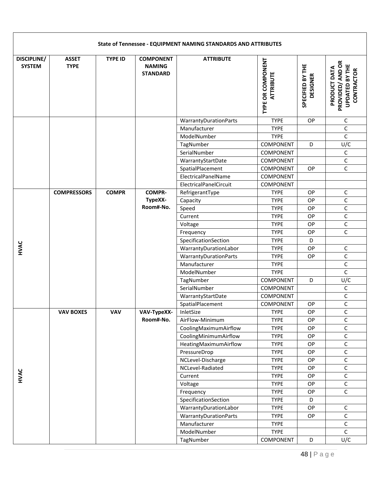|                              |                             |                |                                                      | State of Tennessee - EQUIPMENT NAMING STANDARDS AND ATTRIBUTES |                                       |                                     |                                                                                |
|------------------------------|-----------------------------|----------------|------------------------------------------------------|----------------------------------------------------------------|---------------------------------------|-------------------------------------|--------------------------------------------------------------------------------|
| DISCIPLINE/<br><b>SYSTEM</b> | <b>ASSET</b><br><b>TYPE</b> | <b>TYPE ID</b> | <b>COMPONENT</b><br><b>NAMING</b><br><b>STANDARD</b> | <b>ATTRIBUTE</b>                                               | TYPE OR COMPONENT<br><b>ATTRIBUTE</b> | SPECIFIED BY THE<br><b>DESIGNER</b> | PROVIDED/ AND OR<br><b>UPDATED BY THE</b><br>PRODUCT DATA<br><b>CONTRACTOR</b> |
|                              |                             |                |                                                      | WarrantyDurationParts                                          | <b>TYPE</b>                           | OP                                  | C                                                                              |
|                              |                             |                |                                                      | Manufacturer                                                   | <b>TYPE</b>                           |                                     | $\mathsf C$                                                                    |
|                              |                             |                |                                                      | ModelNumber                                                    | <b>TYPE</b>                           |                                     | $\mathsf{C}$                                                                   |
|                              |                             |                |                                                      | TagNumber                                                      | <b>COMPONENT</b>                      | D                                   | U/C                                                                            |
|                              |                             |                |                                                      | SerialNumber                                                   | <b>COMPONENT</b>                      |                                     | $\mathsf C$                                                                    |
|                              |                             |                |                                                      | WarrantyStartDate                                              | COMPONENT                             |                                     | $\mathsf C$                                                                    |
|                              |                             |                |                                                      | SpatialPlacement                                               | COMPONENT                             | <b>OP</b>                           | $\mathsf C$                                                                    |
|                              |                             |                |                                                      | ElectricalPanelName                                            | <b>COMPONENT</b>                      |                                     |                                                                                |
|                              |                             |                |                                                      | ElectricalPanelCircuit                                         | <b>COMPONENT</b>                      |                                     |                                                                                |
|                              | <b>COMPRESSORS</b>          | <b>COMPR</b>   | <b>COMPR-</b>                                        | RefrigerantType                                                | <b>TYPE</b>                           | OP                                  | С                                                                              |
|                              |                             |                | TypeXX-                                              | Capacity                                                       | <b>TYPE</b>                           | OP                                  | $\mathsf{C}$                                                                   |
|                              |                             |                | Room#-No.                                            | Speed                                                          | <b>TYPE</b>                           | OP                                  | $\mathsf C$                                                                    |
|                              |                             |                |                                                      | Current                                                        | <b>TYPE</b>                           | OP                                  | $\mathsf C$                                                                    |
|                              |                             |                |                                                      | Voltage                                                        | <b>TYPE</b>                           | OP                                  | $\mathsf C$                                                                    |
|                              |                             |                |                                                      | Frequency                                                      | <b>TYPE</b>                           | OP                                  | $\mathsf{C}$                                                                   |
|                              |                             |                |                                                      | SpecificationSection                                           | <b>TYPE</b>                           | D                                   |                                                                                |
| HVAC                         |                             |                |                                                      | WarrantyDurationLabor                                          | <b>TYPE</b>                           | OP                                  | С                                                                              |
|                              |                             |                |                                                      | WarrantyDurationParts                                          | <b>TYPE</b>                           | OP                                  | $\mathsf C$                                                                    |
|                              |                             |                |                                                      | Manufacturer                                                   | <b>TYPE</b>                           |                                     | $\mathsf C$                                                                    |
|                              |                             |                |                                                      | ModelNumber                                                    | <b>TYPE</b>                           |                                     | $\mathsf{C}$                                                                   |
|                              |                             |                |                                                      | TagNumber                                                      | COMPONENT                             | D                                   | U/C                                                                            |
|                              |                             |                |                                                      | SerialNumber                                                   | <b>COMPONENT</b>                      |                                     | C                                                                              |
|                              |                             |                |                                                      | WarrantyStartDate                                              | <b>COMPONENT</b>                      |                                     | $\mathsf{C}$                                                                   |
|                              |                             |                |                                                      | SpatialPlacement                                               | COMPONENT                             | OP                                  | C                                                                              |
|                              | <b>VAV BOXES</b>            | <b>VAV</b>     | VAV-TypeXX-                                          | InletSize                                                      | <b>TYPE</b>                           | <b>OP</b>                           | $\mathsf C$                                                                    |
|                              |                             |                | Room#-No.                                            | AirFlow-Minimum                                                | <b>TYPE</b>                           | <b>OP</b>                           | $\mathsf C$                                                                    |
|                              |                             |                |                                                      | CoolingMaximumAirflow                                          | <b>TYPE</b>                           | OP                                  | $\mathsf C$                                                                    |
|                              |                             |                |                                                      | CoolingMinimumAirflow                                          | <b>TYPE</b>                           | OP                                  | С                                                                              |
|                              |                             |                |                                                      | HeatingMaximumAirflow                                          | <b>TYPE</b>                           | OP                                  | C                                                                              |
|                              |                             |                |                                                      | PressureDrop                                                   | <b>TYPE</b>                           | OP                                  | $\mathsf C$                                                                    |
|                              |                             |                |                                                      | NCLevel-Discharge                                              | <b>TYPE</b>                           | OP                                  | $\mathsf C$                                                                    |
|                              |                             |                |                                                      | NCLevel-Radiated                                               | <b>TYPE</b>                           | OP                                  | $\mathsf C$                                                                    |
| HVAC                         |                             |                |                                                      | Current                                                        | <b>TYPE</b>                           | OP                                  | C                                                                              |
|                              |                             |                |                                                      | Voltage                                                        | <b>TYPE</b><br><b>TYPE</b>            | OP<br>OP                            | С<br>$\mathsf C$                                                               |
|                              |                             |                |                                                      | Frequency                                                      | <b>TYPE</b>                           | D                                   |                                                                                |
|                              |                             |                |                                                      | SpecificationSection                                           | <b>TYPE</b>                           | OP                                  | $\mathsf C$                                                                    |
|                              |                             |                |                                                      | WarrantyDurationLabor<br>WarrantyDurationParts                 | <b>TYPE</b>                           | OP                                  | $\mathsf C$                                                                    |
|                              |                             |                |                                                      | Manufacturer                                                   | <b>TYPE</b>                           |                                     | C                                                                              |
|                              |                             |                |                                                      | ModelNumber                                                    | <b>TYPE</b>                           |                                     | $\mathsf C$                                                                    |
|                              |                             |                |                                                      | TagNumber                                                      | COMPONENT                             | D                                   | U/C                                                                            |
|                              |                             |                |                                                      |                                                                |                                       |                                     |                                                                                |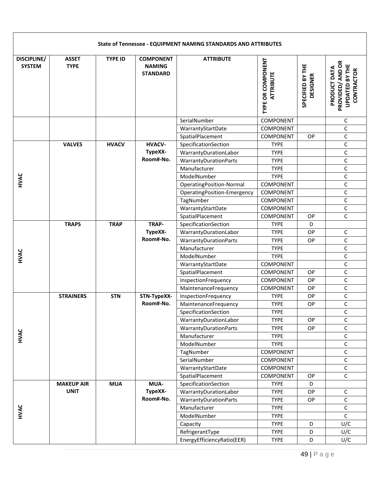|                              |                             |                |                                                      | State of Tennessee - EQUIPMENT NAMING STANDARDS AND ATTRIBUTES |                                              |                                     |                                                                         |
|------------------------------|-----------------------------|----------------|------------------------------------------------------|----------------------------------------------------------------|----------------------------------------------|-------------------------------------|-------------------------------------------------------------------------|
| DISCIPLINE/<br><b>SYSTEM</b> | <b>ASSET</b><br><b>TYPE</b> | <b>TYPE ID</b> | <b>COMPONENT</b><br><b>NAMING</b><br><b>STANDARD</b> | <b>ATTRIBUTE</b>                                               | <b>TYPE OR COMPONENT</b><br><b>ATTRIBUTE</b> | SPECIFIED BY THE<br><b>DESIGNER</b> | PROVIDED/ AND OR<br><b>UPDATED BY THE</b><br>PRODUCT DATA<br>CONTRACTOR |
|                              |                             |                |                                                      | SerialNumber                                                   | <b>COMPONENT</b>                             |                                     | C                                                                       |
|                              |                             |                |                                                      | WarrantyStartDate                                              | <b>COMPONENT</b>                             |                                     | $\mathsf{C}$                                                            |
|                              |                             |                |                                                      | SpatialPlacement                                               | <b>COMPONENT</b>                             | <b>OP</b>                           | $\mathsf C$                                                             |
|                              | <b>VALVES</b>               | <b>HVACV</b>   | <b>HVACV-</b>                                        | SpecificationSection                                           | <b>TYPE</b>                                  |                                     | $\mathsf C$                                                             |
|                              |                             |                | TypeXX-                                              | WarrantyDurationLabor                                          | <b>TYPE</b>                                  |                                     | $\mathsf{C}$                                                            |
|                              |                             |                | Room#-No.                                            | WarrantyDurationParts                                          | <b>TYPE</b>                                  |                                     | $\mathsf C$                                                             |
|                              |                             |                |                                                      | Manufacturer                                                   | <b>TYPE</b>                                  |                                     | $\mathsf C$                                                             |
| HVAC                         |                             |                |                                                      | ModelNumber                                                    | <b>TYPE</b>                                  |                                     | $\mathsf{C}$                                                            |
|                              |                             |                |                                                      | OperatingPosition-Normal                                       | <b>COMPONENT</b>                             |                                     | $\mathsf{C}$                                                            |
|                              |                             |                |                                                      | OperatingPosition-Emergency                                    | COMPONENT                                    |                                     | $\mathsf C$                                                             |
|                              |                             |                |                                                      | TagNumber                                                      | COMPONENT                                    |                                     | $\mathsf C$                                                             |
|                              |                             |                |                                                      | WarrantyStartDate                                              | <b>COMPONENT</b>                             |                                     | $\mathsf C$                                                             |
|                              |                             |                |                                                      | SpatialPlacement                                               | <b>COMPONENT</b>                             | OP                                  | C                                                                       |
|                              | <b>TRAPS</b>                | <b>TRAP</b>    | TRAP-                                                | SpecificationSection                                           | <b>TYPE</b>                                  | D                                   |                                                                         |
|                              |                             |                | TypeXX-                                              | WarrantyDurationLabor                                          | <b>TYPE</b>                                  | OP                                  | $\mathsf C$                                                             |
|                              |                             |                | Room#-No.                                            | WarrantyDurationParts                                          | <b>TYPE</b>                                  | <b>OP</b>                           | C                                                                       |
|                              |                             |                |                                                      | Manufacturer                                                   | <b>TYPE</b>                                  |                                     | $\mathsf{C}$                                                            |
| HVAC                         |                             |                |                                                      | ModelNumber                                                    | <b>TYPE</b>                                  |                                     | C                                                                       |
|                              |                             |                |                                                      | WarrantyStartDate                                              | COMPONENT                                    |                                     | $\mathsf C$                                                             |
|                              |                             |                |                                                      | SpatialPlacement                                               | <b>COMPONENT</b>                             | OP                                  | $\mathsf C$                                                             |
|                              |                             |                |                                                      | InspectionFrequency                                            | <b>COMPONENT</b>                             | OP                                  | $\mathsf{C}$                                                            |
|                              |                             |                |                                                      | MaintenanceFrequency                                           | <b>COMPONENT</b>                             | OP                                  | С                                                                       |
|                              | <b>STRAINERS</b>            | <b>STN</b>     | STN-TypeXX-                                          | InspectionFrequency                                            | <b>TYPE</b>                                  | OP                                  | $\mathsf C$                                                             |
|                              |                             |                | Room#-No.                                            | MaintenanceFrequency                                           | <b>TYPE</b>                                  | OP                                  | $\mathsf{C}$                                                            |
|                              |                             |                |                                                      | SpecificationSection                                           | <b>TYPE</b>                                  |                                     | $\mathsf C$                                                             |
|                              |                             |                |                                                      | WarrantyDurationLabor                                          | <b>TYPE</b>                                  | OP                                  | $\mathsf C$                                                             |
|                              |                             |                |                                                      | WarrantyDurationParts                                          | <b>TYPE</b>                                  | <b>OP</b>                           | C                                                                       |
| HVAC                         |                             |                |                                                      | Manufacturer<br>ModelNumber                                    | <b>TYPE</b>                                  |                                     | С<br>$\mathsf C$                                                        |
|                              |                             |                |                                                      |                                                                | <b>TYPE</b>                                  |                                     |                                                                         |
|                              |                             |                |                                                      | TagNumber                                                      | COMPONENT                                    |                                     | С                                                                       |
|                              |                             |                |                                                      | SerialNumber<br>WarrantyStartDate                              | COMPONENT<br>COMPONENT                       |                                     | $\mathsf C$<br>C                                                        |
|                              |                             |                |                                                      |                                                                |                                              |                                     |                                                                         |
|                              | <b>MAKEUP AIR</b>           | <b>MUA</b>     | MUA-                                                 | SpatialPlacement<br>SpecificationSection                       | COMPONENT<br><b>TYPE</b>                     | <b>OP</b><br>D                      | $\mathsf C$                                                             |
|                              | <b>UNIT</b>                 |                | TypeXX-                                              | WarrantyDurationLabor                                          | <b>TYPE</b>                                  | OP                                  | $\mathsf C$                                                             |
|                              |                             |                | Room#-No.                                            | <b>WarrantyDurationParts</b>                                   | <b>TYPE</b>                                  | OP                                  | $\mathsf C$                                                             |
|                              |                             |                |                                                      | Manufacturer                                                   | <b>TYPE</b>                                  |                                     | C                                                                       |
| HVAC                         |                             |                |                                                      | ModelNumber                                                    | <b>TYPE</b>                                  |                                     | $\mathsf C$                                                             |
|                              |                             |                |                                                      | Capacity                                                       | <b>TYPE</b>                                  | D                                   | U/C                                                                     |
|                              |                             |                |                                                      | RefrigerantType                                                | <b>TYPE</b>                                  | D                                   | U/C                                                                     |
|                              |                             |                |                                                      | EnergyEfficiencyRatio(EER)                                     | <b>TYPE</b>                                  | D                                   | U/C                                                                     |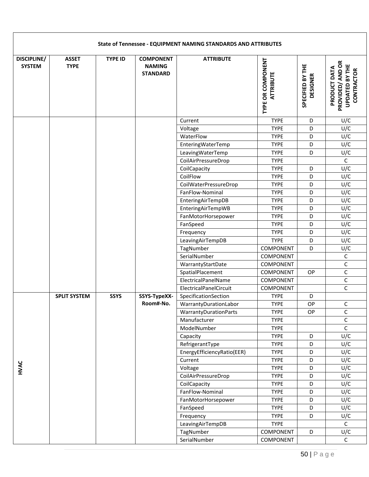|                                     |                             |                |                                                      | <b>State of Tennessee - EQUIPMENT NAMING STANDARDS AND ATTRIBUTES</b> |                                              |                                     |                                                                                |
|-------------------------------------|-----------------------------|----------------|------------------------------------------------------|-----------------------------------------------------------------------|----------------------------------------------|-------------------------------------|--------------------------------------------------------------------------------|
| <b>DISCIPLINE/</b><br><b>SYSTEM</b> | <b>ASSET</b><br><b>TYPE</b> | <b>TYPE ID</b> | <b>COMPONENT</b><br><b>NAMING</b><br><b>STANDARD</b> | <b>ATTRIBUTE</b>                                                      | <b>TYPE OR COMPONENT</b><br><b>ATTRIBUTE</b> | SPECIFIED BY THE<br><b>DESIGNER</b> | PROVIDED/ AND OR<br><b>UPDATED BY THE</b><br>PRODUCT DATA<br><b>CONTRACTOR</b> |
|                                     |                             |                |                                                      | Current                                                               | <b>TYPE</b>                                  | D                                   | U/C                                                                            |
|                                     |                             |                |                                                      | Voltage                                                               | <b>TYPE</b>                                  | D                                   | U/C                                                                            |
|                                     |                             |                |                                                      | WaterFlow                                                             | <b>TYPE</b>                                  | D                                   | U/C                                                                            |
|                                     |                             |                |                                                      | EnteringWaterTemp                                                     | <b>TYPE</b>                                  | D                                   | U/C                                                                            |
|                                     |                             |                |                                                      | LeavingWaterTemp                                                      | <b>TYPE</b>                                  | D                                   | U/C                                                                            |
|                                     |                             |                |                                                      | CoilAirPressureDrop                                                   | <b>TYPE</b>                                  |                                     | $\mathsf C$                                                                    |
|                                     |                             |                |                                                      | CoilCapacity                                                          | <b>TYPE</b>                                  | D                                   | U/C                                                                            |
|                                     |                             |                |                                                      | CoilFlow                                                              | <b>TYPE</b>                                  | D                                   | U/C                                                                            |
|                                     |                             |                |                                                      | CoilWaterPressureDrop                                                 | <b>TYPE</b>                                  | D                                   | U/C                                                                            |
|                                     |                             |                |                                                      | FanFlow-Nominal                                                       | <b>TYPE</b>                                  | D                                   | U/C                                                                            |
|                                     |                             |                |                                                      | EnteringAirTempDB                                                     | <b>TYPE</b>                                  | D                                   | U/C                                                                            |
|                                     |                             |                |                                                      | EnteringAirTempWB                                                     | <b>TYPE</b>                                  | D                                   | U/C                                                                            |
|                                     |                             |                |                                                      | FanMotorHorsepower                                                    | <b>TYPE</b>                                  | D                                   | U/C                                                                            |
|                                     |                             |                |                                                      | FanSpeed                                                              | <b>TYPE</b>                                  | D                                   | U/C                                                                            |
|                                     |                             |                |                                                      | Frequency                                                             | <b>TYPE</b><br><b>TYPE</b>                   | D                                   | U/C<br>$U/\overline{C}$                                                        |
|                                     |                             |                |                                                      | LeavingAirTempDB<br>TagNumber                                         | COMPONENT                                    | D<br>D                              | U/C                                                                            |
|                                     |                             |                |                                                      | SerialNumber                                                          | <b>COMPONENT</b>                             |                                     | $\mathsf C$                                                                    |
|                                     |                             |                |                                                      | WarrantyStartDate                                                     | COMPONENT                                    |                                     | $\mathsf C$                                                                    |
|                                     |                             |                |                                                      | SpatialPlacement                                                      | COMPONENT                                    | <b>OP</b>                           | C                                                                              |
|                                     |                             |                |                                                      | ElectricalPanelName                                                   | COMPONENT                                    |                                     | $\mathsf C$                                                                    |
|                                     |                             |                |                                                      | ElectricalPanelCircuit                                                | <b>COMPONENT</b>                             |                                     | $\mathsf C$                                                                    |
|                                     | <b>SPLIT SYSTEM</b>         | <b>SSYS</b>    | SSYS-TypeXX-                                         | SpecificationSection                                                  | <b>TYPE</b>                                  | D                                   |                                                                                |
|                                     |                             |                | Room#-No.                                            | WarrantyDurationLabor                                                 | <b>TYPE</b>                                  | OP                                  | С                                                                              |
|                                     |                             |                |                                                      | <b>WarrantyDurationParts</b>                                          | <b>TYPE</b>                                  | <b>OP</b>                           | $\mathsf C$                                                                    |
|                                     |                             |                |                                                      | Manufacturer                                                          | <b>TYPE</b>                                  |                                     | $\mathsf C$                                                                    |
|                                     |                             |                |                                                      | ModelNumber                                                           | <b>TYPE</b>                                  |                                     | C                                                                              |
|                                     |                             |                |                                                      | Capacity                                                              | <b>TYPE</b>                                  | D                                   | U/C                                                                            |
|                                     |                             |                |                                                      | RefrigerantType                                                       | <b>TYPE</b>                                  | D                                   | U/C                                                                            |
|                                     |                             |                |                                                      | EnergyEfficiencyRatio(EER)                                            | <b>TYPE</b>                                  | D                                   | U/C                                                                            |
|                                     |                             |                |                                                      | Current                                                               | <b>TYPE</b>                                  | D                                   | U/C                                                                            |
| HVAC                                |                             |                |                                                      | Voltage                                                               | <b>TYPE</b>                                  | D                                   | U/C                                                                            |
|                                     |                             |                |                                                      | CoilAirPressureDrop                                                   | <b>TYPE</b>                                  | D                                   | U/C                                                                            |
|                                     |                             |                |                                                      | CoilCapacity                                                          | <b>TYPE</b>                                  | D                                   | U/C                                                                            |
|                                     |                             |                |                                                      | FanFlow-Nominal                                                       | <b>TYPE</b>                                  | D                                   | U/C                                                                            |
|                                     |                             |                |                                                      | FanMotorHorsepower                                                    | <b>TYPE</b>                                  | D                                   | U/C                                                                            |
|                                     |                             |                |                                                      | FanSpeed                                                              | <b>TYPE</b>                                  | D                                   | U/C                                                                            |
|                                     |                             |                |                                                      | Frequency                                                             | <b>TYPE</b>                                  | D                                   | U/C                                                                            |
|                                     |                             |                |                                                      | LeavingAirTempDB                                                      | <b>TYPE</b><br>COMPONENT                     | D                                   | $\mathsf C$<br>U/C                                                             |
|                                     |                             |                |                                                      | TagNumber<br>SerialNumber                                             | COMPONENT                                    |                                     | $\mathsf C$                                                                    |
|                                     |                             |                |                                                      |                                                                       |                                              |                                     |                                                                                |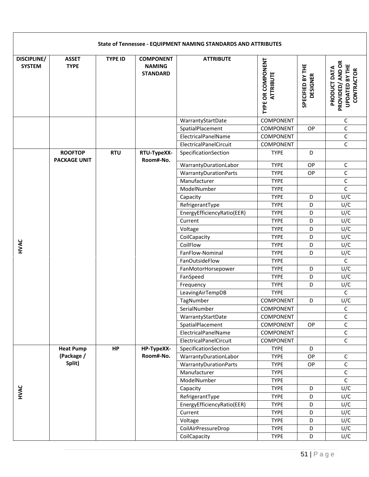|                                     |                                       |                |                                                      | State of Tennessee - EQUIPMENT NAMING STANDARDS AND ATTRIBUTES |                                       |                                     |                                                                                |
|-------------------------------------|---------------------------------------|----------------|------------------------------------------------------|----------------------------------------------------------------|---------------------------------------|-------------------------------------|--------------------------------------------------------------------------------|
| <b>DISCIPLINE/</b><br><b>SYSTEM</b> | <b>ASSET</b><br><b>TYPE</b>           | <b>TYPE ID</b> | <b>COMPONENT</b><br><b>NAMING</b><br><b>STANDARD</b> | <b>ATTRIBUTE</b>                                               | TYPE OR COMPONENT<br><b>ATTRIBUTE</b> | SPECIFIED BY THE<br><b>DESIGNER</b> | PROVIDED/ AND OR<br><b>UPDATED BY THE</b><br>PRODUCT DATA<br><b>CONTRACTOR</b> |
|                                     |                                       |                |                                                      | WarrantyStartDate                                              | COMPONENT                             |                                     | С                                                                              |
|                                     |                                       |                |                                                      | SpatialPlacement                                               | <b>COMPONENT</b>                      | OP                                  | $\mathsf{C}$                                                                   |
|                                     |                                       |                |                                                      | ElectricalPanelName                                            | COMPONENT                             |                                     | $\mathsf C$                                                                    |
|                                     |                                       |                |                                                      | ElectricalPanelCircuit                                         | <b>COMPONENT</b>                      |                                     | C                                                                              |
|                                     | <b>ROOFTOP</b><br><b>PACKAGE UNIT</b> | <b>RTU</b>     | RTU-TypeXX-<br>Room#-No.                             | SpecificationSection                                           | <b>TYPE</b>                           | D                                   |                                                                                |
|                                     |                                       |                |                                                      | WarrantyDurationLabor                                          | <b>TYPE</b>                           | OP                                  | С                                                                              |
|                                     |                                       |                |                                                      | <b>WarrantyDurationParts</b>                                   | <b>TYPE</b>                           | <b>OP</b>                           | $\mathsf C$                                                                    |
|                                     |                                       |                |                                                      | Manufacturer                                                   | <b>TYPE</b>                           |                                     | $\mathsf C$                                                                    |
|                                     |                                       |                |                                                      | ModelNumber                                                    | <b>TYPE</b>                           |                                     | $\mathsf{C}$                                                                   |
|                                     |                                       |                |                                                      | Capacity                                                       | <b>TYPE</b>                           | D                                   | U/C                                                                            |
|                                     |                                       |                |                                                      | RefrigerantType                                                | <b>TYPE</b>                           | D                                   | $U/\overline{C}$                                                               |
|                                     |                                       |                |                                                      | EnergyEfficiencyRatio(EER)                                     | <b>TYPE</b>                           | D                                   | U/C                                                                            |
|                                     |                                       |                |                                                      | Current                                                        | <b>TYPE</b>                           | D                                   | U/C                                                                            |
|                                     |                                       |                |                                                      | Voltage                                                        | <b>TYPE</b>                           | D                                   | U/C                                                                            |
|                                     |                                       |                |                                                      | CoilCapacity                                                   | <b>TYPE</b>                           | D                                   | U/C                                                                            |
| HVAC                                |                                       |                |                                                      | CoilFlow                                                       | <b>TYPE</b>                           | D                                   | U/C                                                                            |
|                                     |                                       |                |                                                      | FanFlow-Nominal                                                | <b>TYPE</b>                           | D                                   | U/C                                                                            |
|                                     |                                       |                |                                                      | FanOutsideFlow                                                 | <b>TYPE</b>                           |                                     | $\mathsf C$                                                                    |
|                                     |                                       |                |                                                      | FanMotorHorsepower                                             | <b>TYPE</b><br><b>TYPE</b>            | D<br>D                              | U/C<br>U/C                                                                     |
|                                     |                                       |                |                                                      | FanSpeed                                                       | <b>TYPE</b>                           |                                     |                                                                                |
|                                     |                                       |                |                                                      | Frequency                                                      | <b>TYPE</b>                           | D                                   | U/C<br>$\mathsf C$                                                             |
|                                     |                                       |                |                                                      | LeavingAirTempDB<br>TagNumber                                  | COMPONENT                             | D                                   | U/C                                                                            |
|                                     |                                       |                |                                                      | SerialNumber                                                   | COMPONENT                             |                                     | C                                                                              |
|                                     |                                       |                |                                                      | WarrantyStartDate                                              | COMPONENT                             |                                     | $\mathsf{C}$                                                                   |
|                                     |                                       |                |                                                      | SpatialPlacement                                               | COMPONENT                             | OP                                  | $\mathsf C$                                                                    |
|                                     |                                       |                |                                                      | ElectricalPanelName                                            | COMPONENT                             |                                     | C                                                                              |
|                                     |                                       |                |                                                      | ElectricalPanelCircuit                                         | COMPONENT                             |                                     | С                                                                              |
|                                     | <b>Heat Pump</b>                      | HP             | HP-TypeXX-                                           | SpecificationSection                                           | <b>TYPE</b>                           | D                                   |                                                                                |
|                                     | (Package /                            |                | Room#-No.                                            | WarrantyDurationLabor                                          | <b>TYPE</b>                           | OP                                  | С                                                                              |
|                                     | Split)                                |                |                                                      | <b>WarrantyDurationParts</b>                                   | <b>TYPE</b>                           | <b>OP</b>                           | $\mathsf C$                                                                    |
|                                     |                                       |                |                                                      | Manufacturer                                                   | <b>TYPE</b>                           |                                     | $\mathsf C$                                                                    |
|                                     |                                       |                |                                                      | ModelNumber                                                    | <b>TYPE</b>                           |                                     | C                                                                              |
|                                     |                                       |                |                                                      | Capacity                                                       | <b>TYPE</b>                           | D                                   | U/C                                                                            |
| HVAC                                |                                       |                |                                                      | RefrigerantType                                                | <b>TYPE</b>                           | D                                   | U/C                                                                            |
|                                     |                                       |                |                                                      | EnergyEfficiencyRatio(EER)                                     | <b>TYPE</b>                           | D                                   | U/C                                                                            |
|                                     |                                       |                |                                                      | Current                                                        | <b>TYPE</b>                           | D                                   | U/C                                                                            |
|                                     |                                       |                |                                                      | Voltage                                                        | <b>TYPE</b>                           | D                                   | U/C                                                                            |
|                                     |                                       |                |                                                      | CoilAirPressureDrop                                            | <b>TYPE</b>                           | D                                   | U/C                                                                            |
|                                     |                                       |                |                                                      | CoilCapacity                                                   | <b>TYPE</b>                           | D                                   | U/C                                                                            |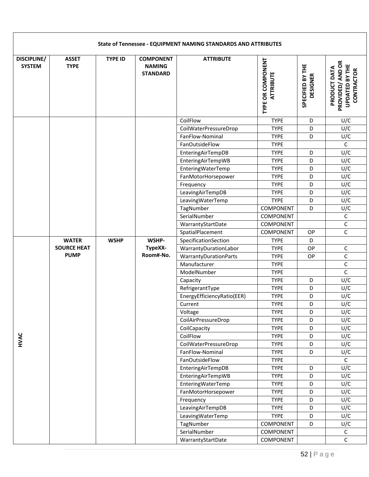|                                     |                             |                |                                                      | State of Tennessee - EQUIPMENT NAMING STANDARDS AND ATTRIBUTES |                                       |                                     |                                                                         |
|-------------------------------------|-----------------------------|----------------|------------------------------------------------------|----------------------------------------------------------------|---------------------------------------|-------------------------------------|-------------------------------------------------------------------------|
| <b>DISCIPLINE/</b><br><b>SYSTEM</b> | <b>ASSET</b><br><b>TYPE</b> | <b>TYPE ID</b> | <b>COMPONENT</b><br><b>NAMING</b><br><b>STANDARD</b> | <b>ATTRIBUTE</b>                                               | TYPE OR COMPONENT<br><b>ATTRIBUTE</b> | SPECIFIED BY THE<br><b>DESIGNER</b> | PROVIDED/ AND OR<br><b>UPDATED BY THE</b><br>PRODUCT DATA<br>CONTRACTOR |
|                                     |                             |                |                                                      | CoilFlow                                                       | <b>TYPE</b>                           | D                                   | U/C                                                                     |
|                                     |                             |                |                                                      | CoilWaterPressureDrop                                          | <b>TYPE</b>                           | D                                   | U/C                                                                     |
|                                     |                             |                |                                                      | FanFlow-Nominal                                                | <b>TYPE</b>                           | D                                   | U/C                                                                     |
|                                     |                             |                |                                                      | FanOutsideFlow                                                 | <b>TYPE</b>                           |                                     | $\mathsf C$                                                             |
|                                     |                             |                |                                                      | EnteringAirTempDB                                              | <b>TYPE</b>                           | D                                   | U/C                                                                     |
|                                     |                             |                |                                                      | EnteringAirTempWB                                              | <b>TYPE</b>                           | D                                   | U/C                                                                     |
|                                     |                             |                |                                                      | EnteringWaterTemp                                              | <b>TYPE</b>                           | D                                   | U/C                                                                     |
|                                     |                             |                |                                                      | FanMotorHorsepower                                             | <b>TYPE</b>                           | D                                   | U/C                                                                     |
|                                     |                             |                |                                                      | Frequency                                                      | <b>TYPE</b>                           | D                                   | U/C                                                                     |
|                                     |                             |                |                                                      | LeavingAirTempDB                                               | <b>TYPE</b>                           | D                                   | U/C                                                                     |
|                                     |                             |                |                                                      | LeavingWaterTemp                                               | <b>TYPE</b>                           | D                                   | U/C                                                                     |
|                                     |                             |                |                                                      | TagNumber                                                      | COMPONENT                             | D                                   | U/C                                                                     |
|                                     |                             |                |                                                      | SerialNumber                                                   | <b>COMPONENT</b>                      |                                     | $\mathsf C$                                                             |
|                                     |                             |                |                                                      | WarrantyStartDate                                              | <b>COMPONENT</b>                      |                                     | $\mathsf C$                                                             |
|                                     |                             |                |                                                      | SpatialPlacement                                               | <b>COMPONENT</b>                      | OP                                  | $\mathsf{C}$                                                            |
|                                     | <b>WATER</b>                | <b>WSHP</b>    | WSHP-                                                | SpecificationSection                                           | <b>TYPE</b>                           | D                                   |                                                                         |
|                                     | <b>SOURCE HEAT</b>          |                | TypeXX-                                              | WarrantyDurationLabor                                          | <b>TYPE</b>                           | OP                                  | С                                                                       |
|                                     | <b>PUMP</b>                 |                | Room#-No.                                            | WarrantyDurationParts                                          | <b>TYPE</b>                           | OP                                  | С                                                                       |
|                                     |                             |                |                                                      | Manufacturer                                                   | <b>TYPE</b>                           |                                     | $\mathsf C$                                                             |
|                                     |                             |                |                                                      | ModelNumber                                                    | <b>TYPE</b>                           |                                     | $\mathsf C$                                                             |
|                                     |                             |                |                                                      | Capacity                                                       | <b>TYPE</b>                           | D                                   | U/C                                                                     |
|                                     |                             |                |                                                      | RefrigerantType                                                | <b>TYPE</b>                           | D                                   | U/C                                                                     |
|                                     |                             |                |                                                      | EnergyEfficiencyRatio(EER)                                     | <b>TYPE</b>                           | D                                   | U/C                                                                     |
|                                     |                             |                |                                                      | Current                                                        | <b>TYPE</b>                           | D                                   | U/C                                                                     |
|                                     |                             |                |                                                      | Voltage                                                        | <b>TYPE</b>                           | D                                   | U/C                                                                     |
|                                     |                             |                |                                                      | CoilAirPressureDrop                                            | <b>TYPE</b>                           | D                                   | U/C                                                                     |
|                                     |                             |                |                                                      | CoilCapacity                                                   | <b>TYPE</b>                           | D                                   | U/C                                                                     |
| HVAC                                |                             |                |                                                      | CoilFlow                                                       | <b>TYPE</b>                           | D                                   | U/C                                                                     |
|                                     |                             |                |                                                      | CoilWaterPressureDrop<br>FanFlow-Nominal                       | <b>TYPE</b>                           | D                                   | U/C                                                                     |
|                                     |                             |                |                                                      | FanOutsideFlow                                                 | <b>TYPE</b><br><b>TYPE</b>            | D                                   | U/C<br>$\mathsf C$                                                      |
|                                     |                             |                |                                                      | EnteringAirTempDB                                              | <b>TYPE</b>                           | D                                   | U/C                                                                     |
|                                     |                             |                |                                                      | EnteringAirTempWB                                              | <b>TYPE</b>                           | D                                   | U/C                                                                     |
|                                     |                             |                |                                                      | EnteringWaterTemp                                              | <b>TYPE</b>                           | D                                   | U/C                                                                     |
|                                     |                             |                |                                                      | FanMotorHorsepower                                             | <b>TYPE</b>                           | D                                   | U/C                                                                     |
|                                     |                             |                |                                                      | Frequency                                                      | <b>TYPE</b>                           | D                                   | U/C                                                                     |
|                                     |                             |                |                                                      | LeavingAirTempDB                                               | <b>TYPE</b>                           | D                                   | U/C                                                                     |
|                                     |                             |                |                                                      | LeavingWaterTemp                                               | <b>TYPE</b>                           | D                                   | U/C                                                                     |
|                                     |                             |                |                                                      | TagNumber                                                      | COMPONENT                             | D                                   | U/C                                                                     |
|                                     |                             |                |                                                      | SerialNumber                                                   | COMPONENT                             |                                     | $\mathsf C$                                                             |
|                                     |                             |                |                                                      | WarrantyStartDate                                              | COMPONENT                             |                                     | $\mathsf C$                                                             |
|                                     |                             |                |                                                      |                                                                |                                       |                                     |                                                                         |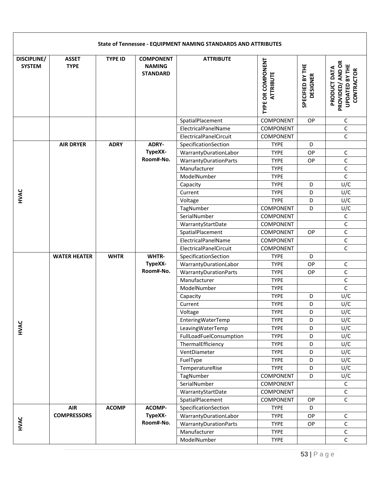|                              |                             |                |                                                      | State of Tennessee - EQUIPMENT NAMING STANDARDS AND ATTRIBUTES |                                       |                                     |                                                                         |
|------------------------------|-----------------------------|----------------|------------------------------------------------------|----------------------------------------------------------------|---------------------------------------|-------------------------------------|-------------------------------------------------------------------------|
| DISCIPLINE/<br><b>SYSTEM</b> | <b>ASSET</b><br><b>TYPE</b> | <b>TYPE ID</b> | <b>COMPONENT</b><br><b>NAMING</b><br><b>STANDARD</b> | <b>ATTRIBUTE</b>                                               | TYPE OR COMPONENT<br><b>ATTRIBUTE</b> | SPECIFIED BY THE<br><b>DESIGNER</b> | PROVIDED/ AND OR<br><b>UPDATED BY THE</b><br>PRODUCT DATA<br>CONTRACTOR |
|                              |                             |                |                                                      | SpatialPlacement                                               | <b>COMPONENT</b>                      | OP                                  | $\mathsf{C}$                                                            |
|                              |                             |                |                                                      | ElectricalPanelName                                            | <b>COMPONENT</b>                      |                                     | $\mathsf C$                                                             |
|                              |                             |                |                                                      | ElectricalPanelCircuit                                         | <b>COMPONENT</b>                      |                                     | $\mathsf C$                                                             |
|                              | <b>AIR DRYER</b>            | <b>ADRY</b>    | ADRY-                                                | SpecificationSection                                           | <b>TYPE</b>                           | D                                   |                                                                         |
|                              |                             |                | TypeXX-                                              | WarrantyDurationLabor                                          | <b>TYPE</b>                           | OP                                  | $\mathsf C$                                                             |
|                              |                             |                | Room#-No.                                            | WarrantyDurationParts                                          | <b>TYPE</b>                           | OP                                  | $\mathsf C$                                                             |
|                              |                             |                |                                                      | Manufacturer                                                   | <b>TYPE</b>                           |                                     | $\mathsf C$                                                             |
|                              |                             |                |                                                      | ModelNumber                                                    | <b>TYPE</b>                           |                                     | $\mathsf C$                                                             |
|                              |                             |                |                                                      | Capacity                                                       | <b>TYPE</b>                           | D                                   | U/C                                                                     |
| HVAC                         |                             |                |                                                      | Current                                                        | <b>TYPE</b>                           | D                                   | U/C                                                                     |
|                              |                             |                |                                                      | Voltage                                                        | <b>TYPE</b>                           | D                                   | U/C                                                                     |
|                              |                             |                |                                                      | TagNumber                                                      | <b>COMPONENT</b>                      | D                                   | U/C                                                                     |
|                              |                             |                |                                                      | SerialNumber                                                   | <b>COMPONENT</b>                      |                                     | С                                                                       |
|                              |                             |                |                                                      | WarrantyStartDate                                              | <b>COMPONENT</b>                      |                                     | $\mathsf C$                                                             |
|                              |                             |                |                                                      | SpatialPlacement                                               | <b>COMPONENT</b>                      | OP                                  | $\mathsf C$                                                             |
|                              |                             |                |                                                      | ElectricalPanelName                                            | COMPONENT                             |                                     | $\mathsf C$                                                             |
|                              |                             |                |                                                      | ElectricalPanelCircuit                                         | COMPONENT                             |                                     | $\mathsf{C}$                                                            |
|                              | <b>WATER HEATER</b>         | <b>WHTR</b>    | WHTR-                                                | SpecificationSection                                           | <b>TYPE</b>                           | D                                   |                                                                         |
|                              |                             |                | TypeXX-<br>Room#-No.                                 | WarrantyDurationLabor                                          | <b>TYPE</b>                           | OP                                  | C                                                                       |
|                              |                             |                |                                                      | WarrantyDurationParts                                          | <b>TYPE</b>                           | OP                                  | $\mathsf C$                                                             |
|                              |                             |                |                                                      | Manufacturer                                                   | <b>TYPE</b>                           |                                     | C                                                                       |
|                              |                             |                |                                                      | ModelNumber                                                    | <b>TYPE</b>                           |                                     | $\mathsf{C}$                                                            |
|                              |                             |                |                                                      | Capacity                                                       | <b>TYPE</b>                           | D                                   | U/C                                                                     |
|                              |                             |                |                                                      | Current                                                        | <b>TYPE</b>                           | D                                   | $\underline{U}/\overline{C}$                                            |
|                              |                             |                |                                                      | Voltage                                                        | <b>TYPE</b>                           | D                                   | U/C                                                                     |
| HVAC                         |                             |                |                                                      | EnteringWaterTemp                                              | <b>TYPE</b><br><b>TYPE</b>            | D                                   | U/C<br>U/C                                                              |
|                              |                             |                |                                                      | LeavingWaterTemp<br>FullLoadFuelConsumption                    | <b>TYPE</b>                           | D<br>D                              | U/C                                                                     |
|                              |                             |                |                                                      | ThermalEfficiency                                              | <b>TYPE</b>                           | D                                   | U/C                                                                     |
|                              |                             |                |                                                      | VentDiameter                                                   | <b>TYPE</b>                           | D                                   | $U/\overline{C}$                                                        |
|                              |                             |                |                                                      | FuelType                                                       | <b>TYPE</b>                           | D                                   | U/C                                                                     |
|                              |                             |                |                                                      | TemperatureRise                                                | <b>TYPE</b>                           | D                                   | U/C                                                                     |
|                              |                             |                |                                                      | TagNumber                                                      | COMPONENT                             | D                                   | U/C                                                                     |
|                              |                             |                |                                                      | SerialNumber                                                   | COMPONENT                             |                                     | С                                                                       |
|                              |                             |                |                                                      | WarrantyStartDate                                              | COMPONENT                             |                                     | $\mathsf C$                                                             |
|                              |                             |                |                                                      | SpatialPlacement                                               | COMPONENT                             | OP                                  | C                                                                       |
|                              | <b>AIR</b>                  | <b>ACOMP</b>   | ACOMP-                                               | SpecificationSection                                           | <b>TYPE</b>                           | D                                   |                                                                         |
|                              | <b>COMPRESSORS</b>          |                | TypeXX-                                              | WarrantyDurationLabor                                          | <b>TYPE</b>                           | OP                                  | С                                                                       |
| HVAC                         |                             |                | Room#-No.                                            | WarrantyDurationParts                                          | <b>TYPE</b>                           | OP                                  | $\mathsf C$                                                             |
|                              |                             |                |                                                      | Manufacturer                                                   | <b>TYPE</b>                           |                                     | $\mathsf C$                                                             |
|                              |                             |                |                                                      | ModelNumber                                                    | <b>TYPE</b>                           |                                     | $\mathsf C$                                                             |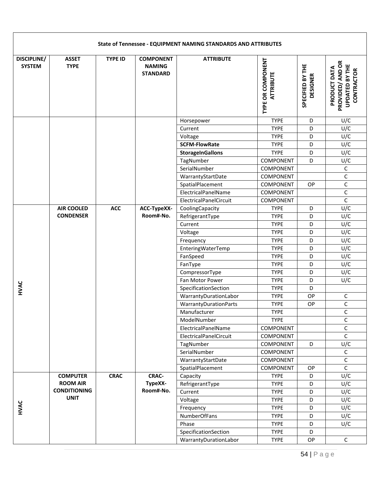|                                     |                                        |                |                                                      | State of Tennessee - EQUIPMENT NAMING STANDARDS AND ATTRIBUTES |                                       |                                     |                                                                         |
|-------------------------------------|----------------------------------------|----------------|------------------------------------------------------|----------------------------------------------------------------|---------------------------------------|-------------------------------------|-------------------------------------------------------------------------|
| <b>DISCIPLINE/</b><br><b>SYSTEM</b> | <b>ASSET</b><br><b>TYPE</b>            | <b>TYPE ID</b> | <b>COMPONENT</b><br><b>NAMING</b><br><b>STANDARD</b> | <b>ATTRIBUTE</b>                                               | TYPE OR COMPONENT<br><b>ATTRIBUTE</b> | SPECIFIED BY THE<br><b>DESIGNER</b> | PROVIDED/ AND OR<br><b>UPDATED BY THE</b><br>PRODUCT DATA<br>CONTRACTOR |
|                                     |                                        |                |                                                      | Horsepower                                                     | <b>TYPE</b>                           | D                                   | U/C                                                                     |
|                                     |                                        |                |                                                      | Current                                                        | <b>TYPE</b>                           | D                                   | U/C                                                                     |
|                                     |                                        |                |                                                      | Voltage                                                        | <b>TYPE</b>                           | D                                   | U/C                                                                     |
|                                     |                                        |                |                                                      | <b>SCFM-FlowRate</b>                                           | <b>TYPE</b>                           | D                                   | U/C                                                                     |
|                                     |                                        |                |                                                      | <b>StorageInGallons</b>                                        | <b>TYPE</b>                           | D                                   | U/C                                                                     |
|                                     |                                        |                |                                                      | TagNumber                                                      | COMPONENT                             | D                                   | U/C                                                                     |
|                                     |                                        |                |                                                      | SerialNumber                                                   | COMPONENT                             |                                     | C                                                                       |
|                                     |                                        |                |                                                      | WarrantyStartDate                                              | COMPONENT                             |                                     | $\mathsf C$                                                             |
|                                     |                                        |                |                                                      | SpatialPlacement                                               | <b>COMPONENT</b>                      | OP                                  | $\mathsf C$                                                             |
|                                     |                                        |                |                                                      | ElectricalPanelName                                            | <b>COMPONENT</b>                      |                                     | $\mathsf C$                                                             |
|                                     |                                        |                |                                                      | ElectricalPanelCircuit                                         | <b>COMPONENT</b>                      |                                     | $\mathsf{C}$                                                            |
|                                     | <b>AIR COOLED</b>                      | ACC            | ACC-TypeXX-                                          | CoolingCapacity                                                | <b>TYPE</b>                           | D                                   | U/C                                                                     |
|                                     | <b>CONDENSER</b>                       |                | Room#-No.                                            | RefrigerantType                                                | <b>TYPE</b>                           | D                                   | U/C                                                                     |
|                                     |                                        |                |                                                      | Current                                                        | <b>TYPE</b>                           | D                                   | U/C                                                                     |
|                                     |                                        |                |                                                      | Voltage                                                        | <b>TYPE</b><br><b>TYPE</b>            | D<br>D                              | $U/\overline{C}$<br>U/C                                                 |
|                                     |                                        |                |                                                      | Frequency<br>EnteringWaterTemp                                 | <b>TYPE</b>                           | D                                   | U/C                                                                     |
|                                     |                                        |                |                                                      | FanSpeed                                                       | <b>TYPE</b>                           | D                                   | U/C                                                                     |
|                                     |                                        |                |                                                      | FanType                                                        | <b>TYPE</b>                           | D                                   | U/C                                                                     |
|                                     |                                        |                |                                                      | CompressorType                                                 | <b>TYPE</b>                           | D                                   | U/C                                                                     |
|                                     |                                        |                |                                                      | Fan Motor Power                                                | <b>TYPE</b>                           | D                                   | U/C                                                                     |
| HVAC                                |                                        |                |                                                      | SpecificationSection                                           | <b>TYPE</b>                           | D                                   |                                                                         |
|                                     |                                        |                |                                                      | WarrantyDurationLabor                                          | <b>TYPE</b>                           | OP                                  | С                                                                       |
|                                     |                                        |                |                                                      | WarrantyDurationParts                                          | <b>TYPE</b>                           | OP                                  | $\mathsf C$                                                             |
|                                     |                                        |                |                                                      | Manufacturer                                                   | <b>TYPE</b>                           |                                     | $\mathsf C$                                                             |
|                                     |                                        |                |                                                      | ModelNumber                                                    | <b>TYPE</b>                           |                                     | $\mathsf C$                                                             |
|                                     |                                        |                |                                                      | ElectricalPanelName                                            | COMPONENT                             |                                     | $\mathsf C$                                                             |
|                                     |                                        |                |                                                      | ElectricalPanelCircuit                                         | COMPONENT                             |                                     | $\mathsf{C}$                                                            |
|                                     |                                        |                |                                                      | TagNumber                                                      | COMPONENT                             | D                                   | U/C                                                                     |
|                                     |                                        |                |                                                      | SerialNumber                                                   | COMPONENT                             |                                     | С                                                                       |
|                                     |                                        |                |                                                      | WarrantyStartDate                                              | COMPONENT                             |                                     | $\mathsf C$                                                             |
|                                     |                                        |                |                                                      | SpatialPlacement                                               | <b>COMPONENT</b>                      | <b>OP</b>                           | $\mathsf C$                                                             |
|                                     | <b>COMPUTER</b>                        | <b>CRAC</b>    | <b>CRAC-</b>                                         | Capacity                                                       | <b>TYPE</b>                           | D                                   | U/C                                                                     |
|                                     | <b>ROOM AIR</b><br><b>CONDITIONING</b> |                | TypeXX-<br>Room#-No.                                 | RefrigerantType                                                | <b>TYPE</b>                           | D                                   | U/C                                                                     |
|                                     | <b>UNIT</b>                            |                |                                                      | Current                                                        | <b>TYPE</b>                           | D                                   | U/C                                                                     |
| HVAC                                |                                        |                |                                                      | Voltage                                                        | <b>TYPE</b><br><b>TYPE</b>            | D<br>D                              | U/C<br>U/C                                                              |
|                                     |                                        |                |                                                      | Frequency<br><b>NumberOfFans</b>                               | <b>TYPE</b>                           | D                                   | U/C                                                                     |
|                                     |                                        |                |                                                      | Phase                                                          | <b>TYPE</b>                           | D                                   | U/C                                                                     |
|                                     |                                        |                |                                                      | SpecificationSection                                           | <b>TYPE</b>                           | D                                   |                                                                         |
|                                     |                                        |                |                                                      | WarrantyDurationLabor                                          | <b>TYPE</b>                           | OP                                  | $\mathsf C$                                                             |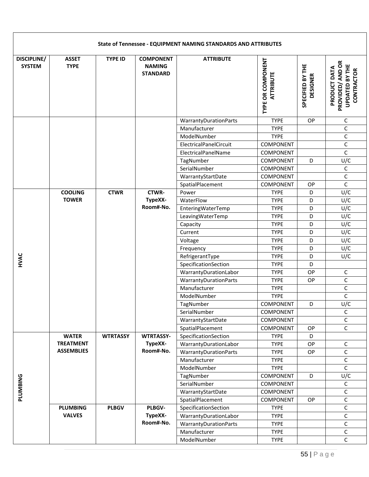|                                     |                             |                 |                                                      | State of Tennessee - EQUIPMENT NAMING STANDARDS AND ATTRIBUTES |                                       |                                     |                                                                                |
|-------------------------------------|-----------------------------|-----------------|------------------------------------------------------|----------------------------------------------------------------|---------------------------------------|-------------------------------------|--------------------------------------------------------------------------------|
| <b>DISCIPLINE/</b><br><b>SYSTEM</b> | <b>ASSET</b><br><b>TYPE</b> | <b>TYPE ID</b>  | <b>COMPONENT</b><br><b>NAMING</b><br><b>STANDARD</b> | <b>ATTRIBUTE</b>                                               | TYPE OR COMPONENT<br><b>ATTRIBUTE</b> | SPECIFIED BY THE<br><b>DESIGNER</b> | PROVIDED/ AND OR<br><b>UPDATED BY THE</b><br>PRODUCT DATA<br><b>CONTRACTOR</b> |
|                                     |                             |                 |                                                      | WarrantyDurationParts                                          | <b>TYPE</b>                           | OP                                  | С                                                                              |
|                                     |                             |                 |                                                      | Manufacturer                                                   | <b>TYPE</b>                           |                                     | $\mathsf C$                                                                    |
|                                     |                             |                 |                                                      | ModelNumber                                                    | <b>TYPE</b>                           |                                     | $\mathsf{C}$                                                                   |
|                                     |                             |                 |                                                      | ElectricalPanelCircuit                                         | <b>COMPONENT</b>                      |                                     | $\mathsf C$                                                                    |
|                                     |                             |                 |                                                      | ElectricalPanelName                                            | <b>COMPONENT</b>                      |                                     | $\mathsf C$                                                                    |
|                                     |                             |                 |                                                      | TagNumber                                                      | <b>COMPONENT</b>                      | D                                   | U/C                                                                            |
|                                     |                             |                 |                                                      | SerialNumber                                                   | <b>COMPONENT</b>                      |                                     | С                                                                              |
|                                     |                             |                 |                                                      | WarrantyStartDate                                              | COMPONENT                             |                                     | $\mathsf C$                                                                    |
|                                     |                             |                 |                                                      | SpatialPlacement                                               | <b>COMPONENT</b>                      | OP                                  | $\mathsf{C}$                                                                   |
|                                     | <b>COOLING</b>              | <b>CTWR</b>     | <b>CTWR-</b>                                         | Power                                                          | <b>TYPE</b>                           | D                                   | U/C                                                                            |
|                                     | <b>TOWER</b>                |                 | TypeXX-                                              | WaterFlow                                                      | <b>TYPE</b>                           | D                                   | U/C                                                                            |
|                                     |                             |                 | Room#-No.                                            | EnteringWaterTemp                                              | <b>TYPE</b>                           | D                                   | U/C                                                                            |
|                                     |                             |                 |                                                      | LeavingWaterTemp                                               | <b>TYPE</b>                           | D                                   | U/C                                                                            |
|                                     |                             |                 |                                                      | Capacity                                                       | <b>TYPE</b>                           | D                                   | U/C                                                                            |
|                                     |                             |                 |                                                      | Current                                                        | <b>TYPE</b>                           | D                                   | U/C                                                                            |
|                                     |                             |                 |                                                      | Voltage                                                        | <b>TYPE</b>                           | D                                   | U/C                                                                            |
|                                     |                             |                 |                                                      | Frequency                                                      | <b>TYPE</b>                           | D                                   | $U/\overline{C}$                                                               |
| HVAC                                |                             |                 |                                                      | RefrigerantType                                                | <b>TYPE</b>                           | D                                   | U/C                                                                            |
|                                     |                             |                 |                                                      | SpecificationSection                                           | <b>TYPE</b>                           | D                                   |                                                                                |
|                                     |                             |                 |                                                      | WarrantyDurationLabor                                          | <b>TYPE</b>                           | OP                                  | C                                                                              |
|                                     |                             |                 |                                                      | WarrantyDurationParts                                          | <b>TYPE</b>                           | <b>OP</b>                           | $\mathsf C$                                                                    |
|                                     |                             |                 |                                                      | Manufacturer                                                   | <b>TYPE</b>                           |                                     | $\mathsf{C}$                                                                   |
|                                     |                             |                 |                                                      | ModelNumber                                                    | <b>TYPE</b>                           |                                     | $\mathsf{C}$                                                                   |
|                                     |                             |                 |                                                      | TagNumber                                                      | COMPONENT                             | D                                   | U/C<br>$\mathsf C$                                                             |
|                                     |                             |                 |                                                      | SerialNumber                                                   | COMPONENT<br>COMPONENT                |                                     | $\mathsf C$                                                                    |
|                                     |                             |                 |                                                      | WarrantyStartDate<br>SpatialPlacement                          | <b>COMPONENT</b>                      | <b>OP</b>                           | C                                                                              |
|                                     | <b>WATER</b>                | <b>WTRTASSY</b> | <b>WTRTASSY-</b>                                     | SpecificationSection                                           | <b>TYPE</b>                           | D                                   |                                                                                |
|                                     | <b>TREATMENT</b>            |                 | TypeXX-                                              | WarrantyDurationLabor                                          | <b>TYPE</b>                           | OP                                  | С                                                                              |
|                                     | <b>ASSEMBLIES</b>           |                 | Room#-No.                                            | WarrantyDurationParts                                          | <b>TYPE</b>                           | OP                                  | $\mathsf C$                                                                    |
|                                     |                             |                 |                                                      | Manufacturer                                                   | <b>TYPE</b>                           |                                     | C                                                                              |
|                                     |                             |                 |                                                      | ModelNumber                                                    | <b>TYPE</b>                           |                                     | $\mathsf C$                                                                    |
|                                     |                             |                 |                                                      | TagNumber                                                      | COMPONENT                             | D                                   | U/C                                                                            |
| <b>PLUMBING</b>                     |                             |                 |                                                      | SerialNumber                                                   | COMPONENT                             |                                     | С                                                                              |
|                                     |                             |                 |                                                      | WarrantyStartDate                                              | COMPONENT                             |                                     | C                                                                              |
|                                     |                             |                 |                                                      | SpatialPlacement                                               | COMPONENT                             | OP                                  | С                                                                              |
|                                     | <b>PLUMBING</b>             | <b>PLBGV</b>    | PLBGV-                                               | SpecificationSection                                           | <b>TYPE</b>                           |                                     | $\mathsf C$                                                                    |
|                                     | <b>VALVES</b>               |                 | TypeXX-                                              | WarrantyDurationLabor                                          | <b>TYPE</b>                           |                                     | $\mathsf C$                                                                    |
|                                     |                             |                 | Room#-No.                                            | WarrantyDurationParts                                          | <b>TYPE</b>                           |                                     | $\mathsf C$                                                                    |
|                                     |                             |                 |                                                      | Manufacturer                                                   | <b>TYPE</b>                           |                                     | C                                                                              |
|                                     |                             |                 |                                                      | ModelNumber                                                    | <b>TYPE</b>                           |                                     | $\mathsf C$                                                                    |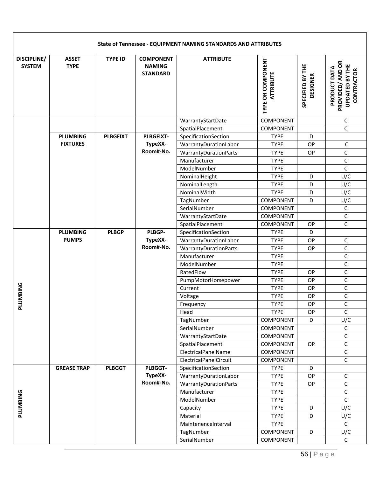| <b>DISCIPLINE/</b><br><b>SYSTEM</b> | <b>ASSET</b><br><b>TYPE</b> | <b>TYPE ID</b>  | <b>COMPONENT</b><br><b>NAMING</b><br><b>STANDARD</b> | <b>ATTRIBUTE</b>       | TYPE OR COMPONENT<br><b>ATTRIBUTE</b> | SPECIFIED BY THE<br><b>DESIGNER</b> | PROVIDED/ AND OR<br><b>UPDATED BY THE</b><br>PRODUCT DATA<br><b>CONTRACTOR</b> |
|-------------------------------------|-----------------------------|-----------------|------------------------------------------------------|------------------------|---------------------------------------|-------------------------------------|--------------------------------------------------------------------------------|
|                                     |                             |                 |                                                      | WarrantyStartDate      | COMPONENT                             |                                     | $\mathsf C$                                                                    |
|                                     |                             |                 |                                                      | SpatialPlacement       | <b>COMPONENT</b>                      |                                     | $\mathsf{C}$                                                                   |
|                                     | <b>PLUMBING</b>             | <b>PLBGFIXT</b> | <b>PLBGFIXT-</b>                                     | SpecificationSection   | <b>TYPE</b>                           | D                                   |                                                                                |
|                                     | <b>FIXTURES</b>             |                 | TypeXX-                                              | WarrantyDurationLabor  | <b>TYPE</b>                           | OP                                  | $\mathsf C$                                                                    |
|                                     |                             |                 | Room#-No.                                            | WarrantyDurationParts  | <b>TYPE</b>                           | OP                                  | C                                                                              |
|                                     |                             |                 |                                                      | Manufacturer           | <b>TYPE</b>                           |                                     | $\mathsf C$                                                                    |
|                                     |                             |                 |                                                      | ModelNumber            | <b>TYPE</b>                           |                                     | $\mathsf C$                                                                    |
|                                     |                             |                 |                                                      | NominalHeight          | <b>TYPE</b>                           | D                                   | U/C                                                                            |
|                                     |                             |                 |                                                      | NominalLength          | <b>TYPE</b>                           | D                                   | U/C                                                                            |
|                                     |                             |                 |                                                      | NominalWidth           | <b>TYPE</b>                           | D                                   | U/C                                                                            |
|                                     |                             |                 |                                                      | TagNumber              | COMPONENT                             | D                                   | U/C                                                                            |
|                                     |                             |                 |                                                      | SerialNumber           | <b>COMPONENT</b>                      |                                     | C                                                                              |
|                                     |                             |                 |                                                      | WarrantyStartDate      | <b>COMPONENT</b>                      |                                     | $\mathsf C$                                                                    |
|                                     |                             |                 |                                                      | SpatialPlacement       | <b>COMPONENT</b>                      | OP                                  | $\mathsf{C}$                                                                   |
|                                     | <b>PLUMBING</b>             | <b>PLBGP</b>    | <b>PLBGP-</b>                                        | SpecificationSection   | <b>TYPE</b>                           | D                                   |                                                                                |
|                                     | <b>PUMPS</b>                |                 | TypeXX-<br>Room#-No.                                 | WarrantyDurationLabor  | <b>TYPE</b>                           | OP                                  | $\mathsf C$                                                                    |
|                                     |                             |                 |                                                      | WarrantyDurationParts  | <b>TYPE</b>                           | OP                                  | C                                                                              |
|                                     |                             |                 |                                                      | Manufacturer           | <b>TYPE</b>                           |                                     | C                                                                              |
|                                     |                             |                 |                                                      | ModelNumber            | <b>TYPE</b>                           |                                     | C                                                                              |
|                                     |                             |                 |                                                      | RatedFlow              | <b>TYPE</b>                           | <b>OP</b>                           | $\mathsf C$                                                                    |
|                                     |                             |                 |                                                      | PumpMotorHorsepower    | <b>TYPE</b>                           | OP                                  | $\mathsf C$                                                                    |
|                                     |                             |                 |                                                      | Current                | <b>TYPE</b>                           | OP                                  | $\mathsf C$                                                                    |
| <b>UMBING</b>                       |                             |                 |                                                      | Voltage                | <b>TYPE</b>                           | OP                                  | $\mathsf C$                                                                    |
| 군                                   |                             |                 |                                                      | Frequency              | <b>TYPE</b><br><b>TYPE</b>            | OP<br>OP                            | C<br>$\mathsf C$                                                               |
|                                     |                             |                 |                                                      | Head<br>TagNumber      | COMPONENT                             | D                                   | U/C                                                                            |
|                                     |                             |                 |                                                      | SerialNumber           | COMPONENT                             |                                     | С                                                                              |
|                                     |                             |                 |                                                      | WarrantyStartDate      | COMPONENT                             |                                     | $\mathsf C$                                                                    |
|                                     |                             |                 |                                                      | SpatialPlacement       | COMPONENT                             | OP                                  | C                                                                              |
|                                     |                             |                 |                                                      | ElectricalPanelName    | COMPONENT                             |                                     | $\mathsf C$                                                                    |
|                                     |                             |                 |                                                      | ElectricalPanelCircuit | COMPONENT                             |                                     | С                                                                              |
|                                     | <b>GREASE TRAP</b>          | <b>PLBGGT</b>   | PLBGGT-                                              | SpecificationSection   | <b>TYPE</b>                           | D                                   |                                                                                |
|                                     |                             |                 | TypeXX-                                              | WarrantyDurationLabor  | <b>TYPE</b>                           | OP                                  | C                                                                              |
|                                     |                             |                 | Room#-No.                                            | WarrantyDurationParts  | <b>TYPE</b>                           | OP                                  | $\mathsf C$                                                                    |
|                                     |                             |                 |                                                      | Manufacturer           | <b>TYPE</b>                           |                                     | $\mathsf C$                                                                    |
| <b>PLUMBING</b>                     |                             |                 |                                                      | ModelNumber            | <b>TYPE</b>                           |                                     | C                                                                              |
|                                     |                             |                 |                                                      | Capacity               | <b>TYPE</b>                           | D                                   | U/C                                                                            |
|                                     |                             |                 |                                                      | Material               | <b>TYPE</b>                           | D                                   | U/C                                                                            |
|                                     |                             |                 |                                                      | MaintenenceInterval    | <b>TYPE</b>                           |                                     | $\mathsf C$                                                                    |
|                                     |                             |                 |                                                      | TagNumber              | COMPONENT                             | D                                   | U/C                                                                            |
|                                     |                             |                 |                                                      | SerialNumber           | COMPONENT                             |                                     | $\mathsf C$                                                                    |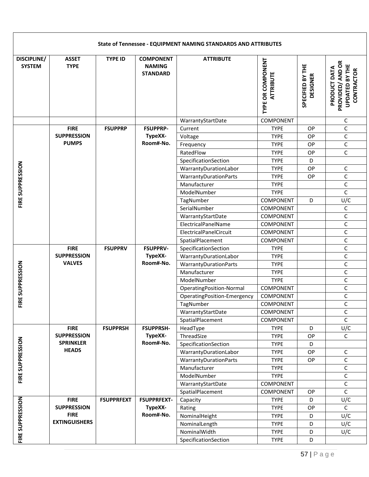|                              |                                   |                   |                                                      | State of Tennessee - EQUIPMENT NAMING STANDARDS AND ATTRIBUTES |                                       |                                     |                                                                         |
|------------------------------|-----------------------------------|-------------------|------------------------------------------------------|----------------------------------------------------------------|---------------------------------------|-------------------------------------|-------------------------------------------------------------------------|
| DISCIPLINE/<br><b>SYSTEM</b> | <b>ASSET</b><br><b>TYPE</b>       | <b>TYPE ID</b>    | <b>COMPONENT</b><br><b>NAMING</b><br><b>STANDARD</b> | <b>ATTRIBUTE</b>                                               | TYPE OR COMPONENT<br><b>ATTRIBUTE</b> | SPECIFIED BY THE<br><b>DESIGNER</b> | PROVIDED/ AND OR<br><b>UPDATED BY THE</b><br>PRODUCT DATA<br>CONTRACTOR |
|                              |                                   |                   |                                                      | WarrantyStartDate                                              | <b>COMPONENT</b>                      |                                     | C                                                                       |
|                              | <b>FIRE</b>                       | <b>FSUPPRP</b>    | <b>FSUPPRP-</b>                                      | Current                                                        | <b>TYPE</b>                           | OP                                  | $\mathsf C$                                                             |
|                              | <b>SUPPRESSION</b>                |                   | TypeXX-                                              | Voltage                                                        | <b>TYPE</b>                           | OP                                  | $\mathsf C$                                                             |
|                              | <b>PUMPS</b>                      |                   | Room#-No.                                            | Frequency                                                      | <b>TYPE</b>                           | OP                                  | $\mathsf C$                                                             |
|                              |                                   |                   |                                                      | RatedFlow                                                      | <b>TYPE</b>                           | OP                                  | $\mathsf C$                                                             |
|                              |                                   |                   |                                                      | SpecificationSection                                           | <b>TYPE</b>                           | D                                   |                                                                         |
|                              |                                   |                   |                                                      | WarrantyDurationLabor                                          | <b>TYPE</b>                           | OP                                  | C                                                                       |
| FIRE SUPPRESSION             |                                   |                   |                                                      | WarrantyDurationParts                                          | <b>TYPE</b>                           | <b>OP</b>                           | $\mathsf C$                                                             |
|                              |                                   |                   |                                                      | Manufacturer                                                   | <b>TYPE</b>                           |                                     | $\mathsf C$                                                             |
|                              |                                   |                   |                                                      | ModelNumber                                                    | <b>TYPE</b>                           |                                     | $\mathsf C$                                                             |
|                              |                                   |                   |                                                      | TagNumber                                                      | <b>COMPONENT</b>                      | D                                   | U/C                                                                     |
|                              |                                   |                   |                                                      | SerialNumber                                                   | <b>COMPONENT</b>                      |                                     | C                                                                       |
|                              |                                   |                   |                                                      | WarrantyStartDate                                              | COMPONENT                             |                                     | $\mathsf C$                                                             |
|                              |                                   |                   |                                                      | ElectricalPanelName                                            | <b>COMPONENT</b>                      |                                     | $\mathsf C$                                                             |
|                              |                                   |                   |                                                      | ElectricalPanelCircuit                                         | COMPONENT                             |                                     | $\mathsf C$                                                             |
|                              |                                   |                   |                                                      | SpatialPlacement                                               | <b>COMPONENT</b>                      |                                     | $\mathsf C$                                                             |
|                              | <b>FIRE</b>                       | <b>FSUPPRV</b>    | <b>FSUPPRV-</b>                                      | SpecificationSection                                           | <b>TYPE</b>                           |                                     | $\mathsf C$                                                             |
|                              | <b>SUPPRESSION</b>                |                   | TypeXX-                                              | WarrantyDurationLabor                                          | <b>TYPE</b>                           |                                     | С                                                                       |
| FIRE SUPPRESSION             | <b>VALVES</b>                     |                   | Room#-No.                                            | WarrantyDurationParts                                          | <b>TYPE</b>                           |                                     | $\mathsf C$                                                             |
|                              |                                   |                   |                                                      | Manufacturer                                                   | <b>TYPE</b>                           |                                     | $\mathsf C$                                                             |
|                              |                                   |                   |                                                      | ModelNumber                                                    | <b>TYPE</b>                           |                                     | $\mathsf C$                                                             |
|                              |                                   |                   |                                                      | OperatingPosition-Normal                                       | COMPONENT                             |                                     | $\mathsf C$                                                             |
|                              |                                   |                   |                                                      | OperatingPosition-Emergency                                    | <b>COMPONENT</b>                      |                                     | $\mathsf C$                                                             |
|                              |                                   |                   |                                                      | TagNumber                                                      | COMPONENT                             |                                     | $\mathsf C$                                                             |
|                              |                                   |                   |                                                      | WarrantyStartDate                                              | COMPONENT                             |                                     | $\mathsf C$                                                             |
|                              |                                   |                   |                                                      | SpatialPlacement                                               | COMPONENT                             |                                     | $\mathsf C$                                                             |
|                              | <b>FIRE</b>                       | <b>FSUPPRSH</b>   | <b>FSUPPRSH-</b>                                     | HeadType                                                       | <b>TYPE</b>                           | D                                   | U/C                                                                     |
|                              | <b>SUPPRESSION</b>                |                   | TypeXX-                                              | ThreadSize                                                     | <b>TYPE</b>                           | OP                                  | $\mathsf{C}$                                                            |
|                              | <b>SPRINKLER</b><br><b>HEADS</b>  |                   | Room#-No.                                            | SpecificationSection                                           | <b>TYPE</b>                           | D                                   |                                                                         |
| FIRE SUPPRESSION             |                                   |                   |                                                      | WarrantyDurationLabor                                          | <b>TYPE</b>                           | OP                                  | $\mathsf C$                                                             |
|                              |                                   |                   |                                                      | WarrantyDurationParts                                          | <b>TYPE</b>                           | OP                                  | $\mathsf C$                                                             |
|                              |                                   |                   |                                                      | Manufacturer                                                   | <b>TYPE</b>                           |                                     | C                                                                       |
|                              |                                   |                   |                                                      | ModelNumber                                                    | <b>TYPE</b>                           |                                     | $\mathsf C$                                                             |
|                              |                                   |                   |                                                      | WarrantyStartDate                                              | COMPONENT                             |                                     | $\mathsf C$                                                             |
|                              |                                   |                   |                                                      | SpatialPlacement                                               | COMPONENT                             | <b>OP</b>                           | $\mathsf C$                                                             |
| FIRE SUPPRESSION             | <b>FIRE</b>                       | <b>FSUPPRFEXT</b> | <b>FSUPPRFEXT-</b>                                   | Capacity                                                       | <b>TYPE</b>                           | D                                   | U/C                                                                     |
|                              | <b>SUPPRESSION</b><br><b>FIRE</b> |                   | TypeXX-<br>Room#-No.                                 | Rating                                                         | <b>TYPE</b>                           | OP                                  | $\mathsf C$                                                             |
|                              | <b>EXTINGUISHERS</b>              |                   |                                                      | NominalHeight                                                  | <b>TYPE</b>                           | D                                   | U/C                                                                     |
|                              |                                   |                   |                                                      | NominalLength                                                  | <b>TYPE</b>                           | D                                   | U/C                                                                     |
|                              |                                   |                   |                                                      | NominalWidth                                                   | <b>TYPE</b>                           | D                                   | U/C                                                                     |
|                              |                                   |                   |                                                      | SpecificationSection                                           | <b>TYPE</b>                           | D                                   |                                                                         |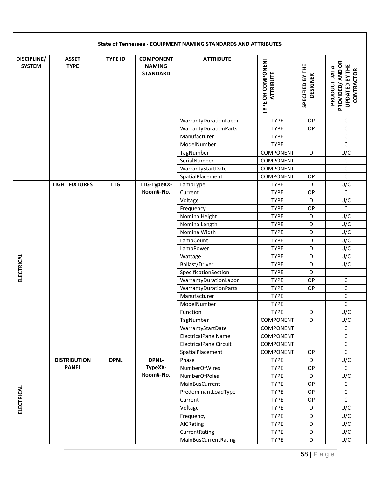| DISCIPLINE/<br><b>SYSTEM</b> | <b>ASSET</b><br><b>TYPE</b> | <b>TYPE ID</b> | <b>COMPONENT</b><br><b>NAMING</b><br><b>STANDARD</b> | <b>ATTRIBUTE</b>       | TYPE OR COMPONENT<br><b>ATTRIBUTE</b> | SPECIFIED BY THE<br><b>DESIGNER</b> | PROVIDED/ AND OR<br><b>UPDATED BY THE</b><br>PRODUCT DATA<br><b>CONTRACTOR</b> |
|------------------------------|-----------------------------|----------------|------------------------------------------------------|------------------------|---------------------------------------|-------------------------------------|--------------------------------------------------------------------------------|
|                              |                             |                |                                                      | WarrantyDurationLabor  | <b>TYPE</b>                           | OP                                  | $\mathsf C$                                                                    |
|                              |                             |                |                                                      | WarrantyDurationParts  | <b>TYPE</b>                           | OP                                  | $\mathsf C$                                                                    |
|                              |                             |                |                                                      | Manufacturer           | <b>TYPE</b>                           |                                     | $\mathsf C$                                                                    |
|                              |                             |                |                                                      | ModelNumber            | <b>TYPE</b>                           |                                     | $\mathsf{C}$                                                                   |
|                              |                             |                |                                                      | TagNumber              | COMPONENT                             | D                                   | U/C                                                                            |
|                              |                             |                |                                                      | SerialNumber           | COMPONENT                             |                                     | $\mathsf C$                                                                    |
|                              |                             |                |                                                      | WarrantyStartDate      | COMPONENT                             |                                     | $\mathsf C$                                                                    |
|                              |                             |                |                                                      | SpatialPlacement       | <b>COMPONENT</b>                      | OP                                  | $\mathsf C$                                                                    |
|                              | <b>LIGHT FIXTURES</b>       | <b>LTG</b>     | LTG-TypeXX-                                          | LampType               | <b>TYPE</b>                           | D                                   | U/C                                                                            |
|                              |                             |                | Room#-No.                                            | Current                | <b>TYPE</b>                           | OP                                  | $\mathsf C$                                                                    |
|                              |                             |                |                                                      | Voltage                | <b>TYPE</b>                           | D                                   | $U/\overline{C}$                                                               |
|                              |                             |                |                                                      | Frequency              | <b>TYPE</b>                           | OP                                  | $\mathsf C$                                                                    |
|                              |                             |                |                                                      | NominalHeight          | <b>TYPE</b>                           | D                                   | U/C                                                                            |
|                              |                             |                |                                                      | NominalLength          | <b>TYPE</b>                           | D                                   | U/C                                                                            |
|                              |                             |                |                                                      | NominalWidth           | <b>TYPE</b>                           | D                                   | U/C                                                                            |
|                              |                             |                |                                                      | LampCount              | <b>TYPE</b>                           | D                                   | $U/\overline{C}$                                                               |
|                              |                             |                |                                                      | LampPower              | <b>TYPE</b>                           | D                                   | U/C                                                                            |
|                              |                             |                |                                                      | Wattage                | <b>TYPE</b>                           | D                                   | U/C                                                                            |
| ELECTRICAL                   |                             |                |                                                      | <b>Ballast/Driver</b>  | <b>TYPE</b>                           | D                                   | U/C                                                                            |
|                              |                             |                |                                                      | SpecificationSection   | <b>TYPE</b>                           | D                                   |                                                                                |
|                              |                             |                |                                                      | WarrantyDurationLabor  | <b>TYPE</b>                           | OP                                  | С                                                                              |
|                              |                             |                |                                                      | WarrantyDurationParts  | <b>TYPE</b>                           | OP                                  | $\mathsf C$                                                                    |
|                              |                             |                |                                                      | Manufacturer           | <b>TYPE</b>                           |                                     | $\mathsf C$                                                                    |
|                              |                             |                |                                                      | ModelNumber            | <b>TYPE</b>                           |                                     | $\mathsf C$                                                                    |
|                              |                             |                |                                                      | Function               | <b>TYPE</b>                           | D                                   | U/C                                                                            |
|                              |                             |                |                                                      | TagNumber              | COMPONENT                             | D                                   | U/C                                                                            |
|                              |                             |                |                                                      | WarrantyStartDate      | COMPONENT                             |                                     | $\mathsf C$                                                                    |
|                              |                             |                |                                                      | ElectricalPanelName    | COMPONENT                             |                                     | $\mathsf C$                                                                    |
|                              |                             |                |                                                      | ElectricalPanelCircuit | COMPONENT                             |                                     | $\mathsf C$                                                                    |
|                              |                             |                |                                                      | SpatialPlacement       | COMPONENT                             | OP                                  | $\mathsf C$                                                                    |
|                              | <b>DISTRIBUTION</b>         | <b>DPNL</b>    | <b>DPNL-</b>                                         | Phase                  | <b>TYPE</b>                           | D                                   | U/C                                                                            |
|                              | <b>PANEL</b>                |                | TypeXX-<br>Room#-No.                                 | NumberOfWires          | <b>TYPE</b>                           | OP                                  | $\mathsf C$                                                                    |
|                              |                             |                |                                                      | <b>NumberOfPoles</b>   | <b>TYPE</b>                           | D                                   | U/C                                                                            |
|                              |                             |                |                                                      | MainBusCurrent         | <b>TYPE</b>                           | OP                                  | $\mathsf C$                                                                    |
| ELECTRICAL                   |                             |                |                                                      | PredominantLoadType    | <b>TYPE</b>                           | OP                                  | $\mathsf C$                                                                    |
|                              |                             |                |                                                      | Current                | <b>TYPE</b>                           | OP                                  | С                                                                              |
|                              |                             |                |                                                      | Voltage                | <b>TYPE</b>                           | D                                   | U/C                                                                            |
|                              |                             |                |                                                      | Frequency              | <b>TYPE</b>                           | D                                   | U/C                                                                            |
|                              |                             |                |                                                      | AICRating              | <b>TYPE</b>                           | D                                   | U/C                                                                            |
|                              |                             |                |                                                      | CurrentRating          | <b>TYPE</b>                           | D                                   | $U/\overline{C}$                                                               |
|                              |                             |                |                                                      | MainBusCurrentRating   | <b>TYPE</b>                           | D                                   | U/C                                                                            |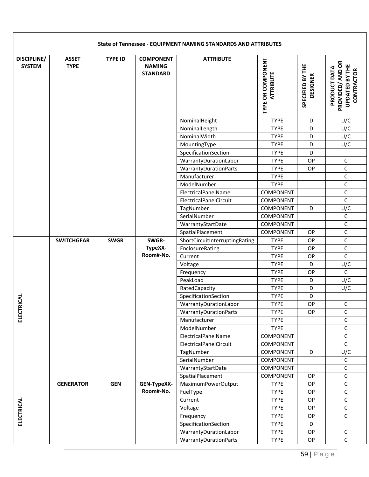|                                     |                             |                |                                                      | State of Tennessee - EQUIPMENT NAMING STANDARDS AND ATTRIBUTES |                                       |                                     |                                                                         |
|-------------------------------------|-----------------------------|----------------|------------------------------------------------------|----------------------------------------------------------------|---------------------------------------|-------------------------------------|-------------------------------------------------------------------------|
| <b>DISCIPLINE/</b><br><b>SYSTEM</b> | <b>ASSET</b><br><b>TYPE</b> | <b>TYPE ID</b> | <b>COMPONENT</b><br><b>NAMING</b><br><b>STANDARD</b> | <b>ATTRIBUTE</b>                                               | TYPE OR COMPONENT<br><b>ATTRIBUTE</b> | SPECIFIED BY THE<br><b>DESIGNER</b> | PROVIDED/ AND OR<br><b>UPDATED BY THE</b><br>PRODUCT DATA<br>CONTRACTOR |
|                                     |                             |                |                                                      | NominalHeight                                                  | <b>TYPE</b>                           | D                                   | U/C                                                                     |
|                                     |                             |                |                                                      | NominalLength                                                  | <b>TYPE</b>                           | D                                   | U/C                                                                     |
|                                     |                             |                |                                                      | NominalWidth                                                   | <b>TYPE</b>                           | D                                   | U/C                                                                     |
|                                     |                             |                |                                                      | MountingType                                                   | <b>TYPE</b>                           | D                                   | U/C                                                                     |
|                                     |                             |                |                                                      | SpecificationSection                                           | <b>TYPE</b>                           | D                                   |                                                                         |
|                                     |                             |                |                                                      | WarrantyDurationLabor                                          | <b>TYPE</b>                           | OP                                  | $\mathsf C$                                                             |
|                                     |                             |                |                                                      | WarrantyDurationParts                                          | <b>TYPE</b>                           | OP                                  | $\mathsf C$                                                             |
|                                     |                             |                |                                                      | Manufacturer                                                   | <b>TYPE</b>                           |                                     | $\mathsf C$                                                             |
|                                     |                             |                |                                                      | ModelNumber                                                    | <b>TYPE</b>                           |                                     | С                                                                       |
|                                     |                             |                |                                                      | ElectricalPanelName                                            | COMPONENT                             |                                     | С                                                                       |
|                                     |                             |                |                                                      | ElectricalPanelCircuit                                         | COMPONENT                             |                                     | $\mathsf{C}$                                                            |
|                                     |                             |                |                                                      | TagNumber                                                      | COMPONENT                             | D                                   | U/C                                                                     |
|                                     |                             |                |                                                      | SerialNumber                                                   | <b>COMPONENT</b>                      |                                     | $\mathsf C$                                                             |
|                                     |                             |                |                                                      | WarrantyStartDate                                              | COMPONENT                             |                                     | $\mathsf C$                                                             |
|                                     |                             |                |                                                      | SpatialPlacement                                               | <b>COMPONENT</b>                      | OP                                  | $\mathsf C$                                                             |
|                                     | <b>SWITCHGEAR</b>           | <b>SWGR</b>    | SWGR-                                                | ShortCircuitInterruptingRating                                 | <b>TYPE</b>                           | OP                                  | $\mathsf C$                                                             |
|                                     |                             |                | TypeXX-<br>Room#-No.                                 | EnclosureRating                                                | <b>TYPE</b>                           | <b>OP</b>                           | $\mathsf C$                                                             |
|                                     |                             |                |                                                      | Current                                                        | <b>TYPE</b>                           | OP                                  | $\mathsf C$                                                             |
|                                     |                             |                |                                                      | Voltage                                                        | <b>TYPE</b>                           | D                                   | U/C                                                                     |
|                                     |                             |                |                                                      | Frequency                                                      | <b>TYPE</b>                           | OP                                  | C                                                                       |
|                                     |                             |                |                                                      | PeakLoad<br>RatedCapacity                                      | <b>TYPE</b><br><b>TYPE</b>            | D<br>D                              | U/C<br>U/C                                                              |
|                                     |                             |                |                                                      | SpecificationSection                                           | <b>TYPE</b>                           | D                                   |                                                                         |
| <b>ICAL</b>                         |                             |                |                                                      | WarrantyDurationLabor                                          | <b>TYPE</b>                           | OP                                  | $\mathsf{C}$                                                            |
| ELECTRI                             |                             |                |                                                      | WarrantyDurationParts                                          | <b>TYPE</b>                           | OP                                  | $\mathsf C$                                                             |
|                                     |                             |                |                                                      | Manufacturer                                                   | <b>TYPE</b>                           |                                     | C                                                                       |
|                                     |                             |                |                                                      | ModelNumber                                                    | <b>TYPE</b>                           |                                     | С                                                                       |
|                                     |                             |                |                                                      | ElectricalPanelName                                            | COMPONENT                             |                                     | $\mathsf C$                                                             |
|                                     |                             |                |                                                      | ElectricalPanelCircuit                                         | COMPONENT                             |                                     | C                                                                       |
|                                     |                             |                |                                                      | TagNumber                                                      | COMPONENT                             | D                                   | U/C                                                                     |
|                                     |                             |                |                                                      | SerialNumber                                                   | COMPONENT                             |                                     | $\mathsf C$                                                             |
|                                     |                             |                |                                                      | WarrantyStartDate                                              | COMPONENT                             |                                     | C                                                                       |
|                                     |                             |                |                                                      | SpatialPlacement                                               | COMPONENT                             | OP                                  | С                                                                       |
|                                     | <b>GENERATOR</b>            | <b>GEN</b>     | GEN-TypeXX-                                          | MaximumPowerOutput                                             | <b>TYPE</b>                           | OP                                  | $\mathsf C$                                                             |
|                                     |                             |                | Room#-No.                                            | FuelType                                                       | <b>TYPE</b>                           | OP                                  | C                                                                       |
|                                     |                             |                |                                                      | Current                                                        | <b>TYPE</b>                           | OP                                  | $\mathsf C$                                                             |
| ELECTRICAL                          |                             |                |                                                      | Voltage                                                        | <b>TYPE</b>                           | <b>OP</b>                           | $\mathsf C$                                                             |
|                                     |                             |                |                                                      | Frequency                                                      | <b>TYPE</b>                           | <b>OP</b>                           | C                                                                       |
|                                     |                             |                |                                                      | SpecificationSection                                           | <b>TYPE</b>                           | D                                   |                                                                         |
|                                     |                             |                |                                                      | WarrantyDurationLabor                                          | <b>TYPE</b>                           | OP                                  | $\mathsf C$                                                             |
|                                     |                             |                |                                                      | WarrantyDurationParts                                          | <b>TYPE</b>                           | OP                                  | $\mathsf{C}$                                                            |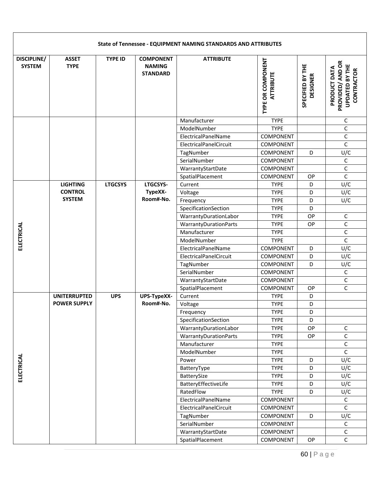| <b>DISCIPLINE/</b><br><b>SYSTEM</b> | <b>ASSET</b><br><b>TYPE</b> | <b>TYPE ID</b> | <b>COMPONENT</b><br><b>NAMING</b><br><b>STANDARD</b> | <b>ATTRIBUTE</b>             | TYPE OR COMPONENT<br><b>ATTRIBUTE</b> | SPECIFIED BY THE<br><b>DESIGNER</b> | PROVIDED/ AND OR<br><b>UPDATED BY THE</b><br>PRODUCT DATA<br><b>CONTRACTOR</b> |
|-------------------------------------|-----------------------------|----------------|------------------------------------------------------|------------------------------|---------------------------------------|-------------------------------------|--------------------------------------------------------------------------------|
|                                     |                             |                |                                                      | Manufacturer                 | <b>TYPE</b>                           |                                     | C                                                                              |
|                                     |                             |                |                                                      | ModelNumber                  | <b>TYPE</b>                           |                                     | $\mathsf C$                                                                    |
|                                     |                             |                |                                                      | ElectricalPanelName          | COMPONENT                             |                                     | $\mathsf C$                                                                    |
|                                     |                             |                |                                                      | ElectricalPanelCircuit       | COMPONENT                             |                                     | $\mathsf C$                                                                    |
|                                     |                             |                |                                                      | TagNumber                    | COMPONENT                             | D                                   | U/C                                                                            |
|                                     |                             |                |                                                      | SerialNumber                 | COMPONENT                             |                                     | C                                                                              |
|                                     |                             |                |                                                      | WarrantyStartDate            | COMPONENT                             |                                     | $\mathsf C$                                                                    |
|                                     |                             |                |                                                      | SpatialPlacement             | <b>COMPONENT</b>                      | OP                                  | $\mathsf C$                                                                    |
|                                     | <b>LIGHTING</b>             | <b>LTGCSYS</b> | LTGCSYS-                                             | Current                      | <b>TYPE</b>                           | D                                   | U/C                                                                            |
|                                     | <b>CONTROL</b>              |                | TypeXX-                                              | Voltage                      | <b>TYPE</b>                           | D                                   | U/C                                                                            |
|                                     | <b>SYSTEM</b>               |                | Room#-No.                                            | Frequency                    | <b>TYPE</b>                           | D                                   | U/C                                                                            |
|                                     |                             |                |                                                      | SpecificationSection         | <b>TYPE</b>                           | D                                   |                                                                                |
|                                     |                             |                |                                                      | WarrantyDurationLabor        | <b>TYPE</b>                           | OP                                  | $\mathsf C$                                                                    |
|                                     |                             |                |                                                      | WarrantyDurationParts        | <b>TYPE</b>                           | OP                                  | $\mathsf C$                                                                    |
| ELECTRICAL                          |                             |                |                                                      | Manufacturer                 | <b>TYPE</b>                           |                                     | $\mathsf C$                                                                    |
|                                     |                             |                |                                                      | ModelNumber                  | <b>TYPE</b>                           |                                     | $\mathsf C$                                                                    |
|                                     |                             |                |                                                      | ElectricalPanelName          | COMPONENT                             | D                                   | U/C                                                                            |
|                                     |                             |                |                                                      | ElectricalPanelCircuit       | COMPONENT                             | D                                   | U/C                                                                            |
|                                     |                             |                |                                                      | TagNumber                    | COMPONENT                             | D                                   | U/C                                                                            |
|                                     |                             |                |                                                      | SerialNumber                 | COMPONENT                             |                                     | $\mathsf C$                                                                    |
|                                     |                             |                |                                                      | WarrantyStartDate            | COMPONENT                             |                                     | $\mathsf C$                                                                    |
|                                     |                             |                |                                                      | SpatialPlacement             | <b>COMPONENT</b>                      | OP                                  | $\mathsf C$                                                                    |
|                                     | <b>UNITERRUPTED</b>         | <b>UPS</b>     | UPS-TypeXX-                                          | Current                      | <b>TYPE</b>                           | D                                   |                                                                                |
|                                     | <b>POWER SUPPLY</b>         |                | Room#-No.                                            | Voltage                      | <b>TYPE</b>                           | D                                   |                                                                                |
|                                     |                             |                |                                                      | Frequency                    | <b>TYPE</b>                           | D                                   |                                                                                |
|                                     |                             |                |                                                      | SpecificationSection         | <b>TYPE</b>                           | D                                   |                                                                                |
|                                     |                             |                |                                                      | WarrantyDurationLabor        | <b>TYPE</b>                           | OP                                  | C                                                                              |
|                                     |                             |                |                                                      | <b>WarrantyDurationParts</b> | <b>TYPE</b>                           | OP                                  | $\mathsf C$                                                                    |
|                                     |                             |                |                                                      | Manufacturer                 | <b>TYPE</b>                           |                                     | C                                                                              |
|                                     |                             |                |                                                      | ModelNumber                  | <b>TYPE</b>                           |                                     | $\mathsf C$                                                                    |
|                                     |                             |                |                                                      | Power                        | <b>TYPE</b>                           | D                                   | U/C                                                                            |
|                                     |                             |                |                                                      | BatteryType                  | <b>TYPE</b>                           | D                                   | U/C                                                                            |
| ELECTRICAL                          |                             |                |                                                      | BatterySize                  | <b>TYPE</b>                           | D                                   | U/C                                                                            |
|                                     |                             |                |                                                      | BatteryEffectiveLife         | <b>TYPE</b>                           | D                                   | U/C                                                                            |
|                                     |                             |                |                                                      | RatedFlow                    | <b>TYPE</b>                           | D                                   | U/C                                                                            |
|                                     |                             |                |                                                      | ElectricalPanelName          | COMPONENT                             |                                     | С                                                                              |
|                                     |                             |                |                                                      | ElectricalPanelCircuit       | COMPONENT                             |                                     | $\mathsf C$                                                                    |
|                                     |                             |                |                                                      | TagNumber                    | COMPONENT                             | D                                   | U/C                                                                            |
|                                     |                             |                |                                                      | SerialNumber                 | COMPONENT                             |                                     | $\mathsf C$                                                                    |
|                                     |                             |                |                                                      | WarrantyStartDate            | COMPONENT                             |                                     | $\mathsf C$                                                                    |
|                                     |                             |                |                                                      | SpatialPlacement             | COMPONENT                             | OP                                  | С                                                                              |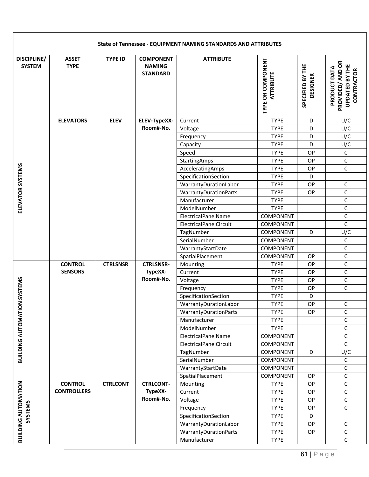| State of Tennessee - EQUIPMENT NAMING STANDARDS AND ATTRIBUTES |                             |                 |                                                      |                             |                                       |                                     |                                                                                |  |  |
|----------------------------------------------------------------|-----------------------------|-----------------|------------------------------------------------------|-----------------------------|---------------------------------------|-------------------------------------|--------------------------------------------------------------------------------|--|--|
| <b>DISCIPLINE/</b><br><b>SYSTEM</b>                            | <b>ASSET</b><br><b>TYPE</b> | <b>TYPE ID</b>  | <b>COMPONENT</b><br><b>NAMING</b><br><b>STANDARD</b> | <b>ATTRIBUTE</b>            | TYPE OR COMPONENT<br><b>ATTRIBUTE</b> | SPECIFIED BY THE<br><b>DESIGNER</b> | PROVIDED/ AND OR<br><b>UPDATED BY THE</b><br>PRODUCT DATA<br><b>CONTRACTOR</b> |  |  |
|                                                                | <b>ELEVATORS</b>            | <b>ELEV</b>     | ELEV-TypeXX-                                         | Current                     | <b>TYPE</b>                           | D                                   | U/C                                                                            |  |  |
|                                                                |                             |                 | Room#-No.                                            | Voltage                     | <b>TYPE</b>                           | D                                   | U/C                                                                            |  |  |
|                                                                |                             |                 |                                                      | Frequency                   | <b>TYPE</b>                           | D                                   | U/C                                                                            |  |  |
|                                                                |                             |                 |                                                      | Capacity                    | <b>TYPE</b>                           | D                                   | U/C                                                                            |  |  |
|                                                                |                             |                 |                                                      | Speed                       | <b>TYPE</b>                           | OP                                  | $\mathsf C$                                                                    |  |  |
|                                                                |                             |                 |                                                      | StartingAmps                | <b>TYPE</b>                           | OP                                  | $\mathsf C$                                                                    |  |  |
|                                                                |                             |                 |                                                      | AcceleratingAmps            | <b>TYPE</b>                           | OP                                  | $\mathsf C$                                                                    |  |  |
| ELEVATOR SYSTEMS                                               |                             |                 |                                                      | SpecificationSection        | <b>TYPE</b>                           | D                                   |                                                                                |  |  |
|                                                                |                             |                 |                                                      | WarrantyDurationLabor       | <b>TYPE</b>                           | OP                                  | $\mathsf{C}$                                                                   |  |  |
|                                                                |                             |                 |                                                      | WarrantyDurationParts       | <b>TYPE</b>                           | <b>OP</b>                           | $\mathsf C$                                                                    |  |  |
|                                                                |                             |                 |                                                      | Manufacturer                | <b>TYPE</b>                           |                                     | $\mathsf C$                                                                    |  |  |
|                                                                |                             |                 |                                                      | ModelNumber                 | <b>TYPE</b>                           |                                     | $\mathsf C$                                                                    |  |  |
|                                                                |                             |                 |                                                      | ElectricalPanelName         | COMPONENT                             |                                     | $\mathsf{C}$                                                                   |  |  |
|                                                                |                             |                 |                                                      | ElectricalPanelCircuit      | <b>COMPONENT</b>                      |                                     | $\mathsf{C}$                                                                   |  |  |
|                                                                |                             |                 |                                                      | TagNumber                   | <b>COMPONENT</b>                      | D                                   | U/C                                                                            |  |  |
|                                                                |                             |                 |                                                      | SerialNumber                | <b>COMPONENT</b>                      |                                     | $\mathsf C$                                                                    |  |  |
|                                                                |                             |                 |                                                      | WarrantyStartDate           | COMPONENT                             |                                     | $\mathsf C$                                                                    |  |  |
|                                                                |                             |                 |                                                      | SpatialPlacement            | <b>COMPONENT</b>                      | OP                                  | $\mathsf{C}$                                                                   |  |  |
|                                                                | <b>CONTROL</b>              | <b>CTRLSNSR</b> | <b>CTRLSNSR-</b>                                     | Mounting                    | <b>TYPE</b>                           | OP                                  | С                                                                              |  |  |
|                                                                | <b>SENSORS</b>              |                 | TypeXX-<br>Room#-No.                                 | Current                     | <b>TYPE</b>                           | OP                                  | С                                                                              |  |  |
|                                                                |                             |                 |                                                      | Voltage                     | <b>TYPE</b>                           | OP                                  | $\mathsf{C}$                                                                   |  |  |
|                                                                |                             |                 |                                                      | Frequency                   | <b>TYPE</b>                           | <b>OP</b>                           | $\mathsf C$                                                                    |  |  |
| N SYSTEMS                                                      |                             |                 |                                                      | SpecificationSection        | <b>TYPE</b>                           | D                                   |                                                                                |  |  |
|                                                                |                             |                 |                                                      | WarrantyDurationLabor       | <b>TYPE</b>                           | OP                                  | $\mathsf C$                                                                    |  |  |
|                                                                |                             |                 |                                                      | WarrantyDurationParts       | <b>TYPE</b>                           | <b>OP</b>                           | C                                                                              |  |  |
|                                                                |                             |                 |                                                      | Manufacturer<br>ModelNumber | <b>TYPE</b><br><b>TYPE</b>            |                                     | С                                                                              |  |  |
|                                                                |                             |                 |                                                      | ElectricalPanelName         | COMPONENT                             |                                     | $\mathsf C$<br>$\mathsf C$                                                     |  |  |
| <b>BUILDING AUTOMATIO</b>                                      |                             |                 |                                                      | ElectricalPanelCircuit      | COMPONENT                             |                                     | C                                                                              |  |  |
|                                                                |                             |                 |                                                      | TagNumber                   | COMPONENT                             | D                                   | U/C                                                                            |  |  |
|                                                                |                             |                 |                                                      | SerialNumber                | COMPONENT                             |                                     | С                                                                              |  |  |
|                                                                |                             |                 |                                                      | WarrantyStartDate           | COMPONENT                             |                                     | С                                                                              |  |  |
|                                                                |                             |                 |                                                      | SpatialPlacement            | COMPONENT                             | OP                                  | $\mathsf C$                                                                    |  |  |
|                                                                | <b>CONTROL</b>              | <b>CTRLCONT</b> | <b>CTRLCONT-</b>                                     | Mounting                    | <b>TYPE</b>                           | OP                                  | С                                                                              |  |  |
|                                                                | <b>CONTROLLERS</b>          |                 | TypeXX-                                              | Current                     | <b>TYPE</b>                           | OP                                  | C                                                                              |  |  |
|                                                                |                             |                 | Room#-No.                                            | Voltage                     | <b>TYPE</b>                           | OP                                  | C                                                                              |  |  |
| SYSTEMS                                                        |                             |                 |                                                      | Frequency                   | <b>TYPE</b>                           | OP                                  | С                                                                              |  |  |
|                                                                |                             |                 |                                                      | SpecificationSection        | <b>TYPE</b>                           | D                                   |                                                                                |  |  |
|                                                                |                             |                 |                                                      | WarrantyDurationLabor       | <b>TYPE</b>                           | OP                                  | С                                                                              |  |  |
| <b>BUILDING AUTOMATION</b>                                     |                             |                 |                                                      | WarrantyDurationParts       | <b>TYPE</b>                           | OP                                  | $\mathsf C$                                                                    |  |  |
|                                                                |                             |                 |                                                      | Manufacturer                | <b>TYPE</b>                           |                                     | C                                                                              |  |  |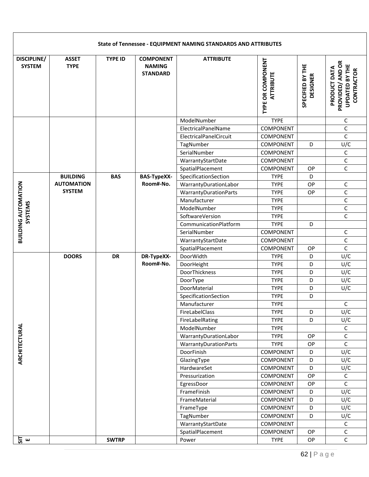|                                                                  |                             |                |                                                      | State of Tennessee - EQUIPMENT NAMING STANDARDS AND ATTRIBUTES |                                       |                                     |                                                                         |
|------------------------------------------------------------------|-----------------------------|----------------|------------------------------------------------------|----------------------------------------------------------------|---------------------------------------|-------------------------------------|-------------------------------------------------------------------------|
| <b>DISCIPLINE/</b><br><b>SYSTEM</b>                              | <b>ASSET</b><br><b>TYPE</b> | <b>TYPE ID</b> | <b>COMPONENT</b><br><b>NAMING</b><br><b>STANDARD</b> | <b>ATTRIBUTE</b>                                               | TYPE OR COMPONENT<br><b>ATTRIBUTE</b> | SPECIFIED BY THE<br><b>DESIGNER</b> | PROVIDED/ AND OR<br><b>UPDATED BY THE</b><br>PRODUCT DATA<br>CONTRACTOR |
|                                                                  |                             |                |                                                      | ModelNumber                                                    | <b>TYPE</b>                           |                                     | $\mathsf C$                                                             |
|                                                                  |                             |                |                                                      | ElectricalPanelName                                            | <b>COMPONENT</b>                      |                                     | $\mathsf{C}$                                                            |
|                                                                  |                             |                |                                                      | ElectricalPanelCircuit                                         | <b>COMPONENT</b>                      |                                     | $\mathsf C$                                                             |
|                                                                  |                             |                |                                                      | TagNumber                                                      | <b>COMPONENT</b>                      | D                                   | U/C                                                                     |
|                                                                  |                             |                |                                                      | SerialNumber                                                   | <b>COMPONENT</b>                      |                                     | $\mathsf C$                                                             |
|                                                                  |                             |                |                                                      | WarrantyStartDate                                              | <b>COMPONENT</b>                      |                                     | $\mathsf C$                                                             |
|                                                                  |                             |                |                                                      | SpatialPlacement                                               | <b>COMPONENT</b>                      | OP                                  | $\mathsf{C}$                                                            |
|                                                                  | <b>BUILDING</b>             | <b>BAS</b>     | <b>BAS-TypeXX-</b>                                   | SpecificationSection                                           | <b>TYPE</b>                           | D                                   |                                                                         |
| <b>BUILDING AUTOMATION</b><br><b>AUTOMATION</b><br><b>SYSTEM</b> |                             | Room#-No.      | WarrantyDurationLabor                                | <b>TYPE</b>                                                    | OP                                    | C                                   |                                                                         |
|                                                                  |                             |                | WarrantyDurationParts                                | <b>TYPE</b>                                                    | OP                                    | $\mathsf{C}$                        |                                                                         |
|                                                                  |                             |                | Manufacturer                                         | <b>TYPE</b>                                                    |                                       | $\mathsf C$                         |                                                                         |
|                                                                  | SYSTEMS                     |                |                                                      | ModelNumber                                                    | <b>TYPE</b>                           |                                     | $\mathsf C$                                                             |
|                                                                  |                             |                |                                                      | SoftwareVersion                                                | <b>TYPE</b>                           |                                     | $\mathsf{C}$                                                            |
|                                                                  |                             |                |                                                      | CommunicationPlatform                                          | <b>TYPE</b>                           | D                                   |                                                                         |
|                                                                  |                             |                |                                                      | SerialNumber                                                   | COMPONENT                             |                                     | С                                                                       |
|                                                                  |                             |                |                                                      | WarrantyStartDate                                              | <b>COMPONENT</b>                      |                                     | $\mathsf C$                                                             |
|                                                                  |                             |                |                                                      | SpatialPlacement                                               | COMPONENT                             | OP                                  | $\mathsf C$                                                             |
|                                                                  | <b>DOORS</b>                | <b>DR</b>      | DR-TypeXX-                                           | DoorWidth                                                      | <b>TYPE</b>                           | D                                   | U/C                                                                     |
|                                                                  |                             |                | Room#-No.                                            | DoorHeight                                                     | <b>TYPE</b>                           | D                                   | U/C                                                                     |
|                                                                  |                             |                |                                                      | DoorThickness                                                  | <b>TYPE</b>                           | D                                   | U/C                                                                     |
|                                                                  |                             |                |                                                      | DoorType                                                       | <b>TYPE</b>                           | D                                   | U/C                                                                     |
|                                                                  |                             |                |                                                      | DoorMaterial                                                   | <b>TYPE</b>                           | D                                   | U/C                                                                     |
|                                                                  |                             |                |                                                      | SpecificationSection                                           | <b>TYPE</b>                           | D                                   |                                                                         |
|                                                                  |                             |                |                                                      | Manufacturer                                                   | <b>TYPE</b>                           |                                     | $\mathsf C$                                                             |
|                                                                  |                             |                |                                                      | FireLabelClass                                                 | <b>TYPE</b>                           | D                                   | U/C                                                                     |
|                                                                  |                             |                |                                                      | FireLabelRating                                                | <b>TYPE</b>                           | D                                   | U/C                                                                     |
| ARCHITECTURAL                                                    |                             |                |                                                      | ModelNumber                                                    | <b>TYPE</b>                           |                                     | С                                                                       |
|                                                                  |                             |                |                                                      | WarrantyDurationLabor                                          | <b>TYPE</b>                           | OP                                  | С<br>$\mathsf C$                                                        |
|                                                                  |                             |                |                                                      | WarrantyDurationParts                                          | <b>TYPE</b>                           | OP                                  |                                                                         |
|                                                                  |                             |                |                                                      | DoorFinish                                                     | COMPONENT                             | D                                   | U/C                                                                     |
|                                                                  |                             |                |                                                      | GlazingType<br>HardwareSet                                     | COMPONENT                             | D                                   | U/C                                                                     |
|                                                                  |                             |                |                                                      | Pressurization                                                 | COMPONENT<br>COMPONENT                | D<br>OP                             | U/C<br>С                                                                |
|                                                                  |                             |                |                                                      |                                                                |                                       | OP                                  | $\mathsf C$                                                             |
|                                                                  |                             |                |                                                      | EgressDoor<br>FrameFinish                                      | COMPONENT<br>COMPONENT                | D                                   | U/C                                                                     |
|                                                                  |                             |                |                                                      | FrameMaterial                                                  | COMPONENT                             | D                                   | U/C                                                                     |
|                                                                  |                             |                |                                                      | FrameType                                                      | COMPONENT                             | D                                   | U/C                                                                     |
|                                                                  |                             |                |                                                      | TagNumber                                                      | COMPONENT                             | D                                   | U/C                                                                     |
|                                                                  |                             |                |                                                      | WarrantyStartDate                                              | COMPONENT                             |                                     | $\mathsf C$                                                             |
|                                                                  |                             |                |                                                      | SpatialPlacement                                               | COMPONENT                             | OP                                  | $\mathsf C$                                                             |
| $\frac{1}{5}$ m                                                  |                             | <b>SWTRP</b>   |                                                      | Power                                                          | <b>TYPE</b>                           | OP                                  | $\mathsf C$                                                             |
|                                                                  |                             |                |                                                      |                                                                |                                       |                                     |                                                                         |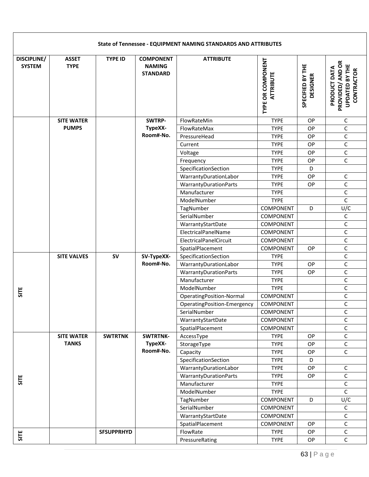|                                     |                             |                   |                                                      | State of Tennessee - EQUIPMENT NAMING STANDARDS AND ATTRIBUTES |                                       |                                     |                                                                         |
|-------------------------------------|-----------------------------|-------------------|------------------------------------------------------|----------------------------------------------------------------|---------------------------------------|-------------------------------------|-------------------------------------------------------------------------|
| <b>DISCIPLINE/</b><br><b>SYSTEM</b> | <b>ASSET</b><br><b>TYPE</b> | <b>TYPE ID</b>    | <b>COMPONENT</b><br><b>NAMING</b><br><b>STANDARD</b> | <b>ATTRIBUTE</b>                                               | TYPE OR COMPONENT<br><b>ATTRIBUTE</b> | SPECIFIED BY THE<br><b>DESIGNER</b> | PROVIDED/ AND OR<br><b>UPDATED BY THE</b><br>PRODUCT DATA<br>CONTRACTOR |
|                                     | <b>SITE WATER</b>           |                   | <b>SWTRP-</b>                                        | FlowRateMin                                                    | <b>TYPE</b>                           | OP                                  | С                                                                       |
|                                     | <b>PUMPS</b>                |                   | TypeXX-                                              | FlowRateMax                                                    | <b>TYPE</b>                           | OP                                  | $\mathsf C$                                                             |
|                                     |                             |                   | Room#-No.                                            | PressureHead                                                   | <b>TYPE</b>                           | <b>OP</b>                           | $\mathsf{C}$                                                            |
|                                     |                             |                   |                                                      | Current                                                        | <b>TYPE</b>                           | <b>OP</b>                           | $\mathsf C$                                                             |
|                                     |                             |                   |                                                      | Voltage                                                        | <b>TYPE</b>                           | OP                                  | $\mathsf C$                                                             |
|                                     |                             |                   |                                                      | Frequency                                                      | <b>TYPE</b>                           | OP                                  | $\mathsf C$                                                             |
|                                     |                             |                   |                                                      | SpecificationSection                                           | <b>TYPE</b>                           | D                                   |                                                                         |
|                                     |                             |                   |                                                      | WarrantyDurationLabor                                          | <b>TYPE</b>                           | OP                                  | С                                                                       |
|                                     |                             |                   |                                                      | WarrantyDurationParts                                          | <b>TYPE</b>                           | <b>OP</b>                           | С                                                                       |
|                                     |                             |                   |                                                      | Manufacturer                                                   | <b>TYPE</b>                           |                                     | С                                                                       |
|                                     |                             |                   |                                                      | ModelNumber                                                    | <b>TYPE</b>                           |                                     | $\mathsf C$                                                             |
|                                     |                             |                   |                                                      | TagNumber                                                      | COMPONENT                             | D                                   | U/C                                                                     |
|                                     |                             |                   |                                                      | SerialNumber                                                   | COMPONENT                             |                                     | $\mathsf C$                                                             |
|                                     |                             |                   |                                                      | WarrantyStartDate                                              | <b>COMPONENT</b>                      |                                     | $\mathsf C$                                                             |
|                                     |                             |                   |                                                      | ElectricalPanelName                                            | COMPONENT                             |                                     | $\mathsf C$                                                             |
|                                     |                             |                   |                                                      | ElectricalPanelCircuit                                         | <b>COMPONENT</b>                      |                                     | $\mathsf C$                                                             |
|                                     |                             |                   |                                                      | SpatialPlacement                                               | COMPONENT                             | OP                                  | $\mathsf C$                                                             |
|                                     | <b>SITE VALVES</b>          | <b>SV</b>         | SV-TypeXX-                                           | SpecificationSection                                           | <b>TYPE</b>                           |                                     | $\mathsf C$                                                             |
|                                     |                             |                   | Room#-No.                                            | WarrantyDurationLabor                                          | <b>TYPE</b>                           | OP                                  | $\mathsf C$                                                             |
|                                     |                             |                   |                                                      | WarrantyDurationParts                                          | <b>TYPE</b>                           | <b>OP</b>                           | С                                                                       |
|                                     |                             |                   |                                                      | Manufacturer                                                   | <b>TYPE</b>                           |                                     | $\mathsf C$                                                             |
| SITE                                |                             |                   |                                                      | ModelNumber                                                    | <b>TYPE</b>                           |                                     | С                                                                       |
|                                     |                             |                   |                                                      | OperatingPosition-Normal                                       | <b>COMPONENT</b>                      |                                     | $\mathsf{C}$                                                            |
|                                     |                             |                   |                                                      | OperatingPosition-Emergency                                    | COMPONENT                             |                                     | C                                                                       |
|                                     |                             |                   |                                                      | SerialNumber                                                   | COMPONENT                             |                                     | $\mathsf C$                                                             |
|                                     |                             |                   |                                                      | WarrantyStartDate                                              | COMPONENT                             |                                     | C                                                                       |
|                                     |                             |                   |                                                      | SpatialPlacement                                               | COMPONENT                             |                                     | $\mathsf C$                                                             |
|                                     | <b>SITE WATER</b>           | <b>SWTRTNK</b>    | <b>SWTRTNK-</b>                                      | AccessType                                                     | <b>TYPE</b>                           | OP                                  | $\mathsf C$                                                             |
|                                     | <b>TANKS</b>                |                   | TypeXX-                                              | StorageType                                                    | <b>TYPE</b>                           | OP                                  | C                                                                       |
|                                     |                             |                   | Room#-No.                                            | Capacity                                                       | <b>TYPE</b>                           | OP                                  | C                                                                       |
|                                     |                             |                   |                                                      | SpecificationSection                                           | <b>TYPE</b>                           | D                                   |                                                                         |
|                                     |                             |                   |                                                      | WarrantyDurationLabor                                          | <b>TYPE</b>                           | OP                                  | $\mathsf C$                                                             |
| SITE                                |                             |                   |                                                      | WarrantyDurationParts                                          | <b>TYPE</b>                           | OP                                  | С                                                                       |
|                                     |                             |                   |                                                      | Manufacturer                                                   | <b>TYPE</b>                           |                                     | С                                                                       |
|                                     |                             |                   |                                                      | ModelNumber                                                    | <b>TYPE</b>                           |                                     | C                                                                       |
|                                     |                             |                   |                                                      | TagNumber                                                      | COMPONENT                             | D                                   | U/C                                                                     |
|                                     |                             |                   |                                                      | SerialNumber                                                   | COMPONENT                             |                                     | С                                                                       |
|                                     |                             |                   |                                                      | WarrantyStartDate                                              | COMPONENT                             |                                     | C                                                                       |
|                                     |                             |                   |                                                      | SpatialPlacement                                               | COMPONENT                             | OP                                  | C                                                                       |
| SITE                                |                             | <b>SFSUPPRHYD</b> |                                                      | FlowRate                                                       | <b>TYPE</b>                           | OP                                  | C                                                                       |
|                                     |                             |                   |                                                      | PressureRating                                                 | <b>TYPE</b>                           | OP                                  | $\mathsf C$                                                             |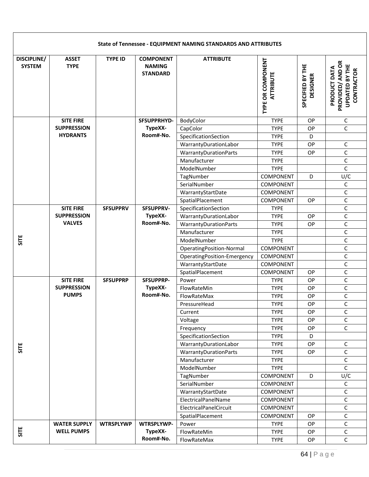|                              | State of Tennessee - EQUIPMENT NAMING STANDARDS AND ATTRIBUTES |                  |                                                      |                              |                                       |                                     |                                                                                |  |  |  |
|------------------------------|----------------------------------------------------------------|------------------|------------------------------------------------------|------------------------------|---------------------------------------|-------------------------------------|--------------------------------------------------------------------------------|--|--|--|
| DISCIPLINE/<br><b>SYSTEM</b> | <b>ASSET</b><br><b>TYPE</b>                                    | <b>TYPE ID</b>   | <b>COMPONENT</b><br><b>NAMING</b><br><b>STANDARD</b> | <b>ATTRIBUTE</b>             | TYPE OR COMPONENT<br><b>ATTRIBUTE</b> | SPECIFIED BY THE<br><b>DESIGNER</b> | PROVIDED/ AND OR<br><b>UPDATED BY THE</b><br>PRODUCT DATA<br><b>CONTRACTOR</b> |  |  |  |
|                              | <b>SITE FIRE</b>                                               |                  | SFSUPPRHYD-                                          | BodyColor                    | <b>TYPE</b>                           | OP                                  | $\mathsf C$                                                                    |  |  |  |
|                              | <b>SUPPRESSION</b>                                             |                  | TypeXX-                                              | CapColor                     | <b>TYPE</b>                           | OP                                  | $\mathsf{C}$                                                                   |  |  |  |
|                              | <b>HYDRANTS</b>                                                |                  | Room#-No.                                            | SpecificationSection         | <b>TYPE</b>                           | D                                   |                                                                                |  |  |  |
|                              |                                                                |                  |                                                      | WarrantyDurationLabor        | <b>TYPE</b>                           | OP                                  | $\mathsf C$                                                                    |  |  |  |
|                              |                                                                |                  |                                                      | WarrantyDurationParts        | <b>TYPE</b>                           | OP                                  | $\mathsf C$                                                                    |  |  |  |
|                              |                                                                |                  |                                                      | Manufacturer                 | <b>TYPE</b>                           |                                     | $\mathsf C$                                                                    |  |  |  |
|                              |                                                                |                  |                                                      | ModelNumber                  | <b>TYPE</b>                           |                                     | $\mathsf C$                                                                    |  |  |  |
|                              |                                                                |                  |                                                      | TagNumber                    | COMPONENT                             | D                                   | U/C                                                                            |  |  |  |
|                              |                                                                |                  |                                                      | SerialNumber                 | COMPONENT                             |                                     | C                                                                              |  |  |  |
|                              |                                                                |                  |                                                      | WarrantyStartDate            | COMPONENT                             |                                     | $\mathsf C$                                                                    |  |  |  |
|                              |                                                                |                  |                                                      | SpatialPlacement             | COMPONENT                             | OP                                  | $\mathsf C$                                                                    |  |  |  |
|                              | <b>SITE FIRE</b>                                               | <b>SFSUPPRV</b>  | <b>SFSUPPRV-</b>                                     | SpecificationSection         | <b>TYPE</b>                           |                                     | $\mathsf C$                                                                    |  |  |  |
|                              | <b>SUPPRESSION</b>                                             |                  | TypeXX-                                              | WarrantyDurationLabor        | <b>TYPE</b>                           | <b>OP</b>                           | C                                                                              |  |  |  |
|                              | <b>VALVES</b>                                                  |                  | Room#-No.                                            | WarrantyDurationParts        | <b>TYPE</b>                           | OP                                  | $\mathsf C$                                                                    |  |  |  |
|                              |                                                                |                  |                                                      | Manufacturer                 | <b>TYPE</b>                           |                                     | $\mathsf C$                                                                    |  |  |  |
| SITE                         |                                                                |                  |                                                      | ModelNumber                  | <b>TYPE</b>                           |                                     | $\mathsf C$                                                                    |  |  |  |
|                              |                                                                |                  |                                                      | OperatingPosition-Normal     | COMPONENT                             |                                     | $\mathsf C$                                                                    |  |  |  |
|                              |                                                                |                  |                                                      | OperatingPosition-Emergency  | COMPONENT                             |                                     | C                                                                              |  |  |  |
|                              |                                                                |                  |                                                      | WarrantyStartDate            | COMPONENT                             |                                     | C                                                                              |  |  |  |
|                              |                                                                |                  |                                                      | SpatialPlacement             | <b>COMPONENT</b>                      | OP                                  | $\mathsf C$                                                                    |  |  |  |
|                              | <b>SITE FIRE</b><br><b>SUPPRESSION</b>                         | <b>SFSUPPRP</b>  | <b>SFSUPPRP-</b><br>TypeXX-                          | Power                        | <b>TYPE</b><br><b>TYPE</b>            | <b>OP</b>                           | $\mathsf C$                                                                    |  |  |  |
|                              | <b>PUMPS</b>                                                   |                  | Room#-No.                                            | FlowRateMin<br>FlowRateMax   | <b>TYPE</b>                           | OP<br>OP                            | $\mathsf C$<br>$\mathsf C$                                                     |  |  |  |
|                              |                                                                |                  |                                                      | PressureHead                 | <b>TYPE</b>                           | OP                                  | C                                                                              |  |  |  |
|                              |                                                                |                  |                                                      | Current                      | <b>TYPE</b>                           | OP                                  | $\mathsf C$                                                                    |  |  |  |
|                              |                                                                |                  |                                                      | Voltage                      | <b>TYPE</b>                           | OP                                  | $\mathsf C$                                                                    |  |  |  |
|                              |                                                                |                  |                                                      | Frequency                    | <b>TYPE</b>                           | OP                                  | C                                                                              |  |  |  |
|                              |                                                                |                  |                                                      | SpecificationSection         | <b>TYPE</b>                           | D                                   |                                                                                |  |  |  |
|                              |                                                                |                  |                                                      | WarrantyDurationLabor        | <b>TYPE</b>                           | OP                                  | C                                                                              |  |  |  |
| SITE                         |                                                                |                  |                                                      | <b>WarrantyDurationParts</b> | <b>TYPE</b>                           | OP                                  | $\mathsf C$                                                                    |  |  |  |
|                              |                                                                |                  |                                                      | Manufacturer                 | <b>TYPE</b>                           |                                     | $\mathsf C$                                                                    |  |  |  |
|                              |                                                                |                  |                                                      | ModelNumber                  | <b>TYPE</b>                           |                                     | $\mathsf C$                                                                    |  |  |  |
|                              |                                                                |                  |                                                      | TagNumber                    | COMPONENT                             | D                                   | U/C                                                                            |  |  |  |
|                              |                                                                |                  |                                                      | SerialNumber                 | COMPONENT                             |                                     | C                                                                              |  |  |  |
|                              |                                                                |                  |                                                      | WarrantyStartDate            | COMPONENT                             |                                     | $\mathsf C$                                                                    |  |  |  |
|                              |                                                                |                  |                                                      | ElectricalPanelName          | COMPONENT                             |                                     | $\mathsf C$                                                                    |  |  |  |
|                              |                                                                |                  |                                                      | ElectricalPanelCircuit       | COMPONENT                             |                                     | $\mathsf C$                                                                    |  |  |  |
|                              |                                                                |                  |                                                      | SpatialPlacement             | COMPONENT                             | OP                                  | $\mathsf C$                                                                    |  |  |  |
|                              | <b>WATER SUPPLY</b>                                            | <b>WTRSPLYWP</b> | <b>WTRSPLYWP-</b>                                    | Power                        | <b>TYPE</b>                           | OP                                  | $\mathsf C$                                                                    |  |  |  |
| SITE                         | <b>WELL PUMPS</b>                                              |                  | TypeXX-                                              | FlowRateMin                  | <b>TYPE</b>                           | OP                                  | $\mathsf C$                                                                    |  |  |  |
|                              |                                                                |                  | Room#-No.                                            | FlowRateMax                  | <b>TYPE</b>                           | OP                                  | C                                                                              |  |  |  |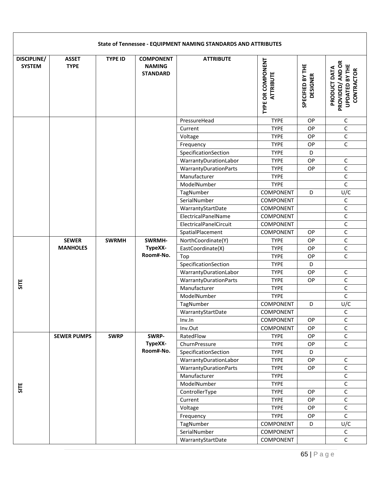|                                     |                             |                |                                                      | State of Tennessee - EQUIPMENT NAMING STANDARDS AND ATTRIBUTES |                                       |                                     |                                                                                |
|-------------------------------------|-----------------------------|----------------|------------------------------------------------------|----------------------------------------------------------------|---------------------------------------|-------------------------------------|--------------------------------------------------------------------------------|
| <b>DISCIPLINE/</b><br><b>SYSTEM</b> | <b>ASSET</b><br><b>TYPE</b> | <b>TYPE ID</b> | <b>COMPONENT</b><br><b>NAMING</b><br><b>STANDARD</b> | <b>ATTRIBUTE</b>                                               | TYPE OR COMPONENT<br><b>ATTRIBUTE</b> | SPECIFIED BY THE<br><b>DESIGNER</b> | PROVIDED/ AND OR<br><b>UPDATED BY THE</b><br>PRODUCT DATA<br><b>CONTRACTOR</b> |
|                                     |                             |                |                                                      | PressureHead                                                   | <b>TYPE</b>                           | OP                                  | C                                                                              |
|                                     |                             |                |                                                      | Current                                                        | <b>TYPE</b>                           | <b>OP</b>                           | $\mathsf{C}$                                                                   |
|                                     |                             |                |                                                      | Voltage                                                        | <b>TYPE</b>                           | <b>OP</b>                           | $\mathsf C$                                                                    |
|                                     |                             |                |                                                      | Frequency                                                      | <b>TYPE</b>                           | <b>OP</b>                           | C                                                                              |
|                                     |                             |                |                                                      | SpecificationSection                                           | <b>TYPE</b>                           | D                                   |                                                                                |
|                                     |                             |                |                                                      | WarrantyDurationLabor                                          | <b>TYPE</b>                           | OP                                  | $\mathsf C$                                                                    |
|                                     |                             |                |                                                      | WarrantyDurationParts                                          | <b>TYPE</b>                           | <b>OP</b>                           | $\mathsf C$                                                                    |
|                                     |                             |                |                                                      | Manufacturer                                                   | <b>TYPE</b>                           |                                     | $\mathsf C$                                                                    |
|                                     |                             |                |                                                      | ModelNumber                                                    | <b>TYPE</b>                           |                                     | $\mathsf{C}$                                                                   |
|                                     |                             |                |                                                      | TagNumber                                                      | COMPONENT                             | D                                   | U/C                                                                            |
|                                     |                             |                |                                                      | SerialNumber                                                   | <b>COMPONENT</b>                      |                                     | $\mathsf C$                                                                    |
|                                     |                             |                |                                                      | WarrantyStartDate                                              | COMPONENT                             |                                     | $\mathsf C$                                                                    |
|                                     |                             |                |                                                      | ElectricalPanelName                                            | COMPONENT                             |                                     | $\mathsf C$                                                                    |
|                                     |                             |                |                                                      | ElectricalPanelCircuit                                         | COMPONENT                             |                                     | $\mathsf C$                                                                    |
|                                     |                             |                |                                                      | SpatialPlacement                                               | <b>COMPONENT</b>                      | OP                                  | $\mathsf C$                                                                    |
|                                     | <b>SEWER</b>                | <b>SWRMH</b>   | SWRMH-                                               | NorthCoordinate(Y)                                             | <b>TYPE</b>                           | OP                                  | $\mathsf C$                                                                    |
|                                     | <b>MANHOLES</b>             |                | TypeXX-                                              | EastCoordinate(X)                                              | <b>TYPE</b>                           | <b>OP</b>                           | С                                                                              |
|                                     |                             |                | Room#-No.                                            | Top                                                            | <b>TYPE</b>                           | OP                                  | $\mathsf C$                                                                    |
|                                     |                             |                |                                                      | SpecificationSection                                           | <b>TYPE</b>                           | D                                   |                                                                                |
|                                     |                             |                |                                                      | WarrantyDurationLabor                                          | <b>TYPE</b>                           | OP                                  | С                                                                              |
| SITE                                |                             |                |                                                      | WarrantyDurationParts                                          | <b>TYPE</b>                           | <b>OP</b>                           | $\mathsf C$                                                                    |
|                                     |                             |                |                                                      | Manufacturer                                                   | <b>TYPE</b>                           |                                     | $\mathsf C$                                                                    |
|                                     |                             |                |                                                      | ModelNumber                                                    | <b>TYPE</b>                           |                                     | $\mathsf C$                                                                    |
|                                     |                             |                |                                                      | TagNumber                                                      | COMPONENT                             | D                                   | U/C                                                                            |
|                                     |                             |                |                                                      | WarrantyStartDate                                              | COMPONENT                             |                                     | $\mathsf C$                                                                    |
|                                     |                             |                |                                                      | Inv.In                                                         | COMPONENT                             | <b>OP</b>                           | $\mathsf C$                                                                    |
|                                     |                             |                |                                                      | Inv.Out                                                        | COMPONENT                             | OP                                  | $\mathsf C$                                                                    |
|                                     | <b>SEWER PUMPS</b>          | <b>SWRP</b>    | SWRP-<br>TypeXX-                                     | RatedFlow<br>ChurnPressure                                     | <b>TYPE</b><br><b>TYPE</b>            | OP                                  | С<br>$\mathsf C$                                                               |
|                                     |                             |                | Room#-No.                                            | SpecificationSection                                           | <b>TYPE</b>                           | OP<br>D                             |                                                                                |
|                                     |                             |                |                                                      | WarrantyDurationLabor                                          | <b>TYPE</b>                           | OP                                  | $\mathsf C$                                                                    |
|                                     |                             |                |                                                      | <b>WarrantyDurationParts</b>                                   | <b>TYPE</b>                           | OP                                  | С                                                                              |
|                                     |                             |                |                                                      | Manufacturer                                                   | <b>TYPE</b>                           |                                     | C                                                                              |
|                                     |                             |                |                                                      | ModelNumber                                                    | <b>TYPE</b>                           |                                     | С                                                                              |
| SITE                                |                             |                |                                                      | ControllerType                                                 | <b>TYPE</b>                           | OP                                  | C                                                                              |
|                                     |                             |                |                                                      | Current                                                        | <b>TYPE</b>                           | OP                                  | $\mathsf C$                                                                    |
|                                     |                             |                |                                                      | Voltage                                                        | <b>TYPE</b>                           | OP                                  | $\mathsf C$                                                                    |
|                                     |                             |                |                                                      | Frequency                                                      | <b>TYPE</b>                           | OP                                  | $\mathsf C$                                                                    |
|                                     |                             |                |                                                      | TagNumber                                                      | COMPONENT                             | D                                   | U/C                                                                            |
|                                     |                             |                |                                                      | SerialNumber                                                   | COMPONENT                             |                                     | $\mathsf C$                                                                    |
|                                     |                             |                |                                                      | WarrantyStartDate                                              | COMPONENT                             |                                     | $\mathsf C$                                                                    |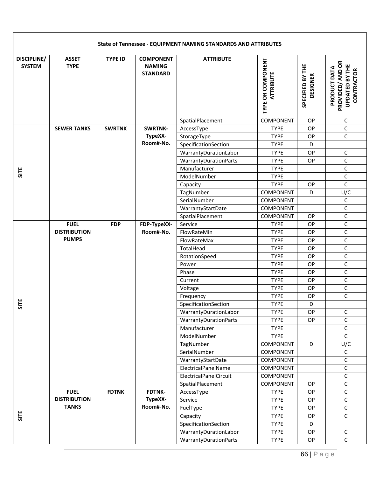|                              |                             |                |                                                      | State of Tennessee - EQUIPMENT NAMING STANDARDS AND ATTRIBUTES |                                       |                                     |                                                                                |
|------------------------------|-----------------------------|----------------|------------------------------------------------------|----------------------------------------------------------------|---------------------------------------|-------------------------------------|--------------------------------------------------------------------------------|
| DISCIPLINE/<br><b>SYSTEM</b> | <b>ASSET</b><br><b>TYPE</b> | <b>TYPE ID</b> | <b>COMPONENT</b><br><b>NAMING</b><br><b>STANDARD</b> | <b>ATTRIBUTE</b>                                               | TYPE OR COMPONENT<br><b>ATTRIBUTE</b> | SPECIFIED BY THE<br><b>DESIGNER</b> | PROVIDED/ AND OR<br><b>UPDATED BY THE</b><br>PRODUCT DATA<br><b>CONTRACTOR</b> |
|                              |                             |                |                                                      | SpatialPlacement                                               | <b>COMPONENT</b>                      | OP                                  | $\mathsf C$                                                                    |
|                              | <b>SEWER TANKS</b>          | <b>SWRTNK</b>  | <b>SWRTNK-</b>                                       | AccessType                                                     | <b>TYPE</b>                           | OP                                  | $\mathsf C$                                                                    |
|                              |                             |                | TypeXX-                                              | StorageType                                                    | <b>TYPE</b>                           | OP                                  | $\mathsf C$                                                                    |
|                              |                             |                | Room#-No.                                            | SpecificationSection                                           | <b>TYPE</b>                           | D                                   |                                                                                |
|                              |                             |                |                                                      | WarrantyDurationLabor                                          | <b>TYPE</b>                           | OP                                  | C                                                                              |
|                              |                             |                |                                                      | WarrantyDurationParts                                          | <b>TYPE</b>                           | <b>OP</b>                           | $\mathsf C$                                                                    |
| SITE                         |                             |                |                                                      | Manufacturer                                                   | <b>TYPE</b>                           |                                     | $\mathsf C$                                                                    |
|                              |                             |                |                                                      | ModelNumber                                                    | <b>TYPE</b>                           |                                     | $\mathsf C$                                                                    |
|                              |                             |                |                                                      | Capacity                                                       | <b>TYPE</b>                           | <b>OP</b>                           | $\mathsf C$                                                                    |
|                              |                             |                |                                                      | TagNumber                                                      | <b>COMPONENT</b>                      | D                                   | U/C                                                                            |
|                              |                             |                |                                                      | SerialNumber                                                   | <b>COMPONENT</b>                      |                                     | C                                                                              |
|                              |                             |                |                                                      | WarrantyStartDate                                              | <b>COMPONENT</b>                      |                                     | $\mathsf C$                                                                    |
|                              |                             |                |                                                      | SpatialPlacement                                               | <b>COMPONENT</b>                      | OP                                  | $\mathsf C$                                                                    |
|                              | <b>FUEL</b>                 | <b>FDP</b>     | FDP-TypeXX-                                          | Service                                                        | <b>TYPE</b>                           | OP                                  | $\mathsf C$                                                                    |
|                              | <b>DISTRIBUTION</b>         |                | Room#-No.                                            | FlowRateMin                                                    | <b>TYPE</b>                           | OP                                  | $\mathsf C$                                                                    |
|                              | <b>PUMPS</b>                |                |                                                      | FlowRateMax                                                    | <b>TYPE</b>                           | OP                                  | $\mathsf C$                                                                    |
|                              |                             |                |                                                      | TotalHead                                                      | <b>TYPE</b>                           | <b>OP</b>                           | $\mathsf C$                                                                    |
|                              |                             |                |                                                      | RotationSpeed                                                  | <b>TYPE</b>                           | OP                                  | С                                                                              |
|                              |                             |                |                                                      | Power                                                          | <b>TYPE</b>                           | OP                                  | $\mathsf C$                                                                    |
|                              |                             |                |                                                      | Phase                                                          | <b>TYPE</b>                           | OP                                  | $\mathsf{C}$                                                                   |
|                              |                             |                |                                                      | Current                                                        | <b>TYPE</b>                           | OP                                  | $\mathsf C$                                                                    |
|                              |                             |                |                                                      | Voltage                                                        | <b>TYPE</b>                           | OP                                  | $\mathsf{C}$                                                                   |
| ٣                            |                             |                |                                                      | Frequency                                                      | <b>TYPE</b>                           | OP                                  | $\mathsf C$                                                                    |
| ភ                            |                             |                |                                                      | SpecificationSection                                           | <b>TYPE</b>                           | D                                   |                                                                                |
|                              |                             |                |                                                      | WarrantyDurationLabor                                          | <b>TYPE</b>                           | <b>OP</b>                           | $\mathsf C$                                                                    |
|                              |                             |                |                                                      | WarrantyDurationParts                                          | <b>TYPE</b>                           | OP                                  | $\mathsf C$                                                                    |
|                              |                             |                |                                                      | Manufacturer                                                   | <b>TYPE</b>                           |                                     | $\mathsf C$                                                                    |
|                              |                             |                |                                                      | ModelNumber                                                    | <b>TYPE</b>                           |                                     | $\mathsf C$                                                                    |
|                              |                             |                |                                                      | TagNumber                                                      | COMPONENT                             | D                                   | U/C                                                                            |
|                              |                             |                |                                                      | SerialNumber                                                   | <b>COMPONENT</b>                      |                                     | С                                                                              |
|                              |                             |                |                                                      | WarrantyStartDate<br>ElectricalPanelName                       | COMPONENT<br><b>COMPONENT</b>         |                                     | C<br>$\mathsf C$                                                               |
|                              |                             |                |                                                      | ElectricalPanelCircuit                                         | COMPONENT                             |                                     |                                                                                |
|                              |                             |                |                                                      |                                                                | COMPONENT                             | OP                                  | С<br>$\mathsf C$                                                               |
|                              | <b>FUEL</b>                 | <b>FDTNK</b>   | FDTNK-                                               | SpatialPlacement<br>AccessType                                 | <b>TYPE</b>                           | <b>OP</b>                           | $\mathsf C$                                                                    |
|                              | <b>DISTRIBUTION</b>         |                | TypeXX-                                              | Service                                                        | <b>TYPE</b>                           | OP                                  | С                                                                              |
|                              | <b>TANKS</b>                |                | Room#-No.                                            | FuelType                                                       | <b>TYPE</b>                           | OP                                  | $\mathsf C$                                                                    |
| SITE                         |                             |                |                                                      | Capacity                                                       | <b>TYPE</b>                           | OP                                  | $\mathsf C$                                                                    |
|                              |                             |                |                                                      | SpecificationSection                                           | <b>TYPE</b>                           | D                                   |                                                                                |
|                              |                             |                |                                                      | WarrantyDurationLabor                                          | <b>TYPE</b>                           | OP                                  | $\mathsf C$                                                                    |
|                              |                             |                |                                                      | WarrantyDurationParts                                          | <b>TYPE</b>                           | OP                                  | С                                                                              |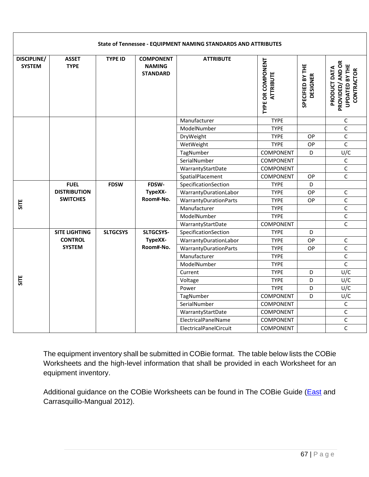| DISCIPLINE/   | <b>ASSET</b>         | <b>TYPE ID</b>  | <b>COMPONENT</b>                 | <b>ATTRIBUTE</b>       |                                       |                                     |                                                                         |
|---------------|----------------------|-----------------|----------------------------------|------------------------|---------------------------------------|-------------------------------------|-------------------------------------------------------------------------|
| <b>SYSTEM</b> | <b>TYPE</b>          |                 | <b>NAMING</b><br><b>STANDARD</b> |                        | TYPE OR COMPONENT<br><b>ATTRIBUTE</b> | SPECIFIED BY THE<br><b>DESIGNER</b> | PROVIDED/ AND OR<br><b>UPDATED BY THE</b><br>PRODUCT DATA<br>CONTRACTOR |
|               |                      |                 |                                  | Manufacturer           | <b>TYPE</b>                           |                                     | $\mathsf C$                                                             |
|               |                      |                 |                                  | ModelNumber            | <b>TYPE</b>                           |                                     | $\mathsf C$                                                             |
|               |                      |                 |                                  | DryWeight              | <b>TYPE</b>                           | OP                                  | $\mathsf C$                                                             |
|               |                      |                 |                                  | WetWeight              | <b>TYPE</b>                           | OP                                  | $\mathsf C$                                                             |
|               |                      |                 |                                  | TagNumber              | COMPONENT                             | D                                   | U/C                                                                     |
|               |                      |                 |                                  | SerialNumber           | COMPONENT                             |                                     | $\mathsf C$                                                             |
|               |                      |                 |                                  | WarrantyStartDate      | <b>COMPONENT</b>                      |                                     | $\mathsf C$                                                             |
|               |                      |                 |                                  | SpatialPlacement       | <b>COMPONENT</b>                      | OP                                  | $\mathsf C$                                                             |
|               | <b>FUEL</b>          | <b>FDSW</b>     | FDSW-                            | SpecificationSection   | <b>TYPE</b>                           | D                                   |                                                                         |
|               | <b>DISTRIBUTION</b>  |                 | TypeXX-                          | WarrantyDurationLabor  | <b>TYPE</b>                           | OP                                  | C                                                                       |
| SITE          | <b>SWITCHES</b>      |                 | Room#-No.                        | WarrantyDurationParts  | <b>TYPE</b>                           | OP                                  | $\mathsf C$                                                             |
|               |                      |                 |                                  | Manufacturer           | <b>TYPE</b>                           |                                     | $\mathsf C$                                                             |
|               |                      |                 |                                  | ModelNumber            | <b>TYPE</b>                           |                                     | $\mathsf C$                                                             |
|               |                      |                 |                                  | WarrantyStartDate      | COMPONENT                             |                                     | $\mathsf C$                                                             |
|               | <b>SITE LIGHTING</b> | <b>SLTGCSYS</b> | SLTGCSYS-                        | SpecificationSection   | <b>TYPE</b>                           | D                                   |                                                                         |
|               | <b>CONTROL</b>       |                 | TypeXX-                          | WarrantyDurationLabor  | <b>TYPE</b>                           | OP                                  | $\mathsf C$                                                             |
|               | <b>SYSTEM</b>        |                 | Room#-No.                        | WarrantyDurationParts  | <b>TYPE</b>                           | OP                                  | $\overline{C}$                                                          |
|               |                      |                 |                                  | Manufacturer           | <b>TYPE</b>                           |                                     | $\mathsf C$                                                             |
|               |                      |                 |                                  | ModelNumber            | <b>TYPE</b>                           |                                     | $\overline{C}$                                                          |
|               |                      |                 |                                  | Current                | <b>TYPE</b>                           | D                                   | U/C                                                                     |
| SITE          |                      |                 |                                  | Voltage                | <b>TYPE</b>                           | D                                   | U/C                                                                     |
|               |                      |                 |                                  | Power                  | <b>TYPE</b>                           | D                                   | U/C                                                                     |
|               |                      |                 |                                  | TagNumber              | COMPONENT                             | D                                   | U/C                                                                     |
|               |                      |                 |                                  | SerialNumber           | COMPONENT                             |                                     | $\mathsf C$                                                             |
|               |                      |                 |                                  | WarrantyStartDate      | COMPONENT                             |                                     | $\mathsf C$                                                             |
|               |                      |                 |                                  | ElectricalPanelName    | COMPONENT                             |                                     | $\mathsf C$                                                             |
|               |                      |                 |                                  | ElectricalPanelCircuit | COMPONENT                             |                                     | $\overline{c}$                                                          |

The equipment inventory shall be submitted in COBie format. The table below lists the COBie Worksheets and the high-level information that shall be provided in each Worksheet for an equipment inventory.

Additional guidance on the COBie Worksheets can be found in The COBie Guide (East and Carrasquillo-Mangual 2012).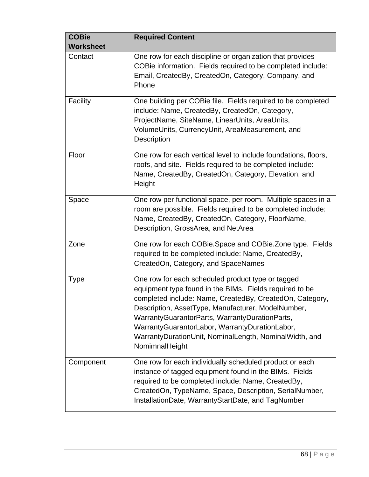| <b>COBie</b><br><b>Worksheet</b> | <b>Required Content</b>                                                                                                                                                                                                                                                                                                                                                                                        |
|----------------------------------|----------------------------------------------------------------------------------------------------------------------------------------------------------------------------------------------------------------------------------------------------------------------------------------------------------------------------------------------------------------------------------------------------------------|
| Contact                          | One row for each discipline or organization that provides<br>COBie information. Fields required to be completed include:<br>Email, CreatedBy, CreatedOn, Category, Company, and<br>Phone                                                                                                                                                                                                                       |
| Facility                         | One building per COBie file. Fields required to be completed<br>include: Name, CreatedBy, CreatedOn, Category,<br>ProjectName, SiteName, LinearUnits, AreaUnits,<br>VolumeUnits, CurrencyUnit, AreaMeasurement, and<br>Description                                                                                                                                                                             |
| Floor                            | One row for each vertical level to include foundations, floors,<br>roofs, and site. Fields required to be completed include:<br>Name, CreatedBy, CreatedOn, Category, Elevation, and<br>Height                                                                                                                                                                                                                 |
| Space                            | One row per functional space, per room. Multiple spaces in a<br>room are possible. Fields required to be completed include:<br>Name, CreatedBy, CreatedOn, Category, FloorName,<br>Description, GrossArea, and NetArea                                                                                                                                                                                         |
| Zone                             | One row for each COBie. Space and COBie. Zone type. Fields<br>required to be completed include: Name, CreatedBy,<br>CreatedOn, Category, and SpaceNames                                                                                                                                                                                                                                                        |
| <b>Type</b>                      | One row for each scheduled product type or tagged<br>equipment type found in the BIMs. Fields required to be<br>completed include: Name, CreatedBy, CreatedOn, Category,<br>Description, AssetType, Manufacturer, ModelNumber,<br>WarrantyGuarantorParts, WarrantyDurationParts,<br>WarrantyGuarantorLabor, WarrantyDurationLabor,<br>WarrantyDurationUnit, NominalLength, NominalWidth, and<br>NomimnalHeight |
| Component                        | One row for each individually scheduled product or each<br>instance of tagged equipment found in the BIMs. Fields<br>required to be completed include: Name, CreatedBy,<br>CreatedOn, TypeName, Space, Description, SerialNumber,<br>InstallationDate, WarrantyStartDate, and TagNumber                                                                                                                        |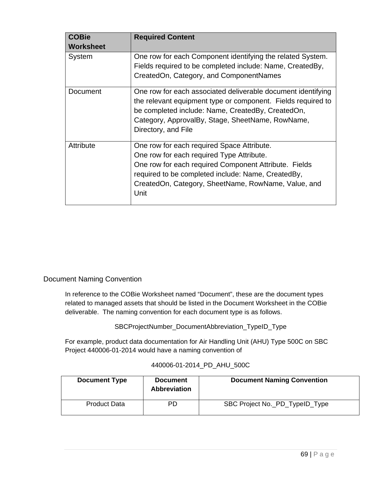| <b>COBie</b>     | <b>Required Content</b>                                                                                                                                                                                                                                               |  |
|------------------|-----------------------------------------------------------------------------------------------------------------------------------------------------------------------------------------------------------------------------------------------------------------------|--|
| <b>Worksheet</b> |                                                                                                                                                                                                                                                                       |  |
| System           | One row for each Component identifying the related System.<br>Fields required to be completed include: Name, CreatedBy,<br>CreatedOn, Category, and ComponentNames                                                                                                    |  |
| Document         | One row for each associated deliverable document identifying<br>the relevant equipment type or component. Fields required to<br>be completed include: Name, CreatedBy, CreatedOn,<br>Category, ApprovalBy, Stage, SheetName, RowName,<br>Directory, and File          |  |
| <b>Attribute</b> | One row for each required Space Attribute.<br>One row for each required Type Attribute.<br>One row for each required Component Attribute. Fields<br>required to be completed include: Name, CreatedBy,<br>CreatedOn, Category, SheetName, RowName, Value, and<br>Unit |  |

### Document Naming Convention

In reference to the COBie Worksheet named "Document", these are the document types related to managed assets that should be listed in the Document Worksheet in the COBie deliverable. The naming convention for each document type is as follows.

SBCProjectNumber\_DocumentAbbreviation\_TypeID\_Type

For example, product data documentation for Air Handling Unit (AHU) Type 500C on SBC Project 440006-01-2014 would have a naming convention of

#### 440006-01-2014\_PD\_AHU\_500C

| <b>Document Type</b> | <b>Document</b><br><b>Abbreviation</b> | <b>Document Naming Convention</b> |
|----------------------|----------------------------------------|-----------------------------------|
| <b>Product Data</b>  | PD                                     | SBC Project No._PD_TypeID_Type    |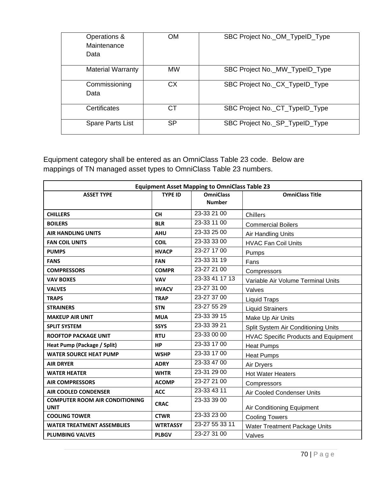| Operations &<br>Maintenance<br>Data | <b>OM</b> | SBC Project No._OM_TypeID_Type |
|-------------------------------------|-----------|--------------------------------|
| <b>Material Warranty</b>            | <b>MW</b> | SBC Project No._MW_TypeID_Type |
| Commissioning<br>Data               | СX        | SBC Project No._CX_TypeID_Type |
| Certificates                        | CТ        | SBC Project No._CT_TypeID_Type |
| <b>Spare Parts List</b>             | <b>SP</b> | SBC Project No._SP_TypeID_Type |

Equipment category shall be entered as an OmniClass Table 23 code. Below are mappings of TN managed asset types to OmniClass Table 23 numbers.

| <b>Equipment Asset Mapping to OmniClass Table 23</b> |                 |                                   |                                             |  |  |
|------------------------------------------------------|-----------------|-----------------------------------|---------------------------------------------|--|--|
| <b>ASSET TYPE</b>                                    | <b>TYPE ID</b>  | <b>OmniClass</b><br><b>Number</b> | <b>OmniClass Title</b>                      |  |  |
| <b>CHILLERS</b>                                      | <b>CH</b>       | 23-33 21 00                       | Chillers                                    |  |  |
| <b>BOILERS</b>                                       | <b>BLR</b>      | 23-33 11 00                       | <b>Commercial Boilers</b>                   |  |  |
| <b>AIR HANDLING UNITS</b>                            | <b>AHU</b>      | 23-33 25 00                       | Air Handling Units                          |  |  |
| <b>FAN COIL UNITS</b>                                | <b>COIL</b>     | 23-33 33 00                       | <b>HVAC Fan Coil Units</b>                  |  |  |
| <b>PUMPS</b>                                         | <b>HVACP</b>    | 23-27 17 00                       | Pumps                                       |  |  |
| <b>FANS</b>                                          | <b>FAN</b>      | 23-33 31 19                       | Fans                                        |  |  |
| <b>COMPRESSORS</b>                                   | <b>COMPR</b>    | 23-27 21 00                       | Compressors                                 |  |  |
| <b>VAV BOXES</b>                                     | <b>VAV</b>      | 23-33 41 17 13                    | Variable Air Volume Terminal Units          |  |  |
| <b>VALVES</b>                                        | <b>HVACV</b>    | 23-27 31 00                       | Valves                                      |  |  |
| <b>TRAPS</b>                                         | <b>TRAP</b>     | 23-27 37 00                       | <b>Liquid Traps</b>                         |  |  |
| <b>STRAINERS</b>                                     | <b>STN</b>      | 23-27 55 29                       | <b>Liquid Strainers</b>                     |  |  |
| <b>MAKEUP AIR UNIT</b>                               | <b>MUA</b>      | 23-33 39 15                       | Make Up Air Units                           |  |  |
| <b>SPLIT SYSTEM</b>                                  | <b>SSYS</b>     | 23-33 39 21                       | Split System Air Conditioning Units         |  |  |
| <b>ROOFTOP PACKAGE UNIT</b>                          | <b>RTU</b>      | 23-33 00 00                       | <b>HVAC Specific Products and Equipment</b> |  |  |
| Heat Pump (Package / Split)                          | <b>HP</b>       | 23-33 17 00                       | <b>Heat Pumps</b>                           |  |  |
| <b>WATER SOURCE HEAT PUMP</b>                        | <b>WSHP</b>     | 23-33 17 00                       | <b>Heat Pumps</b>                           |  |  |
| <b>AIR DRYER</b>                                     | <b>ADRY</b>     | 23-33 47 00                       | Air Dryers                                  |  |  |
| <b>WATER HEATER</b>                                  | <b>WHTR</b>     | 23-31 29 00                       | <b>Hot Water Heaters</b>                    |  |  |
| <b>AIR COMPRESSORS</b>                               | <b>ACOMP</b>    | 23-27 21 00                       | Compressors                                 |  |  |
| <b>AIR COOLED CONDENSER</b>                          | <b>ACC</b>      | 23-33 43 11                       | Air Cooled Condenser Units                  |  |  |
| <b>COMPUTER ROOM AIR CONDITIONING</b><br><b>UNIT</b> | <b>CRAC</b>     | 23-33 39 00                       | Air Conditioning Equipment                  |  |  |
| <b>COOLING TOWER</b>                                 | <b>CTWR</b>     | 23-33 23 00                       | <b>Cooling Towers</b>                       |  |  |
| <b>WATER TREATMENT ASSEMBLIES</b>                    | <b>WTRTASSY</b> | 23-27 55 33 11                    | Water Treatment Package Units               |  |  |
| <b>PLUMBING VALVES</b>                               | <b>PLBGV</b>    | 23-27 31 00                       | Valves                                      |  |  |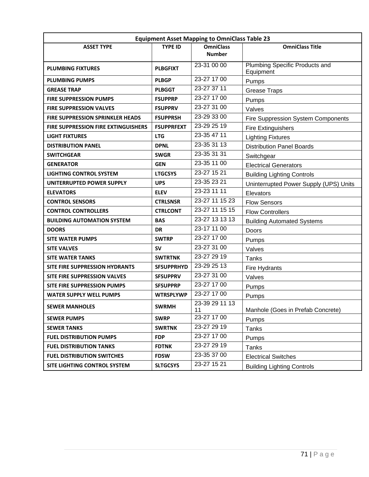| <b>Equipment Asset Mapping to OmniClass Table 23</b> |                   |                      |                                             |  |  |
|------------------------------------------------------|-------------------|----------------------|---------------------------------------------|--|--|
| <b>ASSET TYPE</b>                                    | <b>TYPE ID</b>    | <b>OmniClass</b>     | <b>OmniClass Title</b>                      |  |  |
|                                                      |                   | <b>Number</b>        |                                             |  |  |
| <b>PLUMBING FIXTURES</b>                             | <b>PLBGFIXT</b>   | 23-31 00 00          | Plumbing Specific Products and<br>Equipment |  |  |
| <b>PLUMBING PUMPS</b>                                | <b>PLBGP</b>      | 23-27 17 00          | Pumps                                       |  |  |
| <b>GREASE TRAP</b>                                   | <b>PLBGGT</b>     | 23-27 37 11          | <b>Grease Traps</b>                         |  |  |
| <b>FIRE SUPPRESSION PUMPS</b>                        | <b>FSUPPRP</b>    | 23-27 17 00          | Pumps                                       |  |  |
| <b>FIRE SUPPRESSION VALVES</b>                       | <b>FSUPPRV</b>    | 23-27 31 00          | Valves                                      |  |  |
| <b>FIRE SUPPRESSION SPRINKLER HEADS</b>              | <b>FSUPPRSH</b>   | 23-29 33 00          | Fire Suppression System Components          |  |  |
| <b>FIRE SUPPRESSION FIRE EXTINGUISHERS</b>           | <b>FSUPPRFEXT</b> | 23-29 25 19          | <b>Fire Extinguishers</b>                   |  |  |
| <b>LIGHT FIXTURES</b>                                | <b>LTG</b>        | 23-35 47 11          | <b>Lighting Fixtures</b>                    |  |  |
| <b>DISTRIBUTION PANEL</b>                            | <b>DPNL</b>       | 23-35 31 13          | <b>Distribution Panel Boards</b>            |  |  |
| <b>SWITCHGEAR</b>                                    | <b>SWGR</b>       | 23-35 31 31          | Switchgear                                  |  |  |
| <b>GENERATOR</b>                                     | <b>GEN</b>        | 23-35 11 00          | <b>Electrical Generators</b>                |  |  |
| <b>LIGHTING CONTROL SYSTEM</b>                       | <b>LTGCSYS</b>    | 23-27 15 21          | <b>Building Lighting Controls</b>           |  |  |
| UNITERRUPTED POWER SUPPLY                            | <b>UPS</b>        | 23-35 23 21          | Uninterrupted Power Supply (UPS) Units      |  |  |
| <b>ELEVATORS</b>                                     | <b>ELEV</b>       | 23-23 11 11          | Elevators                                   |  |  |
| <b>CONTROL SENSORS</b>                               | <b>CTRLSNSR</b>   | 23-27 11 15 23       | <b>Flow Sensors</b>                         |  |  |
| <b>CONTROL CONTROLLERS</b>                           | <b>CTRLCONT</b>   | 23-27 11 15 15       | <b>Flow Controllers</b>                     |  |  |
| <b>BUILDING AUTOMATION SYSTEM</b>                    | <b>BAS</b>        | 23-27 13 13 13       | <b>Building Automated Systems</b>           |  |  |
| <b>DOORS</b>                                         | <b>DR</b>         | 23-17 11 00          | Doors                                       |  |  |
| <b>SITE WATER PUMPS</b>                              | <b>SWTRP</b>      | 23-27 17 00          | Pumps                                       |  |  |
| <b>SITE VALVES</b>                                   | <b>SV</b>         | 23-27 31 00          | Valves                                      |  |  |
| <b>SITE WATER TANKS</b>                              | <b>SWTRTNK</b>    | 23-27 29 19          | <b>Tanks</b>                                |  |  |
| SITE FIRE SUPPRESSION HYDRANTS                       | <b>SFSUPPRHYD</b> | 23-29 25 13          | Fire Hydrants                               |  |  |
| <b>SITE FIRE SUPPRESSION VALVES</b>                  | <b>SFSUPPRV</b>   | 23-27 31 00          | Valves                                      |  |  |
| <b>SITE FIRE SUPPRESSION PUMPS</b>                   | <b>SFSUPPRP</b>   | 23-27 17 00          | Pumps                                       |  |  |
| <b>WATER SUPPLY WELL PUMPS</b>                       | <b>WTRSPLYWP</b>  | 23-27 17 00          | Pumps                                       |  |  |
| <b>SEWER MANHOLES</b>                                | <b>SWRMH</b>      | 23-39 29 11 13<br>11 | Manhole (Goes in Prefab Concrete)           |  |  |
| <b>SEWER PUMPS</b>                                   | <b>SWRP</b>       | 23-27 17 00          | Pumps                                       |  |  |
| <b>SEWER TANKS</b>                                   | <b>SWRTNK</b>     | 23-27 29 19          | Tanks                                       |  |  |
| <b>FUEL DISTRIBUTION PUMPS</b>                       | <b>FDP</b>        | 23-27 17 00          | Pumps                                       |  |  |
| <b>FUEL DISTRIBUTION TANKS</b>                       | <b>FDTNK</b>      | 23-27 29 19          | <b>Tanks</b>                                |  |  |
| <b>FUEL DISTRIBUTION SWITCHES</b>                    | <b>FDSW</b>       | 23-35 37 00          | <b>Electrical Switches</b>                  |  |  |
| SITE LIGHTING CONTROL SYSTEM                         | <b>SLTGCSYS</b>   | 23-27 15 21          | <b>Building Lighting Controls</b>           |  |  |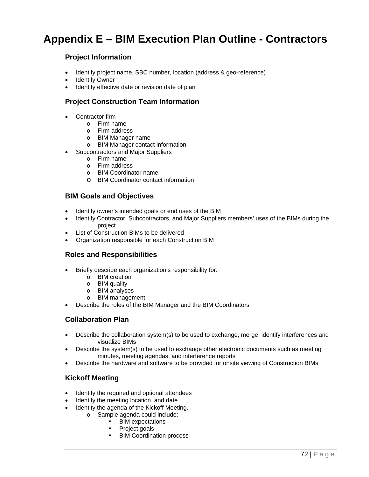# **Appendix E – BIM Execution Plan Outline - Contractors**

# **Project Information**

- Identify project name, SBC number, location (address & geo-reference)
- Identify Owner
- Identify effective date or revision date of plan

# **Project Construction Team Information**

- Contractor firm
	- o Firm name
	- o Firm address
	- o BIM Manager name
	- o BIM Manager contact information
- Subcontractors and Major Suppliers
	- o Firm name
	- o Firm address
	- o BIM Coordinator name
	- o BIM Coordinator contact information

# **BIM Goals and Objectives**

- Identify owner's intended goals or end uses of the BIM
- Identify Contractor, Subcontractors, and Major Suppliers members' uses of the BIMs during the project
- List of Construction BIMs to be delivered
- Organization responsible for each Construction BIM

# **Roles and Responsibilities**

- Briefly describe each organization's responsibility for:
	- o BIM creation
	- o BIM quality
	- o BIM analyses
	- o BIM management
- Describe the roles of the BIM Manager and the BIM Coordinators

# **Collaboration Plan**

- Describe the collaboration system(s) to be used to exchange, merge, identify interferences and visualize BIMs
- Describe the system(s) to be used to exchange other electronic documents such as meeting minutes, meeting agendas, and interference reports
- Describe the hardware and software to be provided for onsite viewing of Construction BIMs

# **Kickoff Meeting**

- Identify the required and optional attendees
- Identify the meeting location and date
- Identity the agenda of the Kickoff Meeting.
	- o Sample agenda could include:
		- **BIM** expectations
		- **Project goals**
		- **BIM Coordination process**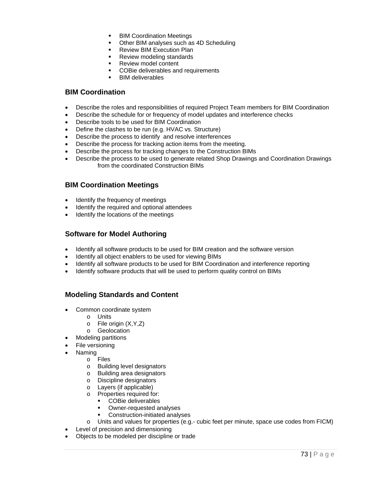- **BIM Coordination Meetings**
- Other BIM analyses such as 4D Scheduling
- Review BIM Execution Plan
- Review modeling standards
- Review model content
- COBie deliverables and requirements
- BIM deliverables

#### **BIM Coordination**

- Describe the roles and responsibilities of required Project Team members for BIM Coordination
- Describe the schedule for or frequency of model updates and interference checks
- Describe tools to be used for BIM Coordination
- Define the clashes to be run (e.g. HVAC vs. Structure)
- Describe the process to identify and resolve interferences
- Describe the process for tracking action items from the meeting.
- Describe the process for tracking changes to the Construction BIMs
- Describe the process to be used to generate related Shop Drawings and Coordination Drawings from the coordinated Construction BIMs

# **BIM Coordination Meetings**

- Identify the frequency of meetings
- Identify the required and optional attendees
- Identify the locations of the meetings

# **Software for Model Authoring**

- Identify all software products to be used for BIM creation and the software version
- Identify all object enablers to be used for viewing BIMs
- Identify all software products to be used for BIM Coordination and interference reporting
- Identify software products that will be used to perform quality control on BIMs

# **Modeling Standards and Content**

- Common coordinate system
	- o Units
	- o File origin (X,Y,Z)
	- o Geolocation
- Modeling partitions
- File versioning
- Naming
	- o Files
	- o Building level designators
	- o Building area designators
	- o Discipline designators
	- o Layers (if applicable)
	- o Properties required for:
		- COBie deliverables
		- **•** Owner-requested analyses
		- **Construction-initiated analyses**
	- o Units and values for properties (e.g.- cubic feet per minute, space use codes from FICM)
- Level of precision and dimensioning
- Objects to be modeled per discipline or trade